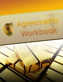

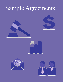







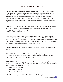# **TERMS AND DISCLAIMERS**

**NO ATTORNEY-CLIENT PRIVILEGE OR LEGAL ADVICE:** While the authors are attorneys who have discussed various legal, business and other concepts herein, nothing herein shall be construed to constitute specific legal advice or recommendations. Furthermore, by using this training program, you understand that you should still seek legal and financial counsel when appropriate for your specific situation. Your participation in this course shall NOT create an attorney-client privileged relationship under any circumstance.

**NO WARRANTIES:** This training program is being provided **AS IS** for informational purposes, without any warranties, except for any applicable return policies. This training program is not guaranteed to produce any particular result. Use the information contained herein at your own risk.

**TRADEMARKS:** Innoventum, the Innoventum logo, and "where innovation meets" momentum" are the registered trademarks of Innoventum, Inc. IDontLikeToWork is a trademark of IDontLikeToWork LLC. All other product names and companies mentioned herein may be trademarks of their respective owners. Innoventum and IDontLikeToWork LLC make no claim in the trademarks of these third parties.

**NO ENDORSEMENT:** None of the companies mentioned herein have endorsed this product.

**ILLUSTRATION COPYRIGHTS:** The majority of the photographs and illustrations used herein are the copyright of iStockPhoto.com and their respective authors, and AnimationFactory.com and their respective authors.

**COPYRIGHT:** This training program is owned and published jointly by Innoventum, Inc. and IDontLikeToWork LLC. To purchase additional copies of this training program, please contact IDontLikeToWork LLC at:

6659 Pearl Rd Suite 301 Parma Hts, OH 44130 Phone: 440-545-2095

© 2010 Innoventum, Inc. and IDontLikeToWork LLC. All Rights Reserved.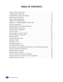# **TABLE OF CONTENTS**

| Residential Lease Agreement With Option To Purchase Real Estate 71 |  |
|--------------------------------------------------------------------|--|
|                                                                    |  |
|                                                                    |  |
|                                                                    |  |
|                                                                    |  |
|                                                                    |  |
|                                                                    |  |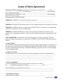# **Scope of Work Agreement**

| <b>This Scope of Work Agreement</b> (hereinafter the "Agreement") is made on this | Day of             |
|-----------------------------------------------------------------------------------|--------------------|
| by and between<br>20                                                              | with a principal   |
| place of business located at                                                      |                    |
| (hereinafter called "COMPANY"), and                                               | , with a principal |
| place of business located at                                                      |                    |
| (hereinafter called "CONTRACTOR").                                                |                    |
|                                                                                   |                    |
| <b>WHEREAS, COMPANY</b> is in need of assistance in the area of                   |                    |

**WHEREAS**, CONTRACTOR represents that he or she is qualified and possesses expertise in such area;

\_\_\_\_\_\_\_\_\_\_\_\_\_\_\_\_\_\_\_\_\_\_\_\_\_\_\_\_\_\_\_\_\_\_\_\_\_\_\_\_\_\_\_\_\_\_\_\_\_\_\_\_\_\_\_\_\_\_\_\_\_\_\_\_\_\_\_\_\_\_\_\_\_\_\_\_\_;

**WHEREAS**, COMPANY desires to contract with CONTRACTOR in the capacity of an "independent contractor" to perform the services set forth herein;

**WHEREAS**, CONTRACTOR desires to enter in this Agreement to perform such services in the capacity of an "independent contractor" on the terms and conditions and for the compensation set forth herein;

**NOW THEREFORE**, in consideration of the mutual promises, covenants, warranties, and other good and valuable consideration as set forth herein, COMPANY and CONTRACTOR hereby agree as follows:

#### **1. Scope of Work:**

The CONTRACTOR shall furnish all materials listed below, furnish labor and otherwise perform all of the work shown on drawings and/or described in the specifications entitled Exhibit A, as attached and becomes a permanent part of contract. CONTRACTOR agrees to perform all of the work in a diligent and workmanlike manner.

## **2. Address of Job Site:**

The Agreement covers work to performed at the property/properties located at the address(es) of:

\_\_\_\_\_\_\_\_\_\_\_\_\_\_\_\_\_\_\_\_\_\_\_\_\_\_\_\_\_\_\_\_\_\_\_\_\_\_\_\_\_\_\_\_\_\_\_\_\_\_\_\_\_\_\_\_\_\_\_\_\_\_\_\_\_\_\_\_\_\_\_\_\_\_\_\_\_  $\mathcal{L}_\mathcal{L} = \{ \mathcal{L}_\mathcal{L} = \{ \mathcal{L}_\mathcal{L} = \{ \mathcal{L}_\mathcal{L} = \{ \mathcal{L}_\mathcal{L} = \{ \mathcal{L}_\mathcal{L} = \{ \mathcal{L}_\mathcal{L} = \{ \mathcal{L}_\mathcal{L} = \{ \mathcal{L}_\mathcal{L} = \{ \mathcal{L}_\mathcal{L} = \{ \mathcal{L}_\mathcal{L} = \{ \mathcal{L}_\mathcal{L} = \{ \mathcal{L}_\mathcal{L} = \{ \mathcal{L}_\mathcal{L} = \{ \mathcal{L}_\mathcal{$ \_\_\_\_\_\_\_\_\_\_\_\_\_\_\_\_\_\_\_\_\_\_\_\_\_\_\_\_\_\_\_\_\_\_\_\_\_\_\_\_\_\_\_\_\_\_\_\_\_\_\_\_\_\_\_\_\_\_\_\_\_\_\_\_\_\_\_\_\_\_\_\_\_\_\_\_\_

 $\mathcal{L}_\text{max} = \frac{1}{2} \sum_{i=1}^n \mathcal{L}_\text{max} = \frac{1}{2} \sum_{i=1}^n \mathcal{L}_\text{max} = \frac{1}{2} \sum_{i=1}^n \mathcal{L}_\text{max} = \frac{1}{2} \sum_{i=1}^n \mathcal{L}_\text{max} = \frac{1}{2} \sum_{i=1}^n \mathcal{L}_\text{max} = \frac{1}{2} \sum_{i=1}^n \mathcal{L}_\text{max} = \frac{1}{2} \sum_{i=1}^n \mathcal{L}_\text{max} = \frac{1}{2} \sum_{i=$ 

## **3. Time of Completion:**

|    | All work performed under this Agreement shall be commenced on or before |  |
|----|-------------------------------------------------------------------------|--|
| 20 | and shall be completed on or before                                     |  |

\_\_\_\_\_\_\_\_\_\_\_\_\_\_\_\_\_\_\_\_\_\_\_\_\_\_\_\_\_\_\_\_\_\_\_\_\_\_\_\_\_\_\_\_\_\_\_\_\_\_\_\_\_\_\_\_\_\_\_\_\_\_\_\_\_\_\_\_\_\_\_\_\_\_\_\_\_\_  $\mathcal{L}_\mathcal{L} = \{ \mathcal{L}_\mathcal{L} = \{ \mathcal{L}_\mathcal{L} = \{ \mathcal{L}_\mathcal{L} = \{ \mathcal{L}_\mathcal{L} = \{ \mathcal{L}_\mathcal{L} = \{ \mathcal{L}_\mathcal{L} = \{ \mathcal{L}_\mathcal{L} = \{ \mathcal{L}_\mathcal{L} = \{ \mathcal{L}_\mathcal{L} = \{ \mathcal{L}_\mathcal{L} = \{ \mathcal{L}_\mathcal{L} = \{ \mathcal{L}_\mathcal{L} = \{ \mathcal{L}_\mathcal{L} = \{ \mathcal{L}_\mathcal{$ 

Specify additional notes (penalties for delay, etc.): \_\_\_\_\_\_\_\_\_\_\_\_\_\_\_\_\_\_\_\_\_\_\_\_\_\_\_

## **4. Description of Project:**

General Project Description: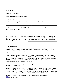Include rooms:

Guidelines or codes to be followed: \_\_\_\_\_\_\_\_\_\_\_\_\_\_\_\_\_\_\_\_\_\_\_\_\_\_\_\_\_\_\_\_\_\_\_\_\_\_\_\_\_\_\_\_\_\_\_\_\_\_\_\_\_\_\_

Special patterns, trims or layouts involved:

### **5. Description of Materials:**

Include any furnished by COMPANY, with square feet of product if available:

Include any furnished by CONTRACTOR, with square feet of product if available and list material supplier next to each product: \_\_\_\_\_\_\_\_\_\_\_\_\_\_\_\_\_\_\_\_\_\_\_\_\_\_\_\_\_\_\_\_\_\_\_\_\_\_\_\_\_\_\_\_\_\_\_\_\_\_\_\_\_\_\_\_\_\_\_

\_\_\_\_\_\_\_\_\_\_\_\_\_\_\_\_\_\_\_\_\_\_\_\_\_\_\_\_\_\_\_\_\_\_\_\_\_\_\_\_\_\_\_\_\_\_\_\_\_\_\_\_\_\_\_\_\_\_\_\_\_\_\_\_\_\_\_\_\_\_\_\_\_\_\_\_\_\_\_\_\_\_\_\_  $\mathcal{L}_\mathcal{L} = \{ \mathcal{L}_\mathcal{L} = \{ \mathcal{L}_\mathcal{L} = \{ \mathcal{L}_\mathcal{L} = \{ \mathcal{L}_\mathcal{L} = \{ \mathcal{L}_\mathcal{L} = \{ \mathcal{L}_\mathcal{L} = \{ \mathcal{L}_\mathcal{L} = \{ \mathcal{L}_\mathcal{L} = \{ \mathcal{L}_\mathcal{L} = \{ \mathcal{L}_\mathcal{L} = \{ \mathcal{L}_\mathcal{L} = \{ \mathcal{L}_\mathcal{L} = \{ \mathcal{L}_\mathcal{L} = \{ \mathcal{L}_\mathcal{$ 

\_\_\_\_\_\_\_\_\_\_\_\_\_\_\_\_\_\_\_\_\_\_\_\_\_\_\_\_\_\_\_\_\_\_\_\_\_\_\_\_\_\_\_\_\_\_\_\_\_\_\_\_\_\_\_\_\_\_\_\_\_\_\_\_\_\_\_\_\_\_\_\_\_\_\_\_\_\_\_\_\_\_\_\_ \_\_\_\_\_\_\_\_\_\_\_\_\_\_\_\_\_\_\_\_\_\_\_\_\_\_\_\_\_\_\_\_\_\_\_\_\_\_\_\_\_\_\_\_\_\_\_\_\_\_\_\_\_\_\_\_\_\_\_\_\_\_\_\_\_\_\_\_\_\_\_\_\_\_\_\_\_\_\_\_\_\_\_\_

\_\_\_\_\_\_\_\_\_\_\_\_\_\_\_\_\_\_\_\_\_\_\_\_\_\_\_\_\_\_\_\_\_\_\_\_\_\_\_\_\_\_\_\_\_\_\_\_\_\_\_\_\_\_\_\_\_\_\_\_\_\_\_\_\_\_\_\_\_\_\_\_\_\_\_\_\_\_\_\_\_\_\_\_  $\mathcal{L}_\mathcal{L} = \{ \mathcal{L}_\mathcal{L} = \{ \mathcal{L}_\mathcal{L} = \{ \mathcal{L}_\mathcal{L} = \{ \mathcal{L}_\mathcal{L} = \{ \mathcal{L}_\mathcal{L} = \{ \mathcal{L}_\mathcal{L} = \{ \mathcal{L}_\mathcal{L} = \{ \mathcal{L}_\mathcal{L} = \{ \mathcal{L}_\mathcal{L} = \{ \mathcal{L}_\mathcal{L} = \{ \mathcal{L}_\mathcal{L} = \{ \mathcal{L}_\mathcal{L} = \{ \mathcal{L}_\mathcal{L} = \{ \mathcal{L}_\mathcal{$ 

#### **6. Contract Price / Payment Schedule:**

| The COMPANY shall pay the CONTRACTOR for the material and labor to be performed under the            |             |  |
|------------------------------------------------------------------------------------------------------|-------------|--|
| Agreement as listed above for the sum of                                                             | Dollars (\$ |  |
| subject to additions and deductions pursuant to the authorized change orders. Payments shall be made |             |  |
| according to the following payment schedule:                                                         |             |  |

 $\mathcal{L}_\mathcal{L} = \{ \mathcal{L}_\mathcal{L} = \{ \mathcal{L}_\mathcal{L} = \{ \mathcal{L}_\mathcal{L} = \{ \mathcal{L}_\mathcal{L} = \{ \mathcal{L}_\mathcal{L} = \{ \mathcal{L}_\mathcal{L} = \{ \mathcal{L}_\mathcal{L} = \{ \mathcal{L}_\mathcal{L} = \{ \mathcal{L}_\mathcal{L} = \{ \mathcal{L}_\mathcal{L} = \{ \mathcal{L}_\mathcal{L} = \{ \mathcal{L}_\mathcal{L} = \{ \mathcal{L}_\mathcal{L} = \{ \mathcal{L}_\mathcal{$ \_\_\_\_\_\_\_\_\_\_\_\_\_\_\_\_\_\_\_\_\_\_\_\_\_\_\_\_\_\_\_\_\_\_\_\_\_\_\_\_\_\_\_\_\_\_\_\_\_\_\_\_\_\_\_\_\_\_\_\_\_\_\_\_\_\_\_\_\_\_\_\_\_\_\_\_\_\_\_\_\_\_\_\_

#### **7. General Provisions:**

Any alteration of deviation from the above or attached specifications, including but not limited to additional material or labor costs will be allowed only by written change order signed by both the COMPANY and CONTRACTOR. Any additional charges will be added automatically to the contract price.

Payments must be made according to the schedule described in provision 6 herein. If payment fails to arrive by the agreed upon payment dates, CONTRACTOR shall have right to suspend work until such time payment arrives, and then CONTRACTOR has a reasonable time to reschedule work should CONTRACTOR have begun work on another project. Failure to make payment within days of payment date shall constitute a breach of contract.

CONTRACTOR shall furnish upon payment all appropriate Lien releases when requested by COMPANY or upon payment.

CONTRACTOR shall bear the expenses of obtaining all necessary permits as required by local codes and ordinances for the work to be performed. CONTRACTOR shall idemnify COMPANY and/or it's principals for any and all costs, fees, fines and/or legal expenses associated with or incurred as a result of the contractor's failing to obtain all of the necessary permits as required by local codes and ordinances.

CONTRACTOR shall not be liable for delays due to circumstances that are not within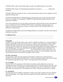CONTRACTOR's control, such as labor strikes, casualty, unavailable material or acts of God.

CONTRACTOR warrants all workmanship and materials for a period of\_\_\_\_\_\_\_\_\_\_\_ months after completion.

CONTRACTOR shall complete all work in a clean and professional manner and in compliance with all applicable building codes.

CONTRACTOR shall furnish a detailed drawing or plan showing scope of work, materials used and fixtures to be installed, if so requested by COMPANY. Requested drawing shall become part of the Agreement as Exhibit A.

To the extent required by law, all work shall be performed by individuals dully licensed, and authorized by law to perform such work. CONTRACTOR warrants it is adequately insured for injury to it's employees and others incurring loss or injury as a result of the acts of the CONTRACTOR or it's employees or subcontractors.

All disputes hereunder shall be resolved by binding arbitration in accordance with rules of the American Arbitration Association.

\_\_\_\_\_\_\_\_\_\_\_\_\_\_\_\_\_\_\_\_\_\_\_\_\_\_\_\_\_\_\_\_\_\_\_\_\_\_\_\_\_\_\_\_\_\_\_\_\_\_\_\_\_\_\_\_\_\_\_\_\_\_\_\_\_\_\_\_\_\_\_\_\_\_\_\_\_\_  $\mathcal{L}_\mathcal{L} = \{ \mathcal{L}_\mathcal{L} = \{ \mathcal{L}_\mathcal{L} = \{ \mathcal{L}_\mathcal{L} = \{ \mathcal{L}_\mathcal{L} = \{ \mathcal{L}_\mathcal{L} = \{ \mathcal{L}_\mathcal{L} = \{ \mathcal{L}_\mathcal{L} = \{ \mathcal{L}_\mathcal{L} = \{ \mathcal{L}_\mathcal{L} = \{ \mathcal{L}_\mathcal{L} = \{ \mathcal{L}_\mathcal{L} = \{ \mathcal{L}_\mathcal{L} = \{ \mathcal{L}_\mathcal{L} = \{ \mathcal{L}_\mathcal{$ 

## **8. Additional Notes:** \_\_\_\_\_\_\_\_\_\_\_\_\_\_\_\_\_\_\_\_\_\_\_\_\_\_\_\_\_\_\_\_\_\_\_\_\_\_\_\_\_\_\_\_\_\_\_\_\_\_\_\_\_\_\_\_\_\_\_\_

#### **9. Remedies:**

In addition to any and all other rights a party may have available according to law, if a party defaults by failing to substantially perform any provision, term or condition of this Agreement (including without limitation the failure to perform the work stated herein on the agreed upon timeframe, or to make a monetary payment when due), the other party may terminate the Agreement by providing written notice to the defaulting party. This notice shall describe with sufficient detail the nature of the default. The party receiving such notice shall have \_\_\_\_\_\_\_\_\_\_\_\_ days from the effective date of such notice to cure the default(s). Unless waived by a party providing notice, the failure to cure the default(s) within such time period shall result in the automatic termination of this Contract.

#### **10. Entire Agreement:**

This Agreement contains the entire agreement of the parties, and there are no other promises or conditions in any other agreement whether oral or written concerning the subject matter of this Contract. This Agreement supersedes any prior written or oral agreements between the parties.

## **11. Severability:**

If any provision of this Agreement will be held to be invalid or unenforceable for any reason, the remaining provisions will continue to be valid and enforceable. If a court finds that any provision of this Agreement is invalid or unenforceable, but that by limiting such provision it would become valid and enforceable, then such provision will be deemed to be written, construed, and enforced as so limited.

#### **12. Amendment:**

This Agreement may be modified or amended in writing, if the writing is signed by the party obligated under the amendment. Any Change Orders later signed by both parties shall become a part of this Agreement.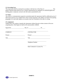#### **13. Governing Law:**

This Agreement shall be construed in accordance with the laws of the State of  $\Box$ . The parties expressly agree that any law or statute requiring that any ambiguity be construed against the drafting party is expressly waived to the full extent as permitted by law.

### **14. Notice:**

Any notice or communication required or permitted under this Agreement shall be sufficiently given if delivered in person or by certified mail, return receipt requested, to the address set forth in the opening paragraph or to such other address as one party may have furnished to the other in writing.

#### **15. Assignment:**

Neither party may assign or transfer this Agreement without the prior written consent of the nonassigning party, which approval shall not be unreasonably withheld.

| Signed this    |                   |  |
|----------------|-------------------|--|
| <b>COMPANY</b> | <b>CONTRACTOR</b> |  |
| Printed        | Printed           |  |
| Title          | Title             |  |
|                | Telephone Number  |  |
|                |                   |  |

State Contractor's License No.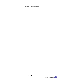#### **TO SCOPE OF WORK AGREEMENT**

Insert any additional project details and/or drawings here.

**EXHIBIT \_\_\_**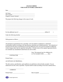## **CHANGE ORDER FOR SCOPE OF WORK AGREEMENT**

| Date: $\frac{1}{2}$                                                                                                                                                                                                                                                                                                                                                                                                                                                                                 |                                                                                    |
|-----------------------------------------------------------------------------------------------------------------------------------------------------------------------------------------------------------------------------------------------------------------------------------------------------------------------------------------------------------------------------------------------------------------------------------------------------------------------------------------------------|------------------------------------------------------------------------------------|
|                                                                                                                                                                                                                                                                                                                                                                                                                                                                                                     |                                                                                    |
|                                                                                                                                                                                                                                                                                                                                                                                                                                                                                                     |                                                                                    |
|                                                                                                                                                                                                                                                                                                                                                                                                                                                                                                     |                                                                                    |
| We propose the following changes in the scope of work:                                                                                                                                                                                                                                                                                                                                                                                                                                              |                                                                                    |
|                                                                                                                                                                                                                                                                                                                                                                                                                                                                                                     |                                                                                    |
| a se provincia de la construcción de la construcción de la construcción de la construcción de la construcción                                                                                                                                                                                                                                                                                                                                                                                       | ,我们也不能在这里的人,我们也不能在这里的人,我们也不能在这里的人,我们也不能在这里的人,我们也不能在这里的人,我们也不能在这里的人,我们也不能在这里的人,我们也  |
|                                                                                                                                                                                                                                                                                                                                                                                                                                                                                                     | $\mathcal{E}$                                                                      |
|                                                                                                                                                                                                                                                                                                                                                                                                                                                                                                     |                                                                                    |
|                                                                                                                                                                                                                                                                                                                                                                                                                                                                                                     |                                                                                    |
| All materials are guaranteed to be as specified. All work shall be completed in a substantial<br>workmanlike manner according to the specifications submitted, per standard practices. Any alteration of<br>deviation from the above specifications involving additional extra costs must be included in additional<br>written change orders that are signed by both parties. All other terms of the original Agreement that do<br>not contradict any amendments stated herein are still in effect. |                                                                                    |
| <b>CONTRACTOR</b>                                                                                                                                                                                                                                                                                                                                                                                                                                                                                   | Note: This proposal may be withdrawn by<br>us if not accepted within _______ days. |
|                                                                                                                                                                                                                                                                                                                                                                                                                                                                                                     |                                                                                    |
| Printed Name:                                                                                                                                                                                                                                                                                                                                                                                                                                                                                       |                                                                                    |

ACCEPTANCE OF PROPOSAL:

The above prices, specifications, and conditions are satisfactory and are hereby accepted. You are authorized to do the work as specified. Payment shall be made according to the terms outlined above.

 $\overline{\mathcal{L}}$  , and the set of the set of the set of the set of the set of the set of the set of the set of the set of the set of the set of the set of the set of the set of the set of the set of the set of the set of the s **COMPANY** 

Printed Name: \_\_\_\_\_\_\_\_\_\_\_\_\_\_\_\_\_\_\_ Date Accepted: \_\_\_\_\_\_\_\_\_\_\_\_\_\_\_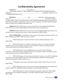# **Confidentiality Agreement**

WHEREAS, whose address is \_\_\_\_\_\_\_, (hereinafter referred to as "DISCLOSER") has developed certain Confidential Information pertaining to **example 1** and the set of the set of the set of the set of the set of the set of the set of the set of the set of the set of the set of the set of the set of the set of the set of the set of the set of the s "Confidential Information"); and

**WHEREAS**,  $a/an$  (individual or business) having an address of  $\Box$  (hereinafter referred to as "DISCLOSEE") desires to learn the details of said Confidential Information because of an interest in exploring the possibility of entering into a business or other arrangement with DISCLOSER based upon and/or covered by said Confidential Information; and

**WHEREAS,** DISCLOSER desires to disclose the details of said Confidential Information to DISCLOSEE only with the understanding that the disclosure be kept confidential; and

**WHEREAS,** DISCLOSER desires to prevent use of said Confidential Information and any of its features by anyone without the prior express written authorization of DISCLOSER;

**NOW, THEREFORE,** in consideration of the promises and the agreements made herein by said DISCLOSER and said DISCLOSEE, they agree as follows:

1. DISCLOSER agrees to disclose the details of said Confidential Information to the DISCLOSEE.

2. DISCLOSEE agrees not to duplicate, disseminate, make, use or sell the Confidential Information or any portion thereof or any device equivalent thereto without first obtaining express written authorization from said DISCLOSER to do so.

3. DISCLOSEE agrees to keep confidential and not to disclose said Confidential Information or any details thereof or equivalent thereto to any third party without first obtaining express written authorization from said DISCLOSER to do so.

4. DISCLOSEE agrees not to encourage any third party to make, use or sell the Confidential Information or any portion thereof or any device equivalent thereto without first obtaining express written authorization from DISCLOSER to do so.

5. The granting of such written authorization shall be wholly within the discretion of said DISCLOSER.

6. DISCLOSEE agrees not to copy or permit copying or photographing of any documents or samples submitted by said DISCLOSER and relating to said Confidential Information.

7. DISCLOSEE agrees to return any documents and samples submitted by DISCLOSER and relating to said Confidential Information, to the DISCLOSER immediately upon request by DISCLOSER.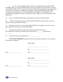8. In view of the confidential relations which are contemplated between DISCLOSER and DISCLOSEE, it is agreed that DISCLOSEE will not copy, publish or otherwise disclose to others outside DISCLOSER, for five (5) years from the effective date of this Agreement (or such other period as is otherwise specified), any confidential or proprietary information belonging to DISCLOSER, or belonging to any third party to which DISCLOSER has an obligation of confidentiality. The aforementioned obligations of secrecy and confidence shall not apply to any of the information and/or detail that is:

(a) known to the DISCLOSEE before being obtained or derived from DISCLOSER;

(b) available to the public from sources other than DISCLOSER at any time before or after it is obtained or derived from DISCLOSER; or

(c) obtained or acquired at any time by the DISCLOSEE from a third party who has the same in good faith and is free to pass it on to the DISCLOSEE.

9. This Agreement shall be governed and construed according to the laws of the United States of America, the Federal Courts of the State of \_\_\_\_\_\_\_\_\_ and the State of

10. The effective date of this Agreement is \_\_\_\_\_\_\_\_\_\_\_\_\_\_.

**IN WITNESS WHEREOF,** the parties hereto have caused this Agreement to be executed by their respective signatures.

DISCLOSER

By:\_\_\_\_\_\_\_\_\_\_\_\_\_\_\_\_\_\_\_\_\_\_\_\_\_\_\_\_\_\_\_\_

 $\mathcal{L}_\mathcal{L}$  , where  $\mathcal{L}_\mathcal{L}$  , we have the set of the set of the set of the set of the set of the set of the set of the set of the set of the set of the set of the set of the set of the set of the set of the set

Date: Title: Title: Title: Title: Title: Title: The Second Library of Title: The Second Library of Title: Title: The Second Library of Title: Title: Title: Title: Title: Title: Title: Title: Title: Title: Title: Title: Tit

 $\overline{\phantom{a}}$ 

DISCLOSEE

By:\_\_\_\_\_\_\_\_\_\_\_\_\_\_\_\_\_\_\_\_\_\_\_\_\_\_\_\_\_\_\_\_

 $\mathcal{L}_\mathcal{L}$  , which is a set of the set of the set of the set of the set of the set of the set of the set of the set of the set of the set of the set of the set of the set of the set of the set of the set of the set of

Date: \_\_\_\_\_\_\_\_\_\_\_\_\_\_\_\_\_\_\_\_\_\_ Title: \_\_\_\_\_\_\_\_\_\_\_\_\_\_\_\_\_\_\_\_\_\_\_\_\_\_\_\_\_\_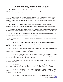# **Confidentiality Agreement Mutual**

WHEREAS, this Agreement is entered into between

| whose address is |  |
|------------------|--|
|                  |  |

 $\mathcal{L}=\mathcal{L}^{\mathcal{L}}$ 

where  $\blacksquare$ , and  $\blacksquare$ 

\_\_\_\_\_\_\_\_\_\_\_\_\_\_, whose address is \_\_\_\_\_\_\_\_\_\_\_\_\_\_\_\_\_\_\_\_\_\_\_\_\_\_\_\_\_\_\_\_\_\_\_\_\_\_\_\_\_\_\_\_\_\_\_\_\_\_\_\_\_\_\_

**WHEREAS,** the parties plan to discuss areas of possible common business interests. In the course of these discussions, it may become necessary for each of the parties to disclose Confidential Information to the other. The purpose of this Agreement is to protect the confidential nature of such information.

**WHEREAS,** DISCLOSING PARTY desires to disclose the details of said Confidential Information to RECIPIENT only with the understanding that the disclosure be kept confidential; and

**WHEREAS,** DISCLOSING PARTY desires to prevent use of said Confidential Information and any of its features by anyone without the prior express written authorization of DISCLOSING PARTY;

**NOW, THEREFORE,** in consideration of the promises and the agreements made herein by said DISCLOSING PARTY and said RECIPIENT, they agree as follows:

1. DISCLOSING PARTY agrees to disclose the details of said Confidential Information to the RECIPIENT.

2. RECIPIENT duplicate, disseminate, make, use or sell the Confidential Information or any portion thereof or any device equivalent thereto without first obtaining express written authorization from said DISCLOSER to do so.

3. RECIPIENT agrees to keep confidential and not to disclose said Confidential Information or any details thereof or equivalent thereto to any third party without first obtaining express written authorization from said DISCLOSING PARTY to do so.

4. RECIPIENT agrees not to encourage any third party to make, use or sell the Confidential Information or any portion thereof or any device equivalent thereto without first obtaining express written authorization from DISCLOSING PARTY to do so.

5. The granting of such written authorization shall be wholly within the discretion of said DISCLOSING PARTY.

6. RECIPIENT agrees not to copy or permit copying or photographing of any documents or samples submitted by said DISCLOSING PARTY and relating to said Confidential Information.

7. RECIPIENT agrees to return any documents and samples submitted by DISCLOSING PARTY and relating to said Confidential Information, to the DISCLOSING PARTY immediately upon request by DISCLOSING PARTY.

8. All rights that the disclosing party may have in Proprietary Information, such as rights of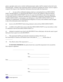patent, copyright, trade secret or similar intellectual property rights, shall be retained exclusively by the disclosing party. Nothing in this Agreement shall be construed as granting any license, waiver or right to recipient with respect to any Proprietary Information disclosed under this Agreement.

9. In view of the confidential relations which are contemplated between DISCLOSING PARTY and RECIPIENT, it is agreed that RECIPIENT will not copy, publish or otherwise disclose to others outside DISCLOSING PARTY, for five (5) years from the effective date of this Agreement (or such other period as is otherwise specified), any confidential or proprietary information belonging to DISCLOSING PARTY, or belonging to any third party to which DISCLOSING PARTY has an obligation of confidentiality. The aforementioned obligations of secrecy and confidence shall not apply to any of the information and/or detail that is:

(a) known to the RECIPIENT before being obtained or derived from DISCLOSING PARTY;

(b) available to the public from sources other than DISCLOSING PARTY at any time before or after it is obtained or derived from DISCLOSING PARTY; or

(c) obtained or acquired at any time by the RECIPIENT from a third party who has the same in good faith and is free to pass it on to the RECIPIENT.

9. This Agreement shall be governed and construed according to the laws of the United States of America, the Federal Courts of the State of \_\_\_\_\_\_\_\_\_ and the State of

10. The effective date of this Agreement is  $\qquad \qquad$ .

 $\mathcal{L}_\text{max}$  , and the set of the set of the set of the set of the set of the set of the set of the set of the set of the set of the set of the set of the set of the set of the set of the set of the set of the set of the

**IN WITNESS WHEREOF,** the parties hereto have caused this Agreement to be executed by their respective signatures.

By:  $\frac{1}{2}$ 

Title:

Date: \_\_\_\_\_\_\_\_\_\_\_\_\_\_\_\_\_\_\_\_\_\_

 $\overline{\phantom{a}}$ 

By:\_\_\_\_\_\_\_\_\_\_\_\_\_\_\_\_\_\_\_\_\_\_\_\_\_\_\_\_\_\_\_\_

 $\mathcal{L}_\text{max}$  , and the set of the set of the set of the set of the set of the set of the set of the set of the set of the set of the set of the set of the set of the set of the set of the set of the set of the set of the

Title:

Date: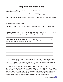# **Employment Agreement**

**This Employment Agreement** made and entered into by and between \_\_\_\_\_\_\_\_\_\_\_\_\_\_\_\_\_\_\_\_\_\_\_\_\_\_,

having a corporate address of \_\_\_\_\_\_\_\_\_\_\_\_\_\_\_\_\_\_\_\_\_\_\_\_\_\_\_\_\_\_\_\_\_\_\_\_\_\_\_\_\_\_\_\_\_\_\_\_\_\_\_\_\_\_\_\_\_\_\_

| (EMPLOYER), and | having an address of |
|-----------------|----------------------|

\_\_\_\_\_\_\_\_\_\_\_\_\_\_\_\_\_\_\_\_\_\_\_\_\_\_\_\_\_\_\_\_\_\_\_\_\_\_\_\_\_\_\_\_\_\_\_\_\_\_\_\_\_ (EMPLOYEE).

**WHEREAS,** EMPLOYER wishes to employ the services of EMPLOYEE and EMPLOYEE wishes to be employed by EMPLOYER; and

**NOW, THEREFORE,** in consideration of the mutual promises and covenants herein contained, the parties agree to the Articles as follows:

**1. SCOPE OF WORK:** EMPLOYER does hereby retain and engage EMPLOYEE to provide the following services

 $\mathcal{L}_\text{max} = \{ \mathcal{L}_\text{max} \mid \mathcal{L}_\text{max} \}$ 

**2. WORK HOURS / LOCATION:** EMPLOYEE shall perform the work for EMPLOYER between the hours of  $\Box$ , and initially at the following work location(s):

**3. COMPENSATION:** EMPLOYEE will receive the following compensation and/or benefits in exchange for the work performed for EMPLOYER:

\_\_\_\_\_\_\_\_\_\_\_\_\_\_\_\_\_\_\_\_\_\_\_\_\_\_\_\_\_\_\_\_\_\_\_\_\_\_\_\_\_\_\_\_\_\_\_\_\_\_\_\_\_\_\_\_\_\_\_\_\_\_\_\_\_\_\_\_\_\_\_\_\_\_\_\_\_ \_\_\_\_\_\_\_\_\_\_\_\_\_\_\_\_\_\_\_\_\_\_\_\_\_\_\_\_\_\_\_\_\_\_\_\_\_\_\_\_\_\_\_\_\_\_\_\_\_\_\_\_\_\_\_\_\_\_\_\_\_\_\_\_\_\_\_\_\_\_\_\_\_\_\_\_\_ \_\_\_\_\_\_\_\_\_\_\_\_\_\_\_\_\_\_\_\_\_\_\_\_\_\_\_\_\_\_\_\_\_\_\_\_\_\_\_\_\_\_\_\_\_\_\_\_\_\_\_\_\_\_\_\_\_\_\_\_\_\_\_\_\_\_\_\_\_\_\_\_\_\_\_\_\_ \_\_\_\_\_\_\_\_\_\_\_\_\_\_\_\_\_\_\_\_\_\_\_\_\_\_\_\_\_\_\_\_\_\_\_\_\_\_\_\_\_\_\_\_\_\_\_\_\_\_\_\_\_\_\_\_\_\_\_\_\_\_\_\_\_\_\_\_\_\_\_\_\_\_\_\_\_ \_\_\_\_\_\_\_\_\_\_\_\_\_\_\_\_\_\_\_\_\_\_\_\_\_\_\_\_\_\_\_\_\_\_\_\_\_\_\_\_\_\_\_\_\_\_\_\_\_\_\_\_\_\_\_\_\_\_\_\_\_\_\_\_\_\_\_\_\_\_\_\_\_\_\_\_\_ \_\_\_\_\_\_\_\_\_\_\_\_\_\_\_\_\_\_\_\_\_\_\_\_\_\_\_\_\_\_\_\_\_\_\_\_\_\_\_\_\_\_\_\_\_\_\_\_\_\_\_\_\_\_\_\_\_\_\_\_\_\_\_\_\_\_\_\_\_\_\_\_\_\_\_\_\_ \_\_\_\_\_\_\_\_\_\_\_\_\_\_\_\_\_\_\_\_\_\_\_\_\_\_\_\_\_\_\_\_\_\_\_\_\_\_\_\_\_\_\_\_\_\_\_\_\_\_\_\_\_\_\_\_\_\_\_\_\_\_\_\_\_\_\_\_\_\_\_\_\_\_\_\_\_ \_\_\_\_\_\_\_\_\_\_\_\_\_\_\_\_\_\_\_\_\_\_\_\_\_\_\_\_\_\_\_\_\_\_\_\_\_\_\_\_\_\_\_\_\_\_\_\_\_\_\_\_\_\_\_\_\_\_\_\_\_\_\_\_\_\_\_\_\_\_\_\_\_\_\_\_\_ \_\_\_\_\_\_\_\_\_\_\_\_\_\_\_\_\_\_\_\_\_\_\_\_\_\_\_\_\_\_\_\_\_\_\_\_\_\_\_\_\_\_\_\_\_\_\_\_\_\_\_\_\_\_\_\_\_\_\_\_\_\_\_\_\_\_\_\_\_\_\_\_\_\_\_\_\_  $\mathcal{L}_\text{G}$  , and the contribution of the contribution of the contribution of the contribution of the contribution of the contribution of the contribution of the contribution of the contribution of the contribution of t

\_\_\_\_\_\_\_\_\_\_\_\_\_\_\_\_\_\_\_\_\_\_\_\_\_\_\_\_\_\_\_\_\_\_\_\_\_\_\_\_\_\_\_\_\_\_\_\_\_\_\_\_\_\_\_\_\_\_\_\_\_\_\_\_\_\_\_\_\_\_\_\_\_\_\_\_\_  $\mathcal{L}_\text{G}$  , and the contribution of the contribution of the contribution of the contribution of the contribution of the contribution of the contribution of the contribution of the contribution of the contribution of t

**4. PERIOD OF PERFORMANCE:** Either party may terminate the employment arrangement upon notice to the other party. The employment relationship shall be deemed to be an at will employment relationship and nothing in this document shall be construed to establish anything to the contrary. The duties of confidentialty shall remain in effect after termination.

**5. OWNERSHIP OF WORK PRODUCT/INTELLECTUAL PROPERTY:** All materials developed by EMPLOYEE and all materials prepared for and delivered to EMPLOYER by EMPLOYEE while employed by EMPLOYER shall belong exclusively to EMPLOYER and EMPLOYER shall be the sole owner of all copyrights, patents, inventions, discoveries and trade secrets in the same, including the right to change, edit, and distribute same. Furthermore, any ideas, inventions, discoveries, copyrightable materials, or other intellectual property made or conceived by EMPLOYEE while employed by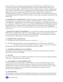EMPLOYER that are related to the work performed by the EMPLOYEE for EMPLOYER or that are related to the business of the EMPLOYER shall be owned by the EMPLOYER (whether or not conceived while at the office). EMPLOYEE has a duty to bring such ideas, inventions, and discoveries to the attention of the EMPLOYER so that proper protection can be obtained as desired. EMPLOYEE shall sign any documents requested by EMPLOYER to perfect EMPLOYER's interests in any intellectual property as required. Nothing in this provision is intended to limit EMPLOYEE's rights in any intellectual property that EMPLOYEE may create or conceive that is unrelated to the business of the EMPLOYER.

**6. CONFIDENTIAL INFORMATION:** EMPLOYER agrees to make available to EMPLOYEE such information as is necessary for the fulfillment of the AGREEMENT. It is understood that such CONFIDENTIAL INFORMATION may include materials considered by EMPLOYER, or as a matter of law, confidential. EMPLOYEE agrees to accept and hold CONFIDENTIAL INFORMATION obtained from EMPLOYER in confidence at all times during and after the termination of this AGREEMENT. EMPLOYEE shall not use nor disclose such information, except as provided in this AGREEMENT or as required by law.

**7. RETURN OF COMPANY EQUIPMENT:** At any point in time that the employment ends between EMPLOYER and EMPLOYEE, EMPLOYEE shall promptly return all company equipment that has been provided to EMPLOYEE for the performance of EMPLOYEE's job, including but not limited to the items being provided pursuant to the above employment offer.

# **8. JURISDICTION AND DISPUTES**

A. This Agreement shall be governed by the laws of the State of

B. All disputes hereunder shall be resolved in the applicable state or federal courts of the State of \_\_\_\_\_\_\_\_\_\_\_\_. The parties consent to the jurisdiction of such courts, agree to accept service of process by mail, and waive any jurisdictional or venue defenses otherwise available.

# **9. AGREEMENT BINDING ON SUCCESSORS**

This Agreement shall be binding upon and shall inure to the benefit of the parties hereto, their heirs, administrators, successors and assigns.

# **10. WAIVER**

No waiver by either party of any default shall be deemed as a waiver of any prior or subsequent default of the same or other provisions of this Agreement.

# **11. SEVERABILITY AND INTERPRETATION**

If any provision hereof is held invalid or unenforceable by a court of competent jurisdiction, such invalidity shall not affect the validity or operation of any other provision and such invalid provision shall be deemed to be severed from the Agreement. The parties expressly agree that any law or statute requiring that any ambiguity be construed against the drafting party is expressly waived to the full extent as permitted by law.

# **12. INTEGRATION**

This Agreement constitutes the entire understanding of the parties, and revokes and supersedes all prior agreements between the parties and is intended as a final expression of their Agreement. It shall not be

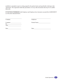modified or amended except in writing signed by the parties hereto and specifically referring to this Agreement. This Agreement shall take precedence over any other documents that may be in conflict therewith.

**IN WITNESS WHEREOF,** both Employer and Employee have hereunto executed this AGREEMENT as of the date indicated below.

| Company                   | Employee      |
|---------------------------|---------------|
| Company:<br>By:<br>Title: | Printed Name: |
| Date:                     | Date:         |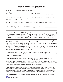# **Non-Compete Agreement**

| This AGREEMENT made and entered into by and between |                      |             |
|-----------------------------------------------------|----------------------|-------------|
| , having a business address of                      |                      |             |
| (EMPLOYER), and                                     | having an address of |             |
|                                                     |                      | (EMPLOYEE). |

**WHEREAS,** EMPLOYER wishes to employ the services of EMPLOYEE and EMPLOYEE wishes to be employed by EMPLOYER; and

**NOW, THEREFORE,** in consideration of the mutual promises and covenants herein contained, the parties agree to the Articles as follows:

**1. Scope of Employer's Business.** EMPLOYER is engaged in the business of:

**2. Scope of Non-Compete.** EMPLOYEE agrees that during the term of this Agreement and for two (2) years after termination of this Agreement for any reason, with or without cause, EMPLOYEE will not directly or indirectly market, sell or distribute products or services which compete with EMPLOYER's products and/or services described in paragraph 1 herein within the following geographic region(s) \_\_\_\_

\_\_\_\_\_\_\_\_\_\_\_\_\_\_\_\_\_\_\_\_\_\_\_\_\_\_\_\_\_\_\_\_\_\_\_\_\_\_\_\_\_\_\_\_\_\_\_\_\_\_\_\_\_\_\_\_\_\_\_\_\_\_\_\_\_\_\_\_\_\_\_\_\_\_\_\_\_\_\_\_\_\_\_

 $\_$  ,  $\_$  ,  $\_$  ,  $\_$  ,  $\_$  ,  $\_$  ,  $\_$  ,  $\_$  ,  $\_$  ,  $\_$  ,  $\_$  ,  $\_$  ,  $\_$  ,  $\_$  ,  $\_$  ,  $\_$  ,  $\_$  ,  $\_$  ,  $\_$  ,  $\_$  ,  $\_$  ,  $\_$  ,  $\_$  ,  $\_$  ,  $\_$  ,  $\_$  ,  $\_$  ,  $\_$  ,  $\_$  ,  $\_$  ,  $\_$  ,  $\_$  ,  $\_$  ,  $\_$  ,  $\_$  ,  $\_$  ,  $\_$  ,  $\_$  ,  $\_$  ,  $\_$  ,  $\_$  ,  $\_$  ,  $\_$  ,  $\_$  ,  $\_$  ,  $\_$  ,  $\_$  ,  $\_$  ,  $\_$  ,  $\_$  ,  $\_$  ,  $\_$  ,  $\_$  ,  $\_$  ,  $\_$  ,  $\_$  ,  $\_$  ,  $\_$  ,  $\_$  ,  $\_$  ,  $\_$  ,  $\_$  ,  $\_$  ,  $\_$  ,  $\_$  ,  $\_$  ,  $\_$  ,  $\_$  ,  $\_$  ,  $\_$  ,  $\_$  ,  $\_$  ,  $\_$  ,  $\_$  ,

\_\_\_\_\_\_\_\_\_\_\_\_\_\_\_\_\_\_\_\_\_\_\_\_\_\_\_\_\_\_\_\_\_\_\_\_\_\_\_\_\_\_\_\_\_\_\_\_\_\_\_\_\_\_\_\_\_\_\_\_\_\_\_\_\_\_\_\_\_\_\_\_\_\_\_\_, and

EMPLOYEE shall not directly or indirectly market, sell or distribute products or services which compete with EMPLOYER's products or services for any Account which EMPLOYEE serviced during the term of this Agreement. EMPLOYEE further agrees that during the term of this agreement and for two years after the termination of this agreement the EMPLOYEE will not directly or indirectly contact, market to, solicit, distribute information to or solicit information from the vendors, suppliers, business associates and business affiliates of the EMPLOYER.

**3. Damages for Breach.** EMPLOYEE agrees to pay liquidated damages in the amount of \$\_\_\_\_\_\_\_\_\_\_\_\_\_\_\_\_\_\_\_\_\_ to EMPLOYER for any violation of the covenant not to compete contained in paragraph 2 of this Agreement.

**4. Court Interpretation.** The parties acknowledge that they have attempted to limit EMPLOYEE's right to compete only to the extent necessary to protect EMPLOYER from unfair competition. The parties hereby agree that, if the scope or enforceability of the covenant not to compete is in any way disputed at any time, a court or other trier of fact may modify and enforce the covenant to the extent that it believes to be reasonable under the circumstances existing at that time.

**5. Non-Compete Is Reasonable.** EMPLOYEE further acknowledges that: (1) in the event his/her employment arrangement with EMPLOYER terminates for any reason, he/she will be able to earn a livelihood without violating the foregoing restrictions and (2) that his/her ability to earn a livelihood without violating these restrictions is a material condition to his/her employment with EMPLOYER.

**6. No Assignment.** EMPLOYEE agrees that this Agreement and the rights, interests, and benefits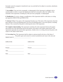hereunder cannot be assigned or transferred in any way and shall not be subject to execution, attachment, or similar process.

**7. Severability.** If any provision, paragraph, or subparagraph of this Agreement is adjudged void or unenforceable in whole or in part, this adjudication shall not be deemed to affect the validity of the remainder of the Agreement, including any other provision, paragraph, or subparagraph.

**8. Modification.** No waiver, change or modification of this Agreement shall be valid unless in writing and signed by EMPLOYER and EMPLOYEE.

**9. Attorney's Fees.** If any party to this Agreement breaches any of the terms of this Agreement, then that party shall pay to the non defaulting party all of the non defaulting party's costs and expenses, including attorney's fees, incurred by that party in enforcing the terms of this Agreement.

**10. Complete Understanding.** This Agreement constitutes the entire Agreement between the parties and contains all of the agreements between the parties with respect to the subject matter hereof. This Agreement supersedes any and all other agreements, whether oral or in writing, between the parties with respect to the subject matter hereof.

**11. Governing Law.** This Agreement shall be subject to and governed by the laws of the State of \_\_\_\_\_\_\_\_\_\_\_\_\_\_. The parties agree and consent to exclusive jurisdiction and venue in the state and federal courts in \_\_\_\_\_\_\_\_\_\_\_\_\_\_\_\_\_\_\_\_\_\_\_\_\_\_\_.

| <b>EMPLOYER</b> | <b>EMPLOYEE</b> |
|-----------------|-----------------|
| Printed:        | Printed:        |
| Title:          |                 |
| Date:           | Date:           |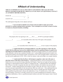# **Affidavit of Understanding**

# **THIS IS AN IMPORTANT LEGAL DOCUMENT CONCERNING THE SALE OF YOUR HOUSE AND SHOULD BE READ CAREFULLY. IF YOU HAVE ANY QUESTIONS, CONTACT AN ATTORNEY BEFORE SIGNING.** STATE OF \_\_\_\_\_\_\_\_\_\_\_\_\_\_\_\_\_\_\_\_\_\_\_ ) ) ss COUNTY OF The undersigned, being duly sworn, deposes and says: \_\_\_\_\_\_\_\_\_\_ 1. **I am currently in default on my loan(s) and am unable to make up my back payments or continue making further payments. I have attempted several other avenues of action to remedy my financial situation, including:**  $\mathcal{L}_\text{G}$  , and the contribution of the contribution of the contribution of the contribution of the contribution of the contribution of the contribution of the contribution of the contribution of the contribution of t  $\mathcal{L}_\text{G}$  , and the contribution of the contribution of the contribution of the contribution of the contribution of the contribution of the contribution of the contribution of the contribution of the contribution of t  $\mathcal{L}_\text{G}$  , and the contribution of the contribution of the contribution of the contribution of the contribution of the contribution of the contribution of the contribution of the contribution of the contribution of t The property that I am agreeing to sell **IS** or **IS NOT** my principal residence. 2. a) I reasonably believe that I have NO equity in this property **OR** b) I reasonably believe that there is \$  $\qquad \qquad$  or less in equity in this property. \_\_\_\_\_\_\_\_\_\_ 3. **I understand that my mortgage holder(s), even after agreeing to a short sale may require that the difference between the original balance and the negotiated balance be paid by me and hold me personally liable for such payment.** Should the mortgage holder(s) not require payment of the difference, such act may constitute a taxable event. I acknowledge being advised to contact a tax professional relating to the potential taxable consequences if any of the mortgage holder's forgiveness of any debt and the application of H.R. 3648 or other tax statutes, codes and rulings to my unique situation. \_\_\_\_\_\_\_\_\_\_ 4. **I understand that the Buyer will attempt to negotiate a short sale with some or**

**all of the owners of the liens on the Property.** I understand that Buyer will not be doing this on my behalf, but on its own accord in trying to purchase the Property. Buyer has not made me any promises, guarantees or representations about its ability to complete this task. I understand fully and completely that, if Buyer is not able to negotiate the short sale with the lender(s), the lender(s) may proceed with foreclosure. I further understand that if the lender(s) accepts a short sale, this may or may not relieve me of my personal responsibility for the loan and may affect my credit score. I also understand that any forbearance or forgiveness of debt by lien holder(s) may result in a taxable gain and I should consult with a qualified tax professional to discuss the implications, if any, if I should receive a form 1099 from the lender(s). The buyer is not able to advise me as to issues including but not limited to what is acquisition indebtedness, what is a qualified principal residence and under what taxpayer status I should file.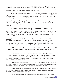\_\_\_\_\_\_\_\_\_ 5. **I understand that Buyer makes no promises as to curing back payments or making additional payments on my loan.** Even if Buyer cures the back payments on my loan, I understand that this does not obligate Buyer to continue making payments. At Buyer's sole discretion, Buyer may decide to stop making payments on my underlying notes at any time.

\_\_\_\_\_\_\_\_\_ 6. I agree to vacate the property on or before 12:00 Noon 3 days before the closing and leave the premises in a neat and clean condition and free from all personal effects, furniture and debris. If I remain beyond that time or do not leave the property in a neat and clean condition and free from all personal effects, furniture and debris I will be liable for damages.

\_\_\_\_\_\_\_\_\_ 7. I agree to waive any rights I may have to any prepaid or escrowed property taxes, insurance, homeowner's association dues, county property tax refunds or other amounts held by any party in escrow, including, but not limited to lenders, homeowner's associations and insurance companies.

\_\_\_\_\_\_\_\_\_ 8. **I have had the opportunity to seek legal, tax and financial counsel as to the implications of this transaction.** I understand that Buyer is not my representative or real estate agent in this transaction and is not acting on my behalf. I UNDERSTAND THAT THIS DOCUMENT DOES NOT DEFINE OR EXPLAIN MY RIGHTS OR OPTIONS, and I have had the opportunity to seek legal, financial, tax or other professional counsel to weigh my options, my rights and the legal consequences of this transaction.

\_\_\_\_\_\_\_\_\_ 9. **I understand that the Buyer is not acting on my behalf as counselor, advisor, consultant or non-profit agency.** I also understand Buyer may close in the name of a nominee or related company, or may choose to immediately resell the property to another party for a profit. I understand that Buyer may make a substantial profit from this transaction and that his primary motivation in engaging in this transaction is to make a profit from the rental or resale of the property.

\_\_\_\_\_\_\_\_\_ 10. **I understand that Buyer agrees to provide me with copies of these documents within 5 business days of this agreement.** I may request additional copies of said documents at any time by paying the cost of reproduction.

\_\_\_\_\_\_\_\_\_ 11. I understand that I may have certain rights under the state or federal law, including, but not limited to bankruptcy, redemption or other equitable rights that may give me additional rights. This disclosure is not to be construed as a list of my rights or legal advice, but simply an acknowledgment that I have investigated my rights under the law. I understand that I may want to consult with legal counsel regarding these possible rights.

12. I understand by signing the Agreement, I have agreed to sell the Property to the Buyer and am now bound by the terms and conditions described in this Agreement. I further understand that I cannot continue to market the Property to any other party, except as provided herein.

\_\_\_\_\_\_\_\_\_ 13. **I understand that I have no right or option to re-purchase or live in the property.** Buyer has made no representations, oral, in writing, express or by implication that I will have the opportunity to re-gain ownership of the property.

14. I understand Buyer has chosen to close this transaction with a specific title company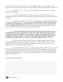or escrow company. Buyer will record the notice of the option contract. I also understand that this transaction may not involve title insurance or any title guarantees normally associated with a transaction.

15. English is or is not my native language but I do have the ability to read and understand this agreement.

16. I am not under the influence of alcohol, drugs or any other ailment at this time that would affect my ability to read this document and make an intelligent decision as to the consequences of signing it.

17. I understand that Buyer is not an attorney or legal advisor. I understand that Buyer will not and cannot represent me in any court proceedings. **I MUST SEEK MY OWN LEGAL COUNSEL IF I INTEND ON DEFENDING A FORECLOSURE ACTION. BUYER WILL NOT DEFEND ME IN A FORECLOSURE ACTION.** Buyer has not made any representations that Buyer is able to stop, stay or defend any foreclosure or other bank collection processes.

## \_\_\_\_\_\_\_\_\_ 18. **I understand that Buyer HAS MADE NO ASSURANCES OR GUARANTEES. I ACKNOWLEDGE THAT, IF BUYER IS UNABLE TO CLOSE FOR WHATEVER REASON ON THE SALE OF THE PROPERTY IN A TIMELY FASHION, THE PROPERTY MAY GO TO FORECLOSURE AUCTION. I AGREE TO HOLD BUYER HARMLESS SHOULD THE PROPERTY NOT BE RESOLD IN TIME TO AVOID THE FORECLOSURE AUCTION.**

\_\_\_\_\_\_\_\_\_\_ 19. The owner agrees to hold the Buyer, his heirs, assigns, employees, agents, officers, members, shareholders, corporation and Buyer's assignees or any future acceptor of this conveyance, harmless and fully indemnifies same (including but not limited to attorney's fees, whether or not litigation ensues, costs and all other litigation expenses).

\_\_\_\_\_\_\_\_\_\_ 20. The Buyer and/or his successors, assigns, agents, employees and trustees are not a debt relief agency and do not help people file for bankruptcy relief under the Bankruptcy code. The Buyer does not provide bankruptcy information, advice, counseling, document preparation, bankruptcy filing, or legal representation related to an existing or prospective bankruptcy. If you want bankruptcy advice please consult an attorney.

\_\_\_\_\_\_\_\_\_\_\_\_\_\_\_\_\_\_\_\_\_\_\_\_\_\_\_\_\_\_\_\_\_\_\_\_\_\_\_\_\_\_\_\_\_\_\_\_\_\_\_\_\_\_\_\_\_\_\_\_\_\_\_\_\_\_\_\_\_\_\_\_\_\_\_\_\_\_\_\_\_\_\_ \_\_\_\_\_\_\_\_\_\_\_\_\_\_\_\_\_\_\_\_\_\_\_\_\_\_\_\_\_\_\_\_\_\_\_\_\_\_\_\_\_\_\_\_\_\_\_\_\_\_\_\_\_\_\_\_\_\_\_\_\_\_\_\_\_\_\_\_\_\_\_\_\_\_\_\_\_\_\_\_\_\_\_ \_\_\_\_\_\_\_\_\_\_\_\_\_\_\_\_\_\_\_\_\_\_\_\_\_\_\_\_\_\_\_\_\_\_\_\_\_\_\_\_\_\_\_\_\_\_\_\_\_\_\_\_\_\_\_\_\_\_\_\_\_\_\_\_\_\_\_\_\_\_\_\_\_\_\_\_\_\_\_\_\_\_\_ \_\_\_\_\_\_\_\_\_\_\_\_\_\_\_\_\_\_\_\_\_\_\_\_\_\_\_\_\_\_\_\_\_\_\_\_\_\_\_\_\_\_\_\_\_\_\_\_\_\_\_\_\_\_\_\_\_\_\_\_\_\_\_\_\_\_\_\_\_\_\_\_\_\_\_\_\_\_\_\_\_\_\_ \_\_\_\_\_\_\_\_\_\_\_\_\_\_\_\_\_\_\_\_\_\_\_\_\_\_\_\_\_\_\_\_\_\_\_\_\_\_\_\_\_\_\_\_\_\_\_\_\_\_\_\_\_\_\_\_\_\_\_\_\_\_\_\_\_\_\_\_\_\_\_\_\_\_\_\_\_\_\_\_\_\_\_ \_\_\_\_\_\_\_\_\_\_\_\_\_\_\_\_\_\_\_\_\_\_\_\_\_\_\_\_\_\_\_\_\_\_\_\_\_\_\_\_\_\_\_\_\_\_\_\_\_\_\_\_\_\_\_\_\_\_\_\_\_\_\_\_\_\_\_\_\_\_\_\_\_\_\_\_\_\_\_\_\_\_\_ \_\_\_\_\_\_\_\_\_\_\_\_\_\_\_\_\_\_\_\_\_\_\_\_\_\_\_\_\_\_\_\_\_\_\_\_\_\_\_\_\_\_\_\_\_\_\_\_\_\_\_\_\_\_\_\_\_\_\_\_\_\_\_\_\_\_\_\_\_\_\_\_\_\_\_\_\_\_\_\_\_\_\_ \_\_\_\_\_\_\_\_\_\_\_\_\_\_\_\_\_\_\_\_\_\_\_\_\_\_\_\_\_\_\_\_\_\_\_\_\_\_\_\_\_\_\_\_\_\_\_\_\_\_\_\_\_\_\_\_\_\_\_\_\_\_\_\_\_\_\_\_\_\_\_\_\_\_\_\_\_\_\_\_\_\_\_ \_\_\_\_\_\_\_\_\_\_\_\_\_\_\_\_\_\_\_\_\_\_\_\_\_\_\_\_\_\_\_\_\_\_\_\_\_\_\_\_\_\_\_\_\_\_\_\_\_\_\_\_\_\_\_\_\_\_\_\_\_\_\_\_\_\_\_\_\_\_\_\_\_\_\_\_\_\_\_\_\_\_\_

## ADDITIONAL DISCLOSURES: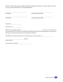# I HAVE COMPLETELY READ THIS AFFIDAVIT BEFORE SIGNING IT AND I AGREE TO THE FACTS AND CONDITIONS CONTAINED HEREIN.

| <b>WITNESS</b>                                                          | <b>SELLER SIGNATURE</b>                                                                                  |
|-------------------------------------------------------------------------|----------------------------------------------------------------------------------------------------------|
| <b>WITNESS</b>                                                          | <b>SELLER SIGNATURE</b>                                                                                  |
|                                                                         |                                                                                                          |
| STATE OF                                                                |                                                                                                          |
| COUNTY OF                                                               |                                                                                                          |
| that they executed said instrument for the purposes expressed.          | Before me personally appeared <u>secured</u> the foregoing instrument, and acknowledged to and before me |
| WITNESS my hand and official seal in the State and County aforesaid, on |                                                                                                          |
| (SEAL)                                                                  |                                                                                                          |
| <b>Notary Public</b>                                                    |                                                                                                          |

My Commission Expires: \_\_\_\_\_\_\_\_\_\_\_\_\_\_\_\_\_\_\_\_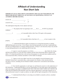# **Affidavit of Understanding Non Short Sale**

## **IMPORTANT LEGAL DOCUMENT CONCERNING THE SALE OF YOUR HOUSE AND SHOULD BE READ CAREFULLY. IF YOU HAVE ANY QUESTIONS, CONTACT AN ATTORNEY BEFORE SIGNING.**

STATE OF \_\_\_\_\_\_\_\_\_\_\_\_\_\_\_\_\_\_\_\_\_\_\_ ) ) ss COUNTY OF QUALITY OF

The undersigned, being duly sworn, deposes and says:

1. The property that I am agreeing to sell IS or IS NOT my principal residence.

2. a) I reasonably believe that I have NO equity in this property

OR

b) I reasonably believe that there is \$  $\qquad \qquad$  or less in equity in this property.

3. I understand that Buyer makes no promises as to curing back payments or making additional payments on my loan. Even if Buyer cures the back payments on my loan, I understand that this does not obligate Buyer to continue making payments. At Buyer's sole discretion, Buyer may decide to stop making payments on my underlying notes at any time.

4. I agree to vacate the property on or before days before the closing and leave the premises in a neat and clean condition and free from all personal effects, furniture and debris. If I remain beyond that time or do not leave the property in a neat and clean condition and free from all personal effects, furniture and debris I will be liable for damages.

5. I agree to waive any rights I may have to any prepaid or escrowed property taxes, insurance, homeowner's association dues, county property tax refunds or other amounts held by any party in escrow, including, but not limited to lenders, homeowner's associations and insurance companies.

\_\_\_\_\_\_\_\_\_ 6. I have had the opportunity to seek legal, tax and financial counsel as to the implications of this transaction. I understand that Buyer is not my representative or real estate agent in this transaction and is not acting on my behalf. I UNDERSTAND THAT THIS DOCUMENT DOES NOT DEFINE OR EXPLAIN MY RIGHTS OR OPTIONS, and I have had the opportunity to seek legal, financial, tax or other professional counsel to weigh my options, my rights and the legal consequences of this transaction.

\_\_\_\_\_\_\_\_\_ 7. I understand that the Buyer is not acting on my behalf as counselor, advisor, consultant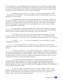or non-profit agency. I also understand Buyer may close in the name of a nominee or related company, or may choose to immediately resell the property to another party for a profit. I understand that Buyer may make a substantial profit from this transaction and that his primary motivation in engaging in this transaction is to make a profit from the rental or resale of the property.

\_\_\_\_\_\_\_\_\_ 8. I understand that Buyer agrees to provide me with copies of these documents within business days of this agreement. I may request additional copies of said documents at any time by paying the cost of reproduction.

\_\_\_\_\_\_\_\_\_ 9. I understand that I may have certain rights under the state or federal law, including, but not limited to bankruptcy, redemption or other equitable rights that may give me additional rights. This disclosure is not to be construed as a list of my rights or legal advice, but simply an acknowledgment that I have investigated my rights under the law. I understand that I may want to consult with legal counsel regarding these possible rights.

\_\_\_\_\_\_\_\_\_ 10. I understand by signing the Agreement, I have agreed to sell the Property to the Buyer and am now bound by the terms and conditions described in this Agreement. I further understand that I cannot continue to market the Property to any other party, except as provided herein.

\_\_\_\_\_\_\_\_\_ 11. I understand Buyer has chosen to close this transaction with a specific title company or escrow company. Buyer will record the notice of the option contract. I also understand that this transaction may not involve title insurance or any title guarantees normally associated with a transaction.

12. English is or is not my native language but I do have the ability to read and understand this agreement.

13. I am not under the influence of alcohol, drugs or any other ailment at this time that would affect my ability to read this document and make an intelligent decision as to the consequences of signing it.

14. I understand that Buyer is not my attorney or legal advisor. I understand that Buyer will not and cannot represent me in any court proceedings. I MUST SEEK MY OWN LEGAL COUNSEL IF I INTEND ON DEFENDING A FORECLOSURE ACTION. BUYER WILL NOT DEFEND ME IN A FORECLOSURE ACTION. Buyer has not made any representations that Buyer is able to stop, stay or defend any foreclosure or other bank collection processes.

15. I understand that Buyer HAS MADE NO ASSURANCES OR GUARANTEES. I ACKNOWLEDGE THAT, IF BUYER IS UNABLE TO CLOSE FOR WHATEVER REASON ON THE SALE OF THE PROPERTY IN A TIMELY FASHION, THE PROPERTY MAY GO TO FORECLOSURE AUCTION. I AGREE TO HOLD BUYER HARMLESS SHOULD THE PROPERTY GO TO FORECLOSURE AUCTION.

16. The owner agrees to hold the Buyer, his heirs, assigns, employees, agents, officers, members, shareholders, corporation and Buyer's assignees or any future acceptor of this conveyance, harmless and fully indemnifies same (including but not limited to attorney's fees, whether or not litigation ensues, costs and all other litigation expenses).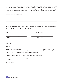17. The Buyer and/or his successors, assigns, agents, employees and trustees are not a debt relief agency and do not help people file for bankruptcy relief under the Bankruptcy code. The Buyer does not provide bankruptcy information, advice, counseling, document preparation, bankruptcy filing, or legal representation related to an existing or prospective bankruptcy. If you want bankruptcy advice please consult an attorney.

 $\_$  ,  $\_$  ,  $\_$  ,  $\_$  ,  $\_$  ,  $\_$  ,  $\_$  ,  $\_$  ,  $\_$  ,  $\_$  ,  $\_$  ,  $\_$  ,  $\_$  ,  $\_$  ,  $\_$  ,  $\_$  ,  $\_$  ,  $\_$  ,  $\_$  ,  $\_$  ,  $\_$  ,  $\_$  ,  $\_$  ,  $\_$  ,  $\_$  ,  $\_$  ,  $\_$  ,  $\_$  ,  $\_$  ,  $\_$  ,  $\_$  ,  $\_$  ,  $\_$  ,  $\_$  ,  $\_$  ,  $\_$  ,  $\_$  ,  $\_$  ,  $\_$  ,  $\_$  ,  $\_$  ,  $\_$  ,  $\_$  ,  $\_$  ,  $\_$  ,  $\_$  ,  $\_$  ,  $\_$  ,  $\_$  ,  $\_$  ,  $\_$  ,  $\_$  ,  $\_$  ,  $\_$  ,  $\_$  ,  $\_$  ,  $\_$  ,  $\_$  ,  $\_$  ,  $\_$  ,  $\_$  ,  $\_$  ,  $\_$  ,  $\_$  ,  $\_$  ,  $\_$  ,  $\_$  ,  $\_$  ,  $\_$  ,  $\_$  ,  $\_$  ,  $\_$  ,  $\_$  ,  $\_$  , \_\_\_\_\_\_\_\_\_\_\_\_\_\_\_\_\_\_\_\_\_\_\_\_\_\_\_\_\_\_\_\_\_\_\_\_\_\_\_\_\_\_\_\_\_\_\_\_\_\_\_\_\_\_\_\_\_\_\_\_\_\_\_\_\_\_\_\_\_\_\_\_\_\_\_\_\_\_\_\_\_\_\_  $\_$  ,  $\_$  ,  $\_$  ,  $\_$  ,  $\_$  ,  $\_$  ,  $\_$  ,  $\_$  ,  $\_$  ,  $\_$  ,  $\_$  ,  $\_$  ,  $\_$  ,  $\_$  ,  $\_$  ,  $\_$  ,  $\_$  ,  $\_$  ,  $\_$  ,  $\_$  ,  $\_$  ,  $\_$  ,  $\_$  ,  $\_$  ,  $\_$  ,  $\_$  ,  $\_$  ,  $\_$  ,  $\_$  ,  $\_$  ,  $\_$  ,  $\_$  ,  $\_$  ,  $\_$  ,  $\_$  ,  $\_$  ,  $\_$  ,

ADDITIONAL DISCLOSURES:

I HAVE COMPLETELY READ THIS AFFIDAVIT BEFORE SIGNING IT AND I AGREE TO THE FACTS AND CONDITIONS CONTAINED HEREIN.

 $\_$  ,  $\_$  ,  $\_$  ,  $\_$  ,  $\_$  ,  $\_$  ,  $\_$  ,  $\_$  ,  $\_$  ,  $\_$  ,  $\_$  ,  $\_$  ,  $\_$  ,  $\_$  ,  $\_$  ,  $\_$  ,  $\_$  ,  $\_$  ,  $\_$  ,  $\_$  ,  $\_$  ,  $\_$  ,  $\_$  ,  $\_$  ,  $\_$  ,  $\_$  ,  $\_$  ,  $\_$  ,  $\_$  ,  $\_$  ,  $\_$  ,  $\_$  ,  $\_$  ,  $\_$  ,  $\_$  ,  $\_$  ,  $\_$  ,

 $\_$  ,  $\_$  ,  $\_$  ,  $\_$  ,  $\_$  ,  $\_$  ,  $\_$  ,  $\_$  ,  $\_$  ,  $\_$  ,  $\_$  ,  $\_$  ,  $\_$  ,  $\_$  ,  $\_$  ,  $\_$  ,  $\_$  ,  $\_$  ,  $\_$  ,  $\_$  ,  $\_$  ,  $\_$  ,  $\_$  ,  $\_$  ,  $\_$  ,  $\_$  ,  $\_$  ,  $\_$  ,  $\_$  ,  $\_$  ,  $\_$  ,  $\_$  ,  $\_$  ,  $\_$  ,  $\_$  ,  $\_$  ,  $\_$  ,

WITNESS SELLER SIGNATURE

WITNESS SELLER SIGNATURE

STATE OF

COUNTY OF \_\_\_\_\_\_\_\_\_\_\_\_\_\_\_

Before me personally appeared  $\blacksquare$ persons described herein and who executed the foregoing instrument, and acknowledged to and before me that they executed said instrument for the purposes expressed.

WITNESS my hand and official seal in the State and County aforesaid, on

\_\_\_\_\_\_\_\_\_\_\_\_\_\_\_\_\_\_\_\_\_\_\_\_\_\_\_\_\_\_(SEAL) Notary Public

My Commission Expires: \_\_\_\_\_\_\_\_\_\_\_\_\_\_\_\_\_\_\_\_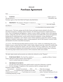## **[Balanced]**

# **Purchase Agreement**

Date:

| 1. | <b>PARTIES:</b>                                                   |                  | (Seller) agrees to |
|----|-------------------------------------------------------------------|------------------|--------------------|
|    | sell and convey to                                                |                  | (Purchaser), and   |
|    | Purchaser agrees to buy from Seller the Property described below. |                  |                    |
| 2. | <b>PROPERTY:</b> The property ("Property") is known as            |                  | 1n                 |
|    |                                                                   | City,<br>County, | (zip code) legally |
|    | described as                                                      |                  |                    |
|    | or as described in the attached exhibit.                          |                  |                    |

*Improvements:* The house, garage and all other fixtures and improvements attached to the abovedescribed real property, including without limitation, the following permanently installed and built-in items, if any: all equipment and appliances, valances, screens, shutters, awnings, wall-to-wall carpeting, mirrors, ceiling fans, attic fans, mail boxes, television antennas and satellite dish system and equipment, heating and air-conditioning units, security and fire detection equipment, wiring, plumbing and lighting fixtures, chandeliers, water softener system, kitchen equipment, garage door openers, cleaning equipment, shrubbery, landscaping, outdoor cooking equipment, and all other property owned by Seller and attached to the above described real property.

*Accessories:* The following described related accessories, if any: window air conditioning units, stove, fireplace screens, curtains and rods, blinds, window shades, draperies and rods, controls for satellite dish system, controls for garage door openers, entry gate controls, door keys, mailbox keys, above ground pool, swimming pool equipment and maintenance accessories, and artificial fireplace logs. Exclusions: The following improvements and accessories will be retained by Seller and excluded:

\_\_\_\_\_\_\_\_\_\_\_\_\_\_\_\_\_\_\_\_\_\_\_\_\_\_\_\_\_\_\_\_\_\_\_\_\_\_\_\_\_\_\_\_\_\_\_\_\_\_\_\_\_\_\_\_\_\_\_\_\_\_\_\_\_\_\_\_\_\_\_\_\_\_\_\_\_\_\_\_\_\_\_ \_\_\_\_\_\_\_\_\_\_\_\_\_\_\_\_\_\_\_\_\_\_\_\_\_\_\_\_\_\_\_\_\_\_\_\_\_\_\_\_\_\_\_\_\_\_\_\_\_\_\_\_\_\_\_\_\_\_\_\_\_\_\_\_\_\_\_\_\_\_\_\_\_\_\_\_\_\_\_\_\_\_\_

The land, improvements and accessories are collectively referred to as the "Property".

| <b>PURCHASE PRICE:</b> The Total Price shall be \$<br>3.<br>money: (Receipt of which is hereby acknowledged) \$ | payable as follows: Earnest           |
|-----------------------------------------------------------------------------------------------------------------|---------------------------------------|
| Cash or certified funds due at closing: \$                                                                      |                                       |
|                                                                                                                 |                                       |
| $\overline{4}$ .<br><b>METHOD OF PAYMENT:</b>                                                                   |                                       |
| (a) Cash: The entire purchase price shall be paid in cash and no financing is required.                         |                                       |
| (b) New Mortgage: Completion of this transaction shall be contingent upon the                                   |                                       |
| Purchaser's ability to obtain a:                                                                                |                                       |
| Conventional Insured Conventional FHA VA                                                                        | Other first mortgage                  |
| loan for % of purchase price, payable not less than                                                             | years, with an original rate          |
| of interest not to exceed % per annum not to exceed                                                             | points. Purchaser shall pay all costs |
| of obtaining financing, except                                                                                  |                                       |
|                                                                                                                 | Closing                               |

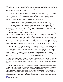Fee, Survey and Title Insurance costs are NOT included above. Any inspections and charges which are required to be made and charged to Purchaser or Seller by lender, FHA, VA, mortgage insurer, or closing agent, shall be made and charged in accordance with their prevailing rules or regulations and shall supercede any provisions of this Agreement.

\_\_\_\_\_ (c) Seller Financing: A promissory note from Purchaser to Seller of \$\_\_\_\_\_\_\_\_\_\_\_\_\_\_ bearing \_\_\_\_\_\_\_% interest per annum, secured by [choose the appropriate instrument authorized within the state: mortgage, or vendor's and deed of trust liens, and containing the terms and conditions described in the attached Seller Financing Addendum. If an owner policy of title insurance is furnished, Purchaser shall furnish Seller with a mortgagee policy of title insurance.

**5. TITLE INSURANCE:** Seller agrees to furnish to Purchaser an owner's title insurance commitment, issued br a company qualified to insure titles in [state], in the amount of the purchase price, insuring the mortgagee against loss on account of any defect or encumbrance in the title, unless herein excepted; otherwise, the earnest money shall be refunded. Said property is sold and is to be conveyed subject to any mineral and mining rights not owned by the undersigned Seller and subject to present zoning classification.

**6. PRORATIONS & HAZARD INSURANCE:** The taxes, as determined on the date of closing, are to be prorated between Seller and Purchaser as of the date of delivery of the deed. Seller shall keep in force sufficient hazard insurance on the property to protect all interests until this sale is closed and the deed delivered. If the property is destroyed or materially damaged between the date hereof and the closing and Seller is unable or unwilling to restore it to its previous condition prior to closing, Purchaser shall have the option of canceling the contract and receiving back the earnest money, or accepting the property in its damaged condition, any insurance proceeds otherwise payable to Seller by reason of such damage shall be applied to the balance of the purchase price or otherwise be payable to Purchaser.

**7. CLOSING COSTS & DATE:** The sale shall be closed and the deed delivered within sixty (60) days from the execution of this Agreement by all parties, except Seller shall have a reasonable length of time within which to perfect title or cure defects in the title to the said property. The Seller agrees to pay the cost of deed preparation and a mortgagee's title insurance policy, all other closing costs shall be paid by Purchaser. Purchaser agrees to allow Seller to remain in possession of said property subject to separate terms of a month to month lease agreement to be executed at closing for a lease period not to extend beyond \_\_\_\_\_\_\_\_\_\_\_\_\_\_\_\_\_\_\_\_\_\_\_\_\_\_\_\_\_\_\_\_\_\_\_ [insert month/day/year].

**8. CONVEYANCE:** Seller agrees to convey a good merchantable title and General Warranty Deed of said property insuring that property is free of all encumbrances, except as hereinabove set out and Seller and Purchaser agree that any encumbrances shall be paid in full at the time of closing from sales proceeds.

**9. CONDITION OF PROPERTY:** General Provisions and Obligations of Parties: Seller agrees to deliver the heating, cooling, plumbing and electrical systems and any built-in appliances in operable condition at the time of closing. It shall be the responsibility of Purchaser, at Purchaser's expense, to satisfy himself/herself that all conditions of this contract are satisfied before closing. Said sale is contingent upon a satisfactory inspection of the property to be completed and reported to Seller prior to or on \_\_\_\_\_\_\_\_\_\_\_\_\_\_\_\_\_\_\_\_\_\_\_\_\_\_\_\_, 20\_\_\_\_\_\_.

Said contract shall only be renegotiable upon a major defect with an individual repair cost in excess of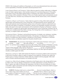\$500.00. After closing, all conditions of the property, as well as any aforementioned items and systems, are the responsibility of Purchaser and shall be deemed purchased AS-IS.

*Lender Required Repairs and Treatments:* Unless otherwise agreed in writing, neither party is obligated to pay for lender required repairs, which includes treatment for wood destroying insects. If the parties do not agree to pay for the lender required repairs or treatments, this contract will terminate and the earnest money will be refunded to Purchaser. If the cost of lender required repairs and treatments exceed 5% of the Sales Price, Purchaser may terminate this contract and the earnest money will be refunded to Purchaser.

*Completion of Repairs and Treatments:* Unless otherwise agreed in writing, Seller shall complete all agreed repairs and treatments prior to the Closing Date. All required permits must be obtained, and repairs and treatments must be performed by persons who are licensed or otherwise authorized by law to provide such repairs or treatments. At Purchaser's election, any transferable warranties received by Seller with respect to the repairs and treatments will be transferred to Purchaser at Purchaser's expense. If Seller fails to complete any agreed repairs and treatments prior to the Closing Date, Purchaser may do so and receive reimbursement from Seller at closing. The Closing Date will be extended up to 15 days, if necessary, to complete repairs and treatments.

*Environmental Matters:* Purchaser is advised that the presence of wetlands, toxic substances, including asbestos and wastes or other environmental hazards, or the presence of a threatened or endangered species or its habitat may affect Purchaser's intended use of the Property. If Purchaser is concerned about these matters, an addendum required by the parties should be used.

**10. POSSESSION:** The possession of the Property shall be delivered to Purchaser: [choose one:] at closing within days after closing, or  $\Box$  on or before  $\Box$ , if closed. For each day Seller is entitled to possession after closing, Seller shall pay to Purchaser at closing \$\_\_\_\_\_\_\_\_\_\_\_\_\_\_\_\_\_\_ per day. If Seller does not deliver possession by the date required in the first sentence of this paragraph, Seller shall pay Purchaser \$ per day as liquidated damages until possession is delivered to Purchaser; and Purchaser shall have all other legal and equitable remedies available against the Seller.

*Maintenance of Property:* Seller shall maintain the Property in its present condition until its possession is delivered to Purchaser, subject to repairs in response to any inspection. Purchaser may inspect the Property prior to closing to determine whether Seller has complied with this paragraph. Seller shall remove all debris and personal property not included in the sale.

*Casualty Loss:* Risk of loss by damage or destruction to the Property prior to the closing shall be borne by Seller. In the event any damage or destruction is not fully repaired prior to closing, Purchaser, at Buyer's option, may either (a) terminate this Agreement or (b) elect to close the transaction, in which event Seller's right to all insurance proceeds resulting from such damage or destruction shall be assigned in writing by Seller to Purchaser.

**11.** SURVEY: Purchaser shall receive a (check ONE) Surveyor Location Report, which is a survey where owner corner markers are not set; Boundary Survey, which is a survey where corner markers of Property are set prior to closing; Waived, no survey required at (Check One)

Purchaser's expense; Seller's expense. The survey shall (1) be received prior to closing and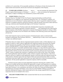certified as of a current date, (2) be reasonably satisfactory to Purchaser, (3) show the location of all improvements and easements, and (4) show the flood zone designation of the Property.

**12. FLOOD AREA/OTHER:** Purchaser <u>equal may or a may not terminate this Agreement if the</u> Property requires flood insurance or Purchaser \_\_\_\_ may or \_\_\_\_ may not terminate this Agreement if the Property is subject to building or use limitations by reason of the location.

# **13. INSPECTIONS:** (Check One).

Purchaser Reserves The Right To Have the Property Inspected (Including Lead-Based Paint) independent of or in addition to any inspections required by FHA, VA, or Purchaser's lender(s). All inspections are to be at Purchaser's expense (unless otherwise noted or required by lender) by licensed inspectors or qualified contractors selected by Purchaser within the specific time period. Seller shall have water, gas, electricity and all operable pilot lights on for Purchaser's inspections.

*Inspection/Response Period:* Purchaser shall order all Independent Inspections immediately after acceptance of the Purchase Agreement. Purchaser shall have days beginning the day following the date of acceptance of the Purchase Agreement to respond to the inspection report(s) in writing to Seller. Inspections may include, but are not limited to the condition of the following systems and components: *[Include list]*

If the initial inspection report reveals the presence of lead-based paint, radon or mold and other biological contaminants, then Purchaser shall have additional days to order, receive and respond in writing to any additional reports.

If Purchaser does not comply with any inspection/response period or make a written objection to any problem revealed in a report within an applicable time inspection/response time period, the Property shall be deemed to be acceptable. If the Purchaser reasonably believes that the Inspection Report reveals a MAJOR DEFECT with the Property and the Seller is unable or unwilling to remedy the defect to the Purchaser's reasonable satisfaction before closing (or at a time otherwise agreed to by the parties), then this Agreement may be terminated by the Purchaser and the earnest money refunded, OR such defect shall be waived by the Purchaser and the transaction shall proceed toward closing. "Defect" means a condition that would have a significant adverse effect on the value of the Property that would significantly impair the health or safety of future occupants of the Property, or that if not repaired, removed, or replaced would significantly shorten or adversely affect the expected normal life of the premises. Purchaser agrees that any Property Defect previously disclosed by Seller or routine maintenance and minor repair items mentioned in any report shall not be a basis for termination of this Agreement. All time periods applicable to inspection responses shall be reasonable.

Purchaser has been made aware that independent inspections disclosing the condition of the Property are available and has been afforded the opportunity to require such inspections as a condition of the Agreement. However, Purchaser waives inspections and relies upon the condition of the Property based upon Purchaser's own examination, and releases the Seller, the Listing and Selling Brokers and all salespersons associated with Brokers, if any, from any and all liability relating to any defect or deficiency affecting the Property, which release shall survive the closing, required FHA/VA or lender inspections that are not included in this waiver.

**14. SELLER'S WARRANTIES:** Seller warrants that Seller has not received notification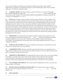from any lawful authority regarding any assessments, pending public improvements, repairs, replacements or alterations to said premises that have not been satisfactorily made. These warranties shall survive the delivery of the above deed.

**15. EARNEST MONEY:** The Earnest Money as paid by Purchaser as set forth in Paragraph 3 hereof shall be deposited by Seller with  $\qquad \qquad$  (escrow agent) only upon the execution of this contract. The Earnest Money shall be nonrefundable to Purchaser except for the occurrences of Paragraphs 5, 6, 12 or 13.

**16. DEFAULT:** If Purchaser fails to comply with this contract, Purchaser will be in default, and Seller may (a) enforce specific performance, seek such other relief as may be provided by law, or both, or (b) terminate this contract and receive the earnest money as liquidated damages, thereby releasing both parties from this contract. If, due to factors beyond Seller's control, Seller fails within the time allowed to make any non-casualty repairs, Purchaser may (a) extend the time for performance up to 15 days and the Closing Date will be extended as necessary or (b) terminate this contract as the sole remedy and receive the earnest money. If Seller fails to comply with this contract for any other reason, Seller will be in default and Purchaser may (a) enforce specific performance, seek such other relief as may be provided by law, or both, or (b) terminate this contract and receive the earnest money, thereby releasing both parties from this contract.

**17. MEDIATION:** Any dispute between Purchaser and Seller related to this contract that is not resolved through informal discussion [choose one] will will not be submitted to a mutually acceptable mediation service or provider. The parties to the mediation shall bear the mediation costs equally. This paragraph does not preclude a party from seeking equitable relief from a court of competent jurisdiction.

**18. SURVIVAL OF CONTRACT:** All terms, conditions and warranties not performed at the time of delivery of the deed shall survive such delivery.

**19. COMMISSION FEES:** Purchaser and Seller agree that said contract was negotiated at arms length without assistance of any real estate agents or brokers and that no such fees shall be paid by either party in connection with this contract or sale.

**20. ADDITIONAL PROVISIONS:** Any additional Provisions set forth on the reverse side, initialed by all parties, are hereby made a part of this contract and this contract states the entire agreement between the parties and merges in this agreement all statements, representations, and covenants heretofore made, and any agreements not incorporated herein are void and of no force and effect.

**21. SUCCESSORS AND ASSIGNS:** This contract shall be binding upon any heirs, successors and assigns of Seller or Purchaser.

**22. REVOCATION OF OFFER BY PURCHASER:** This contract has been first executed by Purchaser and if not accepted by all parties by noon on  $\qquad \qquad$ , 20  $\qquad$ , this offer shall be void.

\_\_\_\_\_\_\_\_\_\_\_\_\_\_\_\_\_\_\_\_\_\_\_\_\_\_\_\_\_\_\_\_\_\_\_\_\_\_\_\_\_\_\_\_\_\_\_\_\_\_\_\_\_\_\_\_\_\_\_\_\_\_\_\_\_\_\_\_\_\_\_\_\_\_\_\_\_\_\_\_\_\_\_

# **23. DISCLOSURES:** \_\_\_\_\_\_\_\_\_\_\_\_\_\_\_\_\_\_\_\_\_\_\_\_\_\_\_\_\_\_\_\_\_\_\_\_\_\_\_\_\_\_\_\_\_\_\_\_\_\_\_\_\_\_\_\_\_\_\_\_\_\_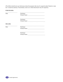[The Seller should note any disclosures about the property that may be required under Federal or state law. Consult an attorney if uncertainty exists as to which disclosures may be required.]

## **PURCHASER:**

| Date           | Purchaser     |
|----------------|---------------|
|                | Printed Name: |
|                |               |
|                | Purchaser     |
|                | Printed Name: |
| <b>SELLER:</b> |               |
| Date           | Purchaser     |
|                | Printed Name: |
|                |               |
|                | Purchaser     |
|                | Printed Name: |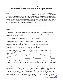# **[An Adjustable Version that you can adjust for Buy/Sell] Standard Purchase and Sales Agreement**

Parties \_\_\_\_\_\_\_\_\_\_\_\_\_\_\_\_\_\_\_\_\_\_\_\_\_\_\_\_\_\_\_\_\_\_\_\_\_\_\_\_\_\_\_\_\_\_\_\_\_\_\_\_\_\_\_, as (BUYER) and \_\_\_\_\_

\_\_\_\_\_\_\_\_\_\_\_\_\_\_\_\_\_\_\_\_\_\_\_\_\_\_\_\_\_\_\_\_\_\_\_\_\_\_\_\_\_\_\_ (Husband and Wife) as (SELLER) which terms

may be singular or plural and will include the heirs successors, personal representatives and assigns of Seller and Buyer, hereby agree that Seller will sell and Buyer will buy the following property, upon the following terms and conditions if completed or marked. In any conflict of terms or conditions, that which is added will supersede that which is printed or marked. The Property is in Ashtabula County, and is described as follows (If lengthy, attach legal description):

## SEE ATTACHMENT "A" FOR LEGAL DESCRIPTION

Address:

It is understood that the Property will be conveyed by General Warranty Deed (unless otherwise required) subject to taxes, existing zoning (unless otherwise specified in paragraph 16), covenants, restrictions and easements of record.

1. Total Purchase Price to be paid by Buyer is payable as follows:

| A. Earnest money deposit which will remain as a binder until closing, unless sooner         |  |  |  |
|---------------------------------------------------------------------------------------------|--|--|--|
| forfeited or returned, according to the provisions in this Agreement:                       |  |  |  |
|                                                                                             |  |  |  |
| C. Balance due at closing (not including Buyer's closing cost, prepaid items or prorations) |  |  |  |
| in U.S. cash or locally drawn certified or cashiers check approximately                     |  |  |  |
| exactly                                                                                     |  |  |  |
| D. Proceeds of a new loan to be obtained by Buyer from any lender other than Seller:        |  |  |  |
| E. Purchase money loan to Seller on terms set forth in Paragraph 2C:                        |  |  |  |
| F. Other financing                                                                          |  |  |  |
| G. Existing mortgage balance encumbering the Property to be assumed by Buyer                |  |  |  |
| (approximately):                                                                            |  |  |  |
| H. Total Purchase Price approximately<br>exactly                                            |  |  |  |

2. Financing: If buyer does not obtain the required financing but otherwise complies with the terms hereof, the earnest money deposit less sales and loan processing costs incurred, will be returned to the Buyer.

A [ ] Application: The application for the mortgage described in paragraph 1D will be made with lender selected by [ ] Seller or [ ] Buyer. Unless such mortgage loan is approved without continued contingencies other than those elsewhere covered in this agreement within 40 days of the date of acceptance of this agreement, Seller and Buyer will have the right to terminate this agreement, and Buyer will return to Seller all the title evidence and surveys received from Seller. Buyer will make application for financing within 7 days of the date of acceptance of this agreement and in a timely manner furnish any and all credit, employment, financial and other information required by the lender. In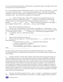the event the original loan application is denied, Buyer, if requested by Seller, will reapply within 3 days of such request at an alternate institution

B [ ] Loan Assumption: Buyer understands that interest [ ] will [ ] will not, escalate and is [ ] variable [ ] fixed rate. Buyer will within days make required application and timely provide qualifying information as required by lender. Buyer's obligation to close is contingent on lender's approval of the assumption within \_\_days of the date of acceptance of this agreement.

C [ ] Seller: The balance due to Seller will be evidenced by a negotiable promissory note of Borrower, secured by a valid purchase money \_\_\_\_ mortgage or Trust Deed on the Property and delivered by Buyer to Seller dated the date of closing bearing annual interest rate of  $\%$  and payable \$\_\_\_\_\_\_ per \_\_\_\_\_for [ ] \_\_\_ years \_\_\_\_ months. Privilege of prepayment [ ] does apply [ ] does not apply. The loan will be  $\overline{d}$  due on sale of Property.

3. Buyer will pay the following closing costs:

A. Closing Costs [ ] Recording fees [ ] Note stamps[ ] Intangible tax [ ] Credit reports [ ] Loan transfer and assumption charges [ ] VA funding fee [ ] Loan origination fee [ ] Loan insurance premium [ ] Loan discount not to exceed [ ] Transfer Tax [ ] Wood Destroying Organism Report B. [ ] Appraisal [ ] Survey [ ] Title Insurance Policy C. [ ]Other\_\_\_\_\_\_\_\_\_\_\_\_\_\_\_\_\_\_\_\_\_\_\_\_\_\_\_\_\_\_\_\_\_\_\_\_\_\_\_\_\_\_\_\_\_\_\_\_\_\_\_\_\_\_\_\_\_\_\_

4. Seller will pay the following closing costs:

A. Closing Costs [X] Transfer tax [ ] Title insurance policy [ ] Attorney's fee [ ] Real estate brokerage fee

[ ] Loan discount not to exceed [ ] Satisfaction and recording fee [ ] Repairs or replacements, in addition to those in paragraph 9, not to exceed \$

[ ] Wood destroying organism report [ ] Appraisal fee [ ] Survey [ ]

Other

All other charges required by lender that Buyer be prohibited from paying by law or regulation. All mortgage payments or condominium and association fees will be current at Seller's expense at the time of closing.

5. Payment of Expenses: If Buyer fails to perform, all loan and sale processing and closing costs incurred, whether the same were to be paid by Seller or Buyer will be the responsibility of the Buyer, with costs deducted from earnest money deposit. If Seller fails to perform, all loan, sales processing and closing costs incurred whether same were to be paid by Seller or Buyer will be the responsibility of Seller, and Buyer will be entitled to the return of the earnest money deposit. This will include, but not be limited to the transaction not being closed because Seller is unable to complete the transaction for a qualified Buyer, or because the property does not appraise for an amount sufficient to enable the lender to make the required loan, or because Seller elects not to pay for the excess amount in paragraphs 4 (with respect to repairs), 9, or 11, or because the zoning is not as required in paragraph 16 or because Seller cannot deliver marketable title.

6. Prorations: The following agreed to items: [ ] taxes, [ ] rentals, [ ] condominium or association fees, [ ] prepaid hazard insurance premiums (if assumed), [ ] monthly mortgage insurance premiums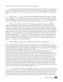and  $\lceil \cdot \rceil$  interest on loans will be prorated as of the date of closing.

7. Title Evidence: Within 40 days after acceptance Seller will deliver to Buyer or closing attorney a Title insurance commitment for an owner's policy in the amount of the purchase price. Any expense of curing title including but not limited to legal fees, discharge of liens and recording fees will be paid by Seller.

8. Survey: Within days [ ] after date of acceptance Seller will deliver to Buyer or closing agent or attorney [ ] A new staked survey dated within 3 months of closing showing all improvements now existing thereon and certified to Buyer, lender and the title insurer  $\lceil \cdot \rceil$  A copy of a previously made survey of the Property showing all improvements now existing thereon. [ ] No survey is required.

9. Wood destroying Organism Report: "Wood Destroying Organism" means any arthropod or plant life that damages a structure. Buyer may have property inspected by a Certified Pest Control Firm to determine whether there is any visible active wood destroying organism infestation or visible existing structural damage from wood destroying organisms to the improvements. If Buyer is informed of either or both of the foregoing, Seller will have seven (7) days from receipt of written notice thereof within which to have all such wood destroying organism damages whether visible or not inspected and estimated by a licensed building or general contractor. Seller will pay costs of treatment and repairs of all structural damage up to  $\qquad$  percent ( $\%$ ) of the purchase price. If such costs exceed the amount agreed to be paid by Seller and Seller declines to treat and repair, Buyer will have the option of (a) terminating this Agreement or, (b) proceeding with the transaction. in which event Seller will bear costs equal to  $\qquad$  percent ( $\frac{9}{9}$ ) of the purchase price.

10. Title Examination and Time for Closing (Title and escrow work to be handled by  $\qquad \qquad \qquad .$ 

If title evidence and survey, as specified above, show Seller is vested with a marketable title, subject to the usual exceptions contained in title insurance commitments (such as exceptions for survey, current taxes, zoning ordinances, covenants, restrictions and easements of record), the transaction will be closed and the deed and other closing papers delivered on or before  $\lceil \cdot \rceil$ 

[ ] days after the date of acceptance unless extended by other conditions of this Agreement. If title evidence or survey reveal any defects which render the title unmarketable, Buyer will have 7 days from receipt of title commitment and survey to notify Seller of such title defects and Seller agrees to use reasonable diligence to cure such defects at Seller's expense and will have 30 days to do so, in which event this transaction will be closed within 10 days after delivery to Buyer of evidence that such defects have been cured. Seller agrees to pay for and discharge all due or delinquent taxes, liens and other encumbrances, unless otherwise agreed. If Seller is unable to convey to Buyer a marketable title, Buyer will have the right to terminate this agreement at the same time returning to Seller all title evidence and surveys received from Seller, or Buyer will have the right to accept such title as Seller may be able to convey and to close this transaction upon the terms stated herein, which election will he exercised within 10 days from notice of Seller's inability to cure.

11. Loss or Damage: If the property is damaged by fire or other casualty prior to closing, and cost of restoration does not exceed  $\frac{9}{6}$  of the assessed valuation of the improvements located on the Property, cost of restoration will he an obligation of the Seller and closing will proceed pursuant to the terms of this Agreement with cost thereof escrowed at closing. In the event cost of restoration exceeds 3% of the assessed valuation of the improvements and the Seller declines to repair or restore, Buyer will have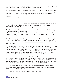the option of either taking the Property as is, together with either the said 3% or any insurance proceeds payable by virtue of such loss or damage, or of canceling this Agreement.

12. Seller agrees to deliver the Property in its PRESENT AS IS CONDITION except as otherwise specified herein. Seller does hereby certify and represent that Seller has legal authority and capacity to convey the property with all improvements. Seller further certifies and represents that Seller knows of no latent defects to the property and knows of no facts materially affecting the value of the property except the following:

Description of problems:

Buyer has inspected the property and HAS NOT RELIED UPON ANY REPRESENTATIONS MADE BY ANY REAL ESTATE AGENT in describing the property, and Buyer accepts the property in its PRESENT AS IS CONDITION, except as otherwise specified herein.

\_\_\_\_\_\_\_\_\_\_\_\_\_\_\_\_\_\_\_\_\_\_\_\_\_\_\_\_\_\_\_\_\_\_\_\_\_\_\_\_\_\_\_\_\_\_\_\_\_\_\_\_\_\_\_\_\_\_\_\_\_\_\_\_\_\_\_\_\_\_ \_\_\_\_\_\_\_\_\_\_\_\_\_\_\_\_\_\_\_\_\_\_\_\_\_\_\_\_\_\_\_\_\_\_\_\_\_\_\_\_\_\_\_\_\_\_\_\_\_\_\_\_\_\_\_\_\_\_\_\_\_\_\_\_\_\_\_\_\_\_

13. Occupancy [ ] Seller represents that there are no parties in occupancy other than Seller. Buyer will he given occupancy at closing unless herein

[ ] Buyer understands that property is available for rent or rented and the tenant may continue in possession following closing unless otherwise agreed in writing. The deposits  $\lceil \cdot \rceil$  will  $\lceil \cdot \rceil$  will not be transferred to Buyer at closing.

14. Personal Property: included in the purchase price are all fixed equipment including ceiling fans, drapery hardware, attached lighting fixtures, mailbox, fence, plants and shrubbery as now installed on the property. and these additional items \_\_\_\_\_\_\_\_\_\_\_\_\_\_\_\_\_\_\_\_\_\_\_\_\_\_\_\_\_ Items specifically excluded from this agreement:

15. Default and Attorney's Fees: If Buyer defaults on this agreement, all deposits will be retained by the Seller as full settlement of any claim, whereupon Buyer and Seller will be relieved of all obligations under this agreement. If Seller defaults under this Agreement, the Buyer may seek specific performance or elect to receive the return of the Buyers deposit(s) without thereby waving any action for damages resulting from Seller's breach. In connection with any litigation arising out of this Agreement, the prevailing party will he entitled to recover all costs including a reasonable attorney's fee

16. [ ] Zoning and Restrictions: Unless the Property is zoned and can he legally used for use, or if there is notice of proposed zoning changes, deed or other restrictions that could prevent such use at time of closing, Buyer will have the right to terminate this Agreement. Buyer will have 10 days from acceptance to verify the existing zoning and current proposed changes, and deliver written notice of objections to Seller or be deemed to have waived objections under this paragraph.

17. The offer of BUYER shall terminate if SELLER has not indicated his acceptance of this Agreement by signing and delivering same or telegraphing acceptance to Buyer or submitting agent before  $: 01$ [ ] AM.[ ] PM, Date

\_\_\_\_\_\_\_\_\_\_\_\_\_\_\_\_\_\_\_\_\_\_\_\_\_\_\_\_\_\_\_\_\_\_\_\_\_\_\_\_\_\_\_\_\_\_\_\_\_\_\_\_\_\_\_\_\_\_\_\_\_\_\_\_\_\_\_\_\_\_\_\_\_\_\_\_\_\_\_\_\_\_\_ \_\_\_\_\_\_\_\_\_\_\_\_\_\_\_\_\_\_\_\_\_\_\_\_\_\_\_\_\_\_\_\_\_\_\_\_\_\_\_\_\_\_\_\_\_\_\_\_\_\_\_\_\_\_\_\_\_\_\_\_\_\_\_\_\_\_\_\_\_\_\_\_\_\_\_\_\_\_\_\_\_\_\_

18. Additional Terms, Conditions or Addenda (lettered A.B.C.D.etc.)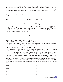19. There are no other agreements, promises or understandings between these parties except as specifically set forth herein. This legal and binding agreement will be construed under Ohio Law, will not he recorded and if not understood, parties should seek competent legal advice. Seller and Buyer give real estate agent authorization to advise surrounding neighbors who will he the owner of this property. TIME IS OF THE ESSENCE IN THIS AGREEMENT.

20. Signed sealed on the date herein stated:

| Buyer  | Date of Offer      | <b>Buyer Signature</b> |
|--------|--------------------|------------------------|
| Seller | Date of Acceptance | Seller Signature       |

 $\lceil$  ] Agent  $\lceil$  ] Seller, by the signature below, acknowledge receipt of \$N/A  $\lceil$  [Cash  $\lceil$  ] Check, as binder deposit, which is the amount mentioned in paragraph 1 A of this Agreement. It will be deposited and held in escrow pending disbursement according to terms hereof, together with all additional binder deposits escrowed by terms of this agreement.

Agent Seller

 $\_$  ,  $\_$  ,  $\_$  ,  $\_$  ,  $\_$  ,  $\_$  ,  $\_$  ,  $\_$  ,  $\_$  ,  $\_$  ,  $\_$  ,  $\_$  ,  $\_$  ,  $\_$  ,  $\_$  ,  $\_$  ,  $\_$  ,  $\_$  ,  $\_$  ,  $\_$ 

Broker's Fee (Check and complete the one applicable)

[ ] IF A LISTING AGREEMENT IS CURRENTLY IN EFFECT

Seller agrees to pay the broker named below, including cooperating subagents named according to the terms of an existing, separate listing agreement. Cooperating Commission: or

## [ ] IF NO LISTING AGREEMENT IS CURRENTLY IN EFFECT.

Seller will pay the broker named below, at the time of closing, from the disbursements of the proceeds of the sale, compensation in the amount of (COMPLETE ONE ONLY) % of gross purchase price or \$ for broker's services in effecting the sale by finding the Buyer ready, willing and able to purchase pursuant to the foregoing Agreement. If Buyer fails to perform and deposits are retained, 50% thereof, after deduction of costs assessed against the deposit, (but not exceeding the broker's fee above provided) will be paid broker, as full consideration for broker's services including costs expended by broker and the balance will be paid to seller. If the transaction does not close because of refusal or failure of Seller to perform, Seller will pay the full fee upon demand. In any litigation arising out of the Agreement concerning the broker's fee, the prevailing party will recover reasonable attorney's fees and costs.

| Buyer:<br><u> 1980 - Andrea Brand, Amerikaansk politik (</u> | Date: $\qquad \qquad$                                |
|--------------------------------------------------------------|------------------------------------------------------|
| Buyer:                                                       | Date: $\qquad \qquad$                                |
| Seller:                                                      | Date:<br><u> 1999 - Alban III, politik politik (</u> |
| Seller:                                                      | Date:                                                |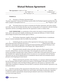## **Mutual Release Agreement**

| This Agreement is made as of this |                      | between       |
|-----------------------------------|----------------------|---------------|
|                                   | (the "Seller") of    | [Address] and |
|                                   | (the "Purchaser") of | [Address].    |

#### **WHEREAS:**

(A) Pursuant to a Purchase Agreement dated \_\_\_\_\_\_\_\_\_\_\_\_\_\_\_\_\_\_\_\_\_\_\_\_\_\_\_\_\_\_\_\_\_\_ (the "Purchase Agreement") between the Purchaser and the Seller, the Purchaser agreed to purchase from the Seller a property municipally known as  $($ the "Property"); and  $($ the "Property"); and

(B) The parties hereto now desire to terminate the Purchase Agreement, and wish to release each other from any and all claims that they may have arising under (or in connection with) the Purchase Agreement, and have accordingly entered into this Agreement in order to evidence same.

**NOW THEREFORE,** in consideration of the recitals, the mutual covenants hereinafter set forth, and for other good and valuable consideration, the receipt and sufficiency of which is hereby acknowledged, the parties hereto hereby agree as follows:

1. The Purchase Agreement, together with any and all addenda thereto or amendments thereof, is hereby terminated, and of no further force and effect,

2. Forthwith upon the execution of this Agreement by both parties hereto, the Seller shall refund and remit to Purchaser the sum of [Deposit paid to Seller by Purchaser], representing the aggregate of all deposit monies heretofore paid by the Purchaser to the Seller on account of the purchase price of the Property (the "Deposit Monies.")

3. The parties hereby mutually release each other, and each of their respective heirs, executors, administrators, successors and assigns, from and against any and all costs, damages, actions, proceedings, demands and/or claims whatsoever which either of the parties hereto now has or may hereafter have, against the other party hereto, by reason of, or in connection with, the Purchase Agreement (any any and all addenda thereto or amendments thereof) and/or the termination thereof pursuant to the foregoing provisions hereof.

4. Without restricting the generality of the foregoing, it is expressly understood and agreed that the Purchaser shall not make or pursue any claim(s) or proceeding(s) with respect to the Purchase Agreement, the Property and/or the Deposit Monies against any other person or corporation which might claim contribution or indemnity from the Seller in connection with the Purchase Agreement or the termination thereof.

5. Upon the execution of this Agreement by both parties hereto, all of the estate, title and interest of the Purchaser in and to the Property (both at law and in equity, and whether in possession, expectancy or otherwise) shall be automatically released and quit-claimed to and in favor of the Seller and its successors and assigns forever.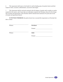6. This Agreement shall enure to the benefit of, and be binding upon, the parties hereto and their respective heirs, executors, administrators, successors and assigns.

7. This Agreement shall be read and construed with all changes of gender and/or number as maybe required by the context, and if more than one individual comprises the Purchaser, then all of the foregoing covenants and agreements of the Purchase shall be deemed and construed to be joint and several covenants and agreement thereof.

**IN WITNESS WHEREOF,** the parties hereto have executed this Agreement as of the date first above written

| Witness | Purchaser     |
|---------|---------------|
|         | Printed:      |
|         |               |
| Witness | <b>Seller</b> |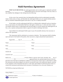# **Hold Harmless Agreement**

**FOR VALUE RECEIVED, the undersigned jointly and severally agree to indemnify and hold** harmless (Indemnified) and its successors and assigns, from any claim, action, liability, loss, damage or suit, arising from the following:

In the event of any asserted claim, the Indemnified shall provide the undersigned reasonably timely written notice of same, and thereafter the undersigned shall at its own expense defend, protect, and save harmless Indemnified against said claim or any loss or liability thereafter.

In the further event the undersigned shall fail to so defend and/or indemnify and save harmless, then in such instance the Indemnified shall have full rights to defend, pay or settle said claim on their own behalf without notice to undersigned and with full rights to recourse against the undersigned for all fees, costs, expenses and payments made or agreed to be paid to discharge said claim.

Upon default, the undersigned further agree to pay all reasonable attorneys fees necessary to enforce this Agreement.

This Agreement shall be unlimited as to amount or duration. This Agreement shall be binding upon and inure to the benefit of the parties, their successors, assigns and personal representatives.

| Signed this $\_\_\_$ day of $\_\_\_\_$ , 20 $\_\_\_\_\$ .                                                                                |                                                                                                         |
|------------------------------------------------------------------------------------------------------------------------------------------|---------------------------------------------------------------------------------------------------------|
|                                                                                                                                          | Name:                                                                                                   |
| Print:                                                                                                                                   | Print:                                                                                                  |
| Title:                                                                                                                                   |                                                                                                         |
| <b>STATE OF</b><br><u> 1989 - Johann Harry Harry Harry Harry Harry Harry Harry Harry Harry Harry Harry Harry Harry Harry Harry Harry</u> |                                                                                                         |
| COUNTY OF                                                                                                                                |                                                                                                         |
|                                                                                                                                          | $\frac{1}{20}$ , $\frac{20}{20}$ , $\frac{1}{20}$ , appeared before me and personally known to me (or   |
|                                                                                                                                          | proved to mo in the bosis of setisfactory ovidence) to be the person whose name is subscribed to within |

proved to me in the basis of satisfactory evidence) to be the person whose name is subscribed to within this instrument and acknowledged to me that he executed the same in his authorized capacity, and that by his signature on the instrument the person, or the entity upon behalf of which the person acted, executed such instrument and declared such execution of instrument to be a free and voluntary act.

WITNESS my hand and official seal.

 $\mathcal{L}_\text{max}$  , and the set of the set of the set of the set of the set of the set of the set of the set of the set of the set of the set of the set of the set of the set of the set of the set of the set of the set of the Notary Public #

My commission expires: County of residence: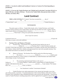**[NOTE 1: Can also be called Land Installment Contract or Contract For Deed depending on jurisdiction]**

**[NOTE 2: If you are the Vendee/Purchaser, put "Default and Acceleration" provision XI(A)(1) as ninety (90) days, not thirty (30) days. If you are the Vendor/Seller, then put provision as thirty (30) days, not ninety (90) ]**

## **Land Contract**

**THIS LAND CONTRACT** ("Contract") has been executed this day of

 $\_, 20 \_\_\_$ , by  $\_\_\_\_\_\_\_\_$ 

("Vendor/Seller"), and \_\_\_\_\_\_\_\_\_\_\_\_\_\_\_\_\_\_\_\_\_\_\_\_\_\_\_\_\_\_\_\_\_\_\_\_\_\_\_\_\_\_\_ ("Vendee/Purchaser"):

## **WITNESSETH**

The parties agree as follows: Vendor/Seller hereby sells to Vendee/Purchaser, and Vendee/ Purchaser hereby purchases from Vendor/Seller, the following described real estate, together with all improvements thereon or belonging thereto, located in \_\_\_\_\_\_\_\_\_\_\_\_\_\_\_\_\_\_\_\_\_\_\_\_ County, State of \_\_\_\_\_\_\_\_\_\_\_\_\_ ("Real Estate"), being more particularly described as follows:

*[Insert legal description]*

Commonly known as:  $\Box$ following covenants, terms and conditions:

## **I. Purchase Price and Manner of Payment.**

A. Purchase Price. The Purchase Price for the Real Estate shall be the sum of Dollars (\$  $()$  ("Purchase Price"), which Purchaser (jointly and severally, if more than one) agrees to pay Vendor/Seller in accordance with the terms and conditions of this Contract, without relief from valuation and appraisement laws and with reasonable attorneys' fees after default and referral to an attorney for collection.

B. Manner of Payment. The Purchase Price shall be paid in the following manner: 1. The sum of \_\_\_\_\_\_\_\_\_\_\_\_\_\_\_\_\_\_\_\_ Dollars (\$\_\_\_\_\_\_\_\_\_\_\_\_\_\_\_\_) shall be paid upon execution and delivery of this Contract to Vendo/Seller by Vendee/Purchaser and Vendor/Seller acknowledges receipt of such payment.

2. The remaining unpaid principal balance in the sum of Dollars (\$  $()$  ("Contract Balance") shall be paid to Vendor/Seller by Vendee/Purchaser, together with interest at the rate of percent ( $\frac{9}{9}$ ) per annum ("Per Annum Rate") for  $($   $)$  Years, as follows:

a. See Attachment A entitled "Amortization Schedule"

3. Vendee/Purchaser may make prepayments of any amount due hereunder at any time and without penalty or premium. No partial prepayment of the Contract Balance shall relieve Vendee/ Purchaser from continuing to make scheduled payments as they become due and payable. All payments made by Vendee/Purchaser, including prepayments, shall be applied first be applied to interest, fees and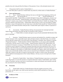penalties due and owing and then the balance of the payment, if any, to the principal amount owed.

4. All payments shall be made to Vendor/Seller at

or to such other place or person as Vendor/Seller may direct by written notice to Vendee/Purchaser.

## **II. Taxes and Insurance.**

A. Taxes. Vendee/Purchaser shall pay the taxes on the Real Estate beginning with the real estate taxes for 20  $\ldots$ , due and payable on  $\ldots$ , 20  $\ldots$ , and all installments of taxes payable thereafter. Vendor/Seller covenants and agrees to pay, prior to delinquency, all prior real estate taxes on the real estate. Vendee/Purchaser, upon written notice to Vendor/Seller and at Vendee/ Purchaser's expense, may contest on Vendor/Seller's and Vendee/Purchaser's behalf, any changes of the assessed valuation of the Real Estate. Vendor/Seller shall forward or cause to be forwarded to Vendee/ Purchaser a copy of all statements for real estate taxes on the Real Estate payable by Vendee/Purchaser, as received, and Vendee/Purchaser shall provide to Vendor/Seller upon request evidence of payment of such taxes.

B. Assessments. Vendee/Purchaser shall pay all assessments for municipal and other improvements becoming a lien after the date of execution of this Contract (

\_\_\_\_\_\_\_\_, 20\_\_\_\_). Vendor/Seller covenants and agrees to pay all such assessments that become a lien prior to such date.

C. Insurance. Vendee/Purchaser agrees to procure and maintain fire, extended coverage, and liability insurance with a responsible insurer upon all improvements on the Real Estate, in an amount not less than the contract price or the full extent of the purchaser's insurable value whichever is greater ("Required Insurance"). Vendee/purchaser shall list Vendor/Seller as a loss payee and/or lienholder on the policy with the insurer on said coverage. Vendee/Purchaser shall provide Vendor/Seller with such proof of insurance coverage as Vendor/Seller may from time to time reasonably request. Except as otherwise may be agreed in writing, any insurance proceeds received as payment for any loss of or damage to the Real Estate covered by Required Insurance shall be applied to restoration and repair of the loss or damage in such fashion as Vendor/Seller reasonably may require, unless such restoration and repair is not economically feasible or there exists an uncured Event of Default by Vendee/Purchaser under this Contract on the date of receipt of such proceeds, in either of which events, the proceeds will be applied toward prepayment of the Contract Balance, with any excess to be kept by the Vendee/ Purchaser.

D. Payment by Vendor/Seller. Upon failure of Vendee/Purchaser to pay taxes or assessments on the Real Estate or to provide insurance as required under this Contract, Vendor/Seller, upon written notice to Purchaser, may pay such taxes or assessments or obtain and maintain such insurance and add the costs thereof to the Contract Balance.

## **III. Possession**

A. Vendor/Seller shall give Vendee/Purchaser full and complete possession of the Real Estate, and the right to any rental income therefrom (which shall be prorated as of the date of possession), on \_\_\_\_\_\_\_\_\_\_\_\_\_\_\_\_\_\_\_\_\_\_\_\_\_\_\_\_\_\_\_\_.

## **IV. Evidence of Title**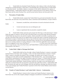A. Vendor/Seller has furnished Vendee/Purchaser with evidence of title to the Real Estate, satisfactory to Vendee/Purchaser, which shows a merchantable title to the Real Estate in Vendor/Seller as of the date thereof. Any further evidence or assurance of title shall be obtained at the expense of Vendee/Purchaser. Vendor/Seller shall have the right to retain possession of any abstract of title to the Real Estate until the entire Purchase Price, and all accrued interest thereon, has been paid in full.

## **V. Warranties of Vendor/Seller.**

A. Vendor/Seller hereby warrants that Vendor/Seller has good and merchantable title to the Real Estate, free and clear of any and all liens, leases, restrictions and encumbrances, except as follows:

**binder** 

- 1. Easements, recorded liens, and restrictions of record as disclosed in the title
- 2. Current real estate taxes not yet delinquent; and
- 3. Leases on apartments that are presently occupied by tenants.

B. Vendor/Seller further represents and warrants the following as of the date hereof: Vendor/ Seller has made no contract to sell all or part of the Real Estate to any person other than the Purchaser; Vendor/Seller has not given to any person an option, which is presently exercisable, to purchase all or any part of the Real Estate; there are no unpaid claims for labor done upon or materials furnished for the Real Estate in respect of which liens have been or may be filed; the improvements upon the Real Estate are all located entirely within the bounds of the Real Estate, and there are no encroachments thereon; there are no existing violations of zoning ordinances or other restrictions applicable to the real estate; there is no judgment of any court of the State of or  $\sigma$  or of any court of the United States that is or may become a lien on the Real Estate; and Vendor/Seller is neither principal nor surety on any bond payable to the State of  $\blacksquare$ 

## **VI. Vendor/Seller's Right to Mortgage Real Estate.**

A. Vendor/Seller shall not have the right, without Vendee/Purchaser's consent, to encumber the Real Estate in the future with a mortgage. In the event that Vendee/Purchaser consents to Vendor/ Seller's request to encumber the property with a mortgage, the balance due in respect of any such mortgage at no time shall exceed the unpaid balance of the Purchase Price. Any such mortgage by its terms shall be subordinated to the rights of Purchaser under this Contract. If Vendor/Seller encumbers the Real Estate by a mortgage, or the Real Estate is on the date of this Contract so encumbered, and Vendor/Seller defaults thereunder, Vendee/Purchaser shall have the right to cure such default and to deduct the cost thereof from the next payment or payments due under this Contract. Vendor/Seller shall pay all amounts due under any such mortgage when due and shall pay, discharge and obtain the release of any such mortgage upon Vendee/Purchaser's payment in full of the Contract Balance and all interest accrued thereon.

## **VII. Transfer of Vendee/Purchaser's and Vendor/Seller's Interest – Condemnation.**

A. Vendee/Purchaser's interest in this Contract and Vendee/Purchaser's interest in the Real Estate may not be sold, assigned, pledged, mortgaged, encumbered or transferred by Vendee/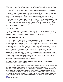Purchaser without the written consent of Vendor/Seller. Vendor/Seller's interest in this Contract and Vendor/Seller's interest in the Real Estate may not be sold, assigned, pledged, mortgaged, encumbered or transferred by Vendor/Seller without the written consent of Vendee/Purchaser. If the Vendor/Seller is contacted regarding any possible threat of eminent domain, the Vendee/Purchaser must be notified immediately. If the Real Estate or any part thereof is taken or damaged pursuant to an exercise or threat of exercise of the power of eminent domain, the entire proceeds of the award or compensation payable in respect of the part so taken or damaged are hereby assigned to and shall be paid directly to the Vendee/Purchaser. If the exercise of eminent domain is for the entire parcel(s) subject to this Contract, then the Vendee/Purchaser shall pay the Vendor/Seller the entire Remaining Contract Balance from the proceeds. If the exercise of eminent domain is for just a portion of the parcel(s) subject to this Contract, then the Vendee/Purchaser shall give the Vendor/Seller one half (50%) of the proceeds to be applied to the Remaining Contract Balance and Vendee/Purchaser shall keep the other one half (50%) of the proceeds. In the event of such a partial taking, the Vendee/Purchaser shall continue making payments as agreed under the terms of this Contract.

### **VIII. Mechanic's Liens.**

A. If a Statement of Intention to hold a Mechanic's Lien is filed as a result from services the Vendee/Purchaser contracted to have performed, then the Vendee/Purchaser shall be responsible for having such Mechanic's Lien satisfied, or removed if it filed without just cause.

### **IX. Indemnification and Release.**

A. Regardless of whether or not separate, several, joint or concurrent liability may be imposed upon Vendor/Seller, Vendee/Purchaser shall indemnify and hold harmless Vendor/Seller from and against all damages, claims and liability arising from or connected with Vendee/Purchaser's control or use of the Real Estate, including, without limitation, any damage or injury to person or property. This indemnification shall not include in any matter for which the Vendor/Seller is effectively protected by insurance. If Vendor/Seller, without fault, shall become a party to litigation commenced by or against Vendee/Purchaser, then Vendee/Purchaser shall indemnify and hold Vendor/Seller harmless. The indemnification provided by this paragraph shall not include all legal costs and attorneys' fees incurred by Vendor/Seller in connection with any such claim, action or proceeding. Vendee/Purchaser hereby releases Vendor/Seller from all liability for any accident, damage or injury caused to person or property on or about the Real Estate that occurs without negligence by the Vendor/Seller. However, the terms of this paragraph do not indemnify the Vendor/Seller for liability where the liability arises because of Vendor/Seller's own negligence, whether active or passive.

### **X. Use of the Real Estate by Vendee/Purchaser; Vendor/Seller's Right of Inspection; Purchaser's Responsibility for Accidents.**

A. Use. The Real Estate can be leased, rented, or occupied by any individual as decided by sole discretion of the Vendee/Purchaser. No structural improvements exceeding \$ shall be made by the Vendee/Purchaser to the Real Estate without the prior written consent of Vendor/Seller. Vendee/Purchaser, at Vendee/Purchaser's expense, shall use the Real Estate and the improvements thereon carefully and shall keep the Real Estate in good repair. Vendee/Purchaser shall not commit waste on the Real Estate and, with respect to occupancy and use of the Real Estate, shall comply with all laws, ordinances, and regulations of any governmental authority having jurisdiction thereof. The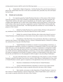existing natural resources shall be used in the following manner

B. Vendor/Seller's Right of Inspection. Until the Purchase Price and all interest thereon is paid in full, Vendor/Seller from time to time and at reasonable times, peaceably may enter and inspect the Real Estate.

## **XI. Default and Acceleration.**

A. It is expressly agreed by Vendee/Purchaser that time is of the essence of this Contract. Upon the occurrence of any Event of Default, as hereinafter defined, and at the times thereafter, the Vendor/Seller shall have the right to pursue immediately any all remedies, legal or equitable, as are available under applicable law to collect such Contract Balance and accrued interest, to foreclose this Land Contract, and as may be necessary or appropriate to protect Vendor/Seller's interest under this Contract and in and to the Real Estate. The following shall each constitute an "Event of Default" for purposes of this Contract:

1. Default by Vendee/Purchaser for a period of thirty (30) days in the payment of any installment of the Purchase Price when due under the terms of this Contract;

2. Default, for a period of ninety (90) days after written notice thereof is given to Vendee/Purchaser, in the performance or observation of any other covenant or term of this Contract;

3. Encumbrance of the Real Estate of any part thereof, other than as expressly permitted by this Contract, or the making of any levy, seizure or attachment thereof, or thereon or a substantial, uninsured loss of any part of the Real Estate;

4. Vendee/Purchaser (i) institutes or consents to any proceedings in insolvency, or for the adjustment, liquidation, extension or composition or arrangement of debts or for any other relief under insolvency, or for the adjustment, liquidation, extension or composition or arrangement of debts or for any other relief under any insolvency law or laws relating to the relief or reorganization of debtors, (ii) files and answer admitting bankruptcy or insolvency or in any matter is adjudged insolvent, or (iii) makes an assignment for the benefit of creditors or admits in writing inability to pay debts as they become due; provided however, this paragraph (4) shall not apply to any proceeding in bankruptcy;

5. Any part of the Real Estate or all of a substantial part of the property or assets of Vendee/ Purchaser is placed in the hands of any receiver, trustee or other officers or representatives of any court, or Vendee/Purchaser consents, agrees or acquiesces to the appointment of any such receiver or trustee;

6. Desertion or abandonment of the Real Estate by Vendee/Purchaser;

7. Actual or threatened alteration, demolition or removal of any improvements which are a part of the Real Estate, except as expressly allowed by the terms of this Contract;

8. Sale, transfer, conveyance or other disposition of Vendee/Purchaser's interest in this Contract or Vendee/Purchaser's interest in Real Estate, without Vendor/Seller's prior written consent, except as expressly allowed by the terms of this Contract.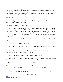#### **XII. Additional Covenants and Representations of Value.**

A. Upon payment by Vendee/Purchaser of the Purchase Price in full, with all interest accrued thereon, and the performance by Vendee/Purchaser of all covenants and conditions which by the terms of this Contract are to be performed by the Vendee/Purchaser, Vendor agrees and covenants to convey the Real Estate to Vendee/Purchaser by General Warranty Deed, subject only to easements and restrictions of record as of the date of this Contract.

#### **XIII. Lead Based Paint Disclosure.**

A. Buyer and Seller acknowledge completion in writing on a separate form of the appropriate requirements concerning Lead Based Paint.

#### **XIV. General Agreement of the Parties.**

A. This Contract shall extend to and be binding upon the heirs, personal representatives, successors and assigns of the parties. When applicable, use of the singular form of any word also shall mean or apply to the plural. Any notices given hereunder shall be deemed sufficiently given when (a) actually served on the person to be notified, or (b) placed in an envelope directed to the person to be notified at the following address and deposited in the United States mails by certified or registered mail, postage prepaid.

made.

- 1. If to Vendor/Seller, at the address at which payments to Vendor/Seller are to be
- 2. If to Vendee/Purchaser, at:

B. Such addresses may be changed by either party by written advice as to the new address delivered to the other party as above provided.

C. Whenever consent is required of either party hereunder for the occurrence of any such action, such consent shall not be unreasonably withheld.

D. This contract shall be governed by the laws of the State of  $\Box$ 

**IN WITNESS WHEREOF,** Vendor/Seller and Vendee/Purchaser have executed this instrument on this  $\qquad \qquad \text{day of} \qquad \qquad \text{, } 20 \qquad \text{.}$ 

Signature\_\_\_\_\_\_\_\_\_\_\_\_\_\_\_\_\_\_\_\_\_ Signature\_\_\_\_\_\_\_\_\_\_\_\_\_\_\_\_\_\_\_\_\_

Printed\_\_\_\_\_\_\_\_\_\_\_\_\_\_\_\_\_\_\_\_\_\_\_ Printed\_\_\_\_\_\_\_\_\_\_\_\_\_\_\_\_\_\_\_\_\_\_\_

Vendee/Purchaser Vendor/Seller

| THIS MEMORANDUM, is executed by | ano |  |
|---------------------------------|-----|--|
|                                 |     |  |

**WITNESSETH:**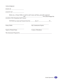#### Acknowledgment

## STATE OF \_\_\_\_\_\_\_\_\_\_\_\_\_\_\_\_\_\_\_\_ COUNTY OF Before me, a Notary Public in and for said County and State, personally appeared and and and a set of the set of the set of the set of the set of the set of the set of the set of the set of the set of the set of the set of the set of the set of the set of the set of the set of the set of the set of the execution of the foregoing Land Contract. WITNESS my hand and Notarial Seal this day of \_\_\_\_\_\_\_\_\_\_\_\_\_\_\_\_, 20\_\_\_.  $\mathcal{L}_\text{max}$  , and the contribution of the contribution of the contribution of the contribution of the contribution of the contribution of the contribution of the contribution of the contribution of the contribution of t Notary Public My Commission Expires  $\mathcal{L}_\text{max}$  , and the contribution of the contribution of the contribution of the contribution of the contribution of the contribution of the contribution of the contribution of the contribution of the contribution of t Typed or Printed Name County of Residence This Instrument Prepared by: \_\_\_\_\_\_\_\_\_\_\_\_\_\_\_\_\_\_\_\_\_\_\_\_\_\_\_\_\_\_\_\_\_\_\_\_\_\_\_\_\_\_\_\_\_\_\_\_\_\_\_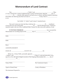## **Memorandum of Land Contract**

That \_\_\_\_\_\_\_\_\_\_\_\_\_\_\_\_\_\_\_\_, ("Seller") and \_\_\_\_\_\_\_\_\_\_\_\_\_\_\_\_\_\_\_\_\_\_\_\_\_, ("Buyer") have entered into a certain Conditional Sales Contract for Real Estate, dated the \_\_\_\_\_\_ day of \_\_\_\_\_\_\_\_\_\_\_, 20\_\_\_\_, whereby Seller agreed to sell and convey to Buyer, and Buyer agreed to purchase from Seller, the following-described real estate in \_\_\_\_\_\_\_\_\_\_\_\_\_\_\_\_\_\_\_\_\_\_ County, State of \_\_\_\_\_\_\_\_\_\_\_\_\_, to-wit:

See Exhibit "A" (titled "Land Contract") attached hereto

That such Contract provides that Buyer shall pay the \_\_\_\_\_\_\_\_\_\_\_\_\_\_, 20\_\_\_\_ installment of real estate taxes due and payable \_\_\_\_\_\_\_\_\_\_\_\_\_\_\_, 20\_\_\_\_, and all subsequent taxes. Reference should be made to the text of the Conditional Sales Contract for other terms and conditions of sale.

| <b>IN WITNESS WHEREOF,</b>             |        | have executed this |
|----------------------------------------|--------|--------------------|
| Memorandum for recording purposes this | day of |                    |

Seller

Seller

Buyer

| ACKNOWLEDGMENT |
|----------------|
|----------------|

 $\mathcal{L}_\mathcal{L}$  , which is a set of the set of the set of the set of the set of the set of the set of the set of the set of the set of the set of the set of the set of the set of the set of the set of the set of the set of

 $\mathcal{L}_\mathcal{L}$  , which is a set of the set of the set of the set of the set of the set of the set of the set of the set of the set of the set of the set of the set of the set of the set of the set of the set of the set of

 $\mathcal{L}_\mathcal{L}$  , which is a set of the set of the set of the set of the set of the set of the set of the set of the set of the set of the set of the set of the set of the set of the set of the set of the set of the set of

STATE OF GUNTY OF THE SERVICE STATE OF THE SERVICE SERVICE SERVICE SERVICE SERVICE SERVICE SERVICE SERVICE SERVICE SERVICE SERVICE SERVICE SERVICE SERVICE SERVICE SERVICE SERVICE SERVICE SERVICE SERVICE SERVICE SERVICE SER

Before me, a Notary Public, personally appeared \_\_\_\_\_\_\_\_\_\_\_\_\_\_\_\_\_\_\_\_\_\_\_\_\_\_\_\_\_\_\_\_ , ("Seller"), and \_\_\_\_\_\_\_\_\_\_\_\_\_\_\_\_\_\_\_\_\_\_\_\_\_\_\_\_\_\_\_\_, ("Buyer"), and each being duly sworn upon his or her oath acknowledged execution of the foregoing Memorandum this \_\_\_\_\_\_ day of  $\overline{\phantom{a}}$ , 20 $\overline{\phantom{a}}$ .

 $\mathcal{L}_\text{G}$  , and the contribution of the contribution of the contribution of the contribution of the contribution of the contribution of the contribution of the contribution of the contribution of the contribution of t

Notary Public My Commission Expires

Typed or Printed Name County of Residence

 $\mathcal{L}_\text{G}$  , and the contribution of the contribution of the contribution of the contribution of the contribution of the contribution of the contribution of the contribution of the contribution of the contribution of t

This Instrument Prepared by: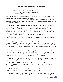# **Land Installment Contract**

This Agreement made and entered into by and between  $\lambda$ , hereinafter called the Vendor(s) and hereinafter called the Vendee(s).

Witnesseth: The Vendors, for themselves, their heirs and assigns, do hereby agree to sell to the Vendees, their heirs and assigns, the following described real estate,

\_\_\_\_\_\_\_\_\_\_\_\_\_\_\_\_\_\_\_\_\_\_\_\_\_\_\_\_\_\_\_\_\_, (legal description attached as exhibit A) together with all appurtenances, rights, privileges and easements and all buildings and fixtures in their present condition located upon said property.

| 1.                                                                                    | <b>CONTRACT PRICE, METHOD OF PAYMENT, INTEREST RATE: In consideration</b>                               |
|---------------------------------------------------------------------------------------|---------------------------------------------------------------------------------------------------------|
| whereof, the Vendees agree to purchase the above described property for the sum of \$ |                                                                                                         |
|                                                                                       | payable as follows: The sum of \$ as a non-refundable down payment at the time of                       |
|                                                                                       | execution of the within Land Installment Contract, the receipt of which is hereby acknowledged, leaving |
|                                                                                       | a principle balance owed by Vendees of \$ together with interest on the unpaid balance                  |
| payable in consecutive monthly installments of \$ beginning on                        |                                                                                                         |
| 20, and every month thereafter until said balance is paid in full, or until           |                                                                                                         |
|                                                                                       | 20, whichever event occurs first. The interest on the unpaid balance due hereon shall be                |
|                                                                                       | percent $($ $\%$ ) per annum computed monthly as if on a 20 year amortization. The unpaid balance of    |
| \$ is due in full on                                                                  | $\sim$ 20                                                                                               |

Payments shall be by personal check and shall be credited first to the interest per month, and the remainder to the principle or other sums due Vendors. If any payment is not received within 5 days of payment date, there shall be a late charge of 5% percent assessed. The Vendees may pay the entire purchase price on this contract without prepayment penalty. The monthly installments shall be payable as directed by the Vendors herein, or as directed by written notice.

**2. ENCUMBRANCES:** Said real estate is presently subject to a mortgage and the Vendors shall not place any additional mortgage on the premises without obtaining the written permission of the Vendees. In the event the Vendors should become delinquent in payments on the mortgage, the Vendees may pay the same and receive credit for any payments towards the contract price.

**3. EVIDENCE OF TITLE:** The Vendors shall be required to provide an abstract or guarantee of title, statement of title, title insurance, or such other evidence of title at Vendors' expense.

**4. RECORDING OF CONTRACT:** The Vendors shall cause a copy of this contract to be submitted for recording in the Ashland County Recorder's Office within a period of 14 days after the execution of this Contract by the parties hereto.

**5. REAL ESTATE TAXES:** Real estate taxes shall be paid by Vendors until the payment of the contract price in full by Vendees or cancellation due to Vendees' breach.

**6. INSURANCE AND MAINTENANCE:** The Vendees shall keep the premises insured for the greater of (1) replacement cost or (2) \$124,500.00, against fire and extended coverage for the benefit of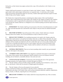both parties, as their interest may appear, and provide a copy of the said policy to the Vendors or any mortgagee.

Vendees shall keep the property in a good state of repair at the Vendees' expense. Venders or their agents shall at their option inspect said premises on a quarterly basis. At such time as the Vendors inspect the premises and find that repairs are necessary, Vendors shall request that these repairs be made within 30 days at the Vendees' expense.

The Vendees have inspected the premises constituting the subject matter of this Land Installment Contract, and no representation have been made to the Vendees by the Vendors in regard to the condition of said premises; and it is agreed that the said premises are being sold to this Vendee as the same now exists and that the Vendors shall have no obligation to do or furnish anything toward the improvement of said premises.

**7. POSSESSION:** The Vendees shall be given possession of the above described premises on April 1st , 2008, and shall thereafter have and hold the same subject to the provisions for default hereinafter set forth.

**8. DELIVERY OF DEED:** Upon full payment of this contract, Vendor shall issue a General Warranty deed to the Vendees, free of all encumbrances except as otherwise set forth.

**9. DEFAULT BY VENDEES:** If an installment payment to be made by the Vendees under the terms of this Land Contract is not paid by the Vendees when due or within 30 days thereafter, the entire unpaid balance shall become due and collectable at the election of the Vendors and the Vendors shall be entitled to all the remedies provided for by the laws of this State and /or to do any other remedies and/ or relief now or hereafter provided for by law to such Vendors; and in the event of the breach of this contract in any other respect by the Vendees, Vendors shall be entitled to all relief now or hereinafter provided for by the laws of this state.

**10. GENERAL PROVISIONS:** There are no known pending orders issued by any governmental authority with respect to this property.

**11. ATTORNEY FEES AND COSTS:** If any litigation is instituted with respect to enforcement of the terms of this contract, the prevailing party shall be entitled to recover all expenses incurred, including, but not limited to, reasonable attorney's fees and court costs.

**12. COVENANTS OF VENDEES:** Commencing with and during the term of this agreement, including extensions, the Vendees hereby covenants and agrees as follows:

(A) That the Vendees will pay all utility charges and bills, including, but not limited to, water, sewer, gas, oil, and electric, which may be assessed or charged against the property;

(B) That the Vendees will not use the property for any unlawful

purpose; and that the Vendees will conform to and obey all laws, ordinances, rules, regulations, requirements and orders of all Federal, State, and Local governmental authorities, agencies, departments, bureaus, boards, or officials, respecting the use of the property.

**13. BREACH BY VENDEES:** If the Vendees shall fail to keep and perform any of the covenants,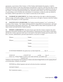agreements, or provisions of this Contract, or If the Vendees shall abandon the property; it shall be lawful for the Vendors to enter into said property and again have, repossess, and enjoy the same as if this Contract had not been made, and thereupon this Contract and everything herein contained on the part of the Vendors to be done and performed shall cease, determine and be utterly void. The commencement of a proceeding or suit in forcible entry and detainer or in ejectment, or otherwise after any default by the Vendees, shall be equivalent in every respect to actual entry by the Vendors.

**14. NO RIGHT OF ASSIGNMENT:** The Vendees shall not have the right to sublet the property, and/or to assign, sell transfer, pledge or otherwise convey any or all rights or interests which the Vendees may have in the property or in this Agreement.

**15. MAINTENANCE AND REPAIRS:** The Vendees accept the property "as is" on the date of execution of this Contract. The Vendees shall henceforth be responsible for all maintenance, and repair upon said property, both interior and exterior. The Vendees shall be solely liable for payment for said improvements and shall hold the Vendors harmless.

**16. BINDING AGREEMENTS:** The parties hereto agree that this Contract comprises the entire agreement of the parties and that no other representation or agreements have been made or relied upon, and that this Contract agreement shall inure to the benefit of and shall be binding upon the parties, their heirs, executors, administrators, personal representatives, successors or assigns.

|                                             | Witness: Vendor: Vendor:                                                                                                   |  |  |
|---------------------------------------------|----------------------------------------------------------------------------------------------------------------------------|--|--|
|                                             | Witness: Vendor: Vendor:                                                                                                   |  |  |
|                                             |                                                                                                                            |  |  |
|                                             |                                                                                                                            |  |  |
|                                             | IN WITNESS WHEREOF, the parties have set their hands this day of ________________                                          |  |  |
|                                             | , before me, a Notary Public in and for said county and state, personally came<br>$Vendor(s)$ and $\overline{\phantom{a}}$ |  |  |
| to be his/her/their voluntary act and deed. | Vendee(s) in the foregoing Land Installment Contract and acknowledged before me the signing thereof                        |  |  |
|                                             | WITNESS my official signature and seal on the day last above mentioned.                                                    |  |  |
|                                             |                                                                                                                            |  |  |
| My Commission expires:                      |                                                                                                                            |  |  |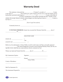## **Warranty Deed**

| in the State of ___________, Does hereby give, grant, bargain sell and convey unto the Grantee and its/                                                                                                                                                                                                                |                     |                                                                                                                       |  |
|------------------------------------------------------------------------------------------------------------------------------------------------------------------------------------------------------------------------------------------------------------------------------------------------------------------------|---------------------|-----------------------------------------------------------------------------------------------------------------------|--|
|                                                                                                                                                                                                                                                                                                                        |                     |                                                                                                                       |  |
| $\frac{1}{2}$ for and in consideration of Ten Dollars (\$10.00) and other valuable consid-                                                                                                                                                                                                                             |                     |                                                                                                                       |  |
| erations, the receipt whereof is hereby acknowledged, the following Real Estate in __________ County in                                                                                                                                                                                                                |                     |                                                                                                                       |  |
|                                                                                                                                                                                                                                                                                                                        |                     |                                                                                                                       |  |
|                                                                                                                                                                                                                                                                                                                        |                     | [Insert Legal Description]                                                                                            |  |
|                                                                                                                                                                                                                                                                                                                        |                     |                                                                                                                       |  |
|                                                                                                                                                                                                                                                                                                                        |                     |                                                                                                                       |  |
| IN WITNESS WHEREOF, Grantor has executed this Warranty Deed this _______ day of                                                                                                                                                                                                                                        |                     |                                                                                                                       |  |
| $\sim$ 20 $\sim$                                                                                                                                                                                                                                                                                                       |                     |                                                                                                                       |  |
|                                                                                                                                                                                                                                                                                                                        |                     |                                                                                                                       |  |
|                                                                                                                                                                                                                                                                                                                        | <b>GRANTOR NAME</b> |                                                                                                                       |  |
|                                                                                                                                                                                                                                                                                                                        |                     |                                                                                                                       |  |
|                                                                                                                                                                                                                                                                                                                        |                     |                                                                                                                       |  |
|                                                                                                                                                                                                                                                                                                                        |                     |                                                                                                                       |  |
| $\begin{tabular}{c} \multicolumn{2}{c}{\text{STATE OF}}\\ \hline \multicolumn{2}{c}{\text{STATE OF}}\\ \hline \multicolumn{2}{c}{\text{COUNTY OF}} \end{tabular} \end{tabular} \begin{tabular}{c} \multicolumn{2}{c}{\text{D}}\\ \multicolumn{2}{c}{\text{NSS:}}\\ \multicolumn{2}{c}{\text{COUNTY OF}} \end{tabular}$ |                     |                                                                                                                       |  |
|                                                                                                                                                                                                                                                                                                                        |                     |                                                                                                                       |  |
| Before me, the undersigned, a Notary Public in and for said County and State, personally appeared<br>who acknowledged the execution of the foregoing Warranty Deed, and who, be-                                                                                                                                       |                     |                                                                                                                       |  |
| ing duly sworn, stated that any representations therein contained are true.                                                                                                                                                                                                                                            |                     |                                                                                                                       |  |
|                                                                                                                                                                                                                                                                                                                        |                     |                                                                                                                       |  |
| Witness my hand and Notarial Seal this ________ day of _______________, 20______.                                                                                                                                                                                                                                      |                     |                                                                                                                       |  |
|                                                                                                                                                                                                                                                                                                                        |                     |                                                                                                                       |  |
|                                                                                                                                                                                                                                                                                                                        |                     |                                                                                                                       |  |
| My Commission Expires: Signature Signature Signature Signature Signature Signature Signature Signature Signature Signature Signature Signature Signature Signature Signature Signature Signature Signature Signature Signature                                                                                         |                     |                                                                                                                       |  |
|                                                                                                                                                                                                                                                                                                                        | Printed             | <u> 1980 - Jan Barbara Barbara, maska karatan da</u>                                                                  |  |
|                                                                                                                                                                                                                                                                                                                        |                     | Notary Public                                                                                                         |  |
| County of Residence:                                                                                                                                                                                                                                                                                                   |                     |                                                                                                                       |  |
|                                                                                                                                                                                                                                                                                                                        |                     |                                                                                                                       |  |
|                                                                                                                                                                                                                                                                                                                        |                     |                                                                                                                       |  |
|                                                                                                                                                                                                                                                                                                                        |                     |                                                                                                                       |  |
| Mail Tax Statements To:                                                                                                                                                                                                                                                                                                |                     | <u> 1989 - Johann John Stone, mars and de film and de film and de film and de film and de film and de film and de</u> |  |
|                                                                                                                                                                                                                                                                                                                        |                     |                                                                                                                       |  |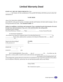## **Limited Warranty Deed**

#### **KNOW ALL MEN BY THESE PRESENTS, That**

, the Grantor, for the consideration of Ten and 00/100 Dollars (\$10.00) received to their full satisfaction of

#### **NAME HERE**

#### whose TAX MAILING ADDRESS is

does GRANT, with special warranty covenants, unto the said Grantees, his heirs and/or assigns, , the following described real estate: **See Attached Exhibit `A'**

## **Subject to conditions, restrictions and easements, if any, contained in prior instruments of record. Except taxes and assessments, if any, now a lien and thereafter due and payable.**

Permanent Parcel Number:

Prior Deed Reference: Volume \_\_\_\_\_, Page \_\_\_\_\_\_\_, \_\_\_\_\_\_\_\_ County General Records

IN WITNESS WHEREOF,

, the Grantor, has caused its corporate name to be subscribed hereto by  $\overline{\phantom{a}}$ , its thereto duly authorized by resolution of its Board of Directors, this day of \_\_\_\_\_\_\_\_\_\_\_\_\_, 20\_\_\_.

Signed and acknowledged **[NAME**] in the presence of: By:

| <b>STATE OF</b> |        |
|-----------------|--------|
|                 |        |
| <b>COUNTY</b>   | $)$ SS |

 $\overline{\mathcal{L}}$  , and the set of the set of the set of the set of the set of the set of the set of the set of the set of the set of the set of the set of the set of the set of the set of the set of the set of the set of the s

BE IT REMEMBERED, That on this \_\_\_\_\_ day of \_\_\_\_\_\_\_\_\_\_\_\_\_, 20\_\_\_\_ by, before me, the subscriber, a notary public in and for said county and state, personally came of \_\_\_\_\_\_\_\_\_\_\_\_\_\_\_\_\_\_\_\_\_\_\_\_\_\_\_\_\_\_\_\_\_\_\_\_\_\_\_\_\_\_\_\_\_\_\_\_, the Grantor in the foregoing deed, and acknowledged the signing thereof to be the free act and deed of said corporation pursuant to the author-

ity of its Board of Directors, and his/her free act and deed personally and as such officer.

Notary Public

My Commission expires:

 $\mathcal{L}_\mathcal{L}$  , and the set of the set of the set of the set of the set of the set of the set of the set of the set of the set of the set of the set of the set of the set of the set of the set of the set of the set of th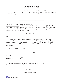## **Quitclaim Deed**

\_\_\_\_\_\_\_\_\_\_\_\_\_\_\_\_\_\_\_\_\_\_\_\_\_\_, as GRANTOR, who claims title by or through instrument recorded at Volume Page of the County Recorder's Office, for the consideration of Ten and 00/100 Dollars (\$10.00), received to his/her full satisfaction of

 $\mathcal{L}_\mathcal{L}$  , and the set of the set of the set of the set of the set of the set of the set of the set of the set of the set of the set of the set of the set of the set of the set of the set of the set of the set of th

 $\mathcal{L}_\mathcal{L}$  , and the set of the set of the set of the set of the set of the set of the set of the set of the set of the set of the set of the set of the set of the set of the set of the set of the set of the set of th

GRANTEE(S), Whose TAX MAILING ADDRESS is \_\_\_\_\_\_\_\_\_\_\_\_\_\_\_\_\_\_\_\_\_\_\_\_\_\_\_

Letter Later and Silven, Granted, Remised, Released and Forever Quit-Claimed, and does by these presents absolutely give, grant, remise and forever quit-claim unto the said grantee(s), their successors and assigns, all such right and title as the said grantor(s) has or ought to have in and to the following described piece or parcels of land,

See Attached Exhibit A

PPN:

To Have and to Hold the premises aforesaid, with the appurtenances thereunto belonging to the said grantee(s), his successors and assigns, so that neither the said grantor(s) nor any other persons claiming title through or under it, shall or will hereafter claim or demand any right or title to the premises, or any part thereof; but they and everyone of them shall by these presents be excluded and forever barred.

EXECUTED this  $\qquad \qquad$  day of  $\qquad \qquad$ , 20

NAME

 $\mathcal{L}_\mathcal{L}$  , and the set of the set of the set of the set of the set of the set of the set of the set of the set of the set of the set of the set of the set of the set of the set of the set of the set of the set of th

STATE OF \_\_\_\_\_\_\_\_\_\_\_\_\_\_) ) ss: COUNTY OF

The foregoing instrument was acknowledged before me this day of \_\_\_\_\_\_\_\_\_\_\_\_\_\_\_\_\_\_\_, 20\_\_\_ by \_\_\_\_\_\_\_\_\_\_\_\_\_\_\_\_\_\_\_\_\_\_\_\_\_\_\_.

> $\mathcal{L}_\text{max}$  , and the set of the set of the set of the set of the set of the set of the set of the set of the set of the set of the set of the set of the set of the set of the set of the set of the set of the set of the Notary Public

My Commission expires: \_\_\_\_\_\_\_\_\_\_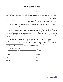## **Promissory Note**

| \$                                           | Due Date:                                                                                                                                                                    |
|----------------------------------------------|------------------------------------------------------------------------------------------------------------------------------------------------------------------------------|
|                                              | On or before the $\_\_\_\_\_$ day of $\_\_\_\_\_\_\_\_$ , 20, for<br>value received, the undersigned (jointly and severally) promise(s) to pay to the order of [Insert Name] |
| the sum of                                   | <b>Dollars</b>                                                                                                                                                               |
|                                              | [Insert Address],                                                                                                                                                            |
|                                              | at such other place as the holder hereof may direct in writing, with interest thereon at the rate of                                                                         |
|                                              | per centum $\left( \frac{9}{0} \right)$ per annum from the date of this                                                                                                      |
| instrument until maturity, and               | per centum                                                                                                                                                                   |
|                                              | ( $\%$ ) per annum after maturity until paid, with attorneys fees and costs of collection, and without                                                                       |
| relief from valuation and appraisement laws. |                                                                                                                                                                              |

The maker(s) and endorser(s) jointly and severally waive demand, presentment, protest, notice of protest and notice of nonpayment or dishonor of this note, and each of them consents to extensions of the time of payment of this note. No delay or omission on the part of the holder hereof in the exercise of any right or remedy shall operate as a waiver thereof, and no single or partial exercise by the holder hereof of any right or remedy shall preclude other or further exercise thereof or of any other right or remedy.

This note, and any extensions or renewals hereof, is secured by a (Security Agreement) (Mortgage on real estate in \_\_\_\_\_\_\_\_\_\_\_\_\_County, State of \_\_\_\_\_\_\_\_\_\_\_\_\_\_\_\_\_\_\_\_\_) dated  $\frac{1}{20}$ , and executed in favor of and delivered to the payee(s) hereof by \_\_\_\_\_\_\_\_\_\_\_\_\_\_\_\_\_\_\_\_\_\_\_\_\_\_\_\_\_, to which reference is made for other rights as to prepayment and acceleration. (If this is not a secured note, strike the foregoing paragraph.)

|            | Signed and delivered at |            |  |
|------------|-------------------------|------------|--|
| this       | day of                  | $, 20$ .   |  |
|            |                         |            |  |
| Signature: |                         | Signature: |  |
| Printed:   |                         | Printed:   |  |
| Address:   |                         | Address:   |  |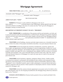## **Mortgage Agreement**

| <b>THIS INDENTURE, made as of the</b><br>day of | $, 20$ , by and between |
|-------------------------------------------------|-------------------------|
| $\Omega$                                        |                         |
| , hereinafter called "Mortgagor", and           |                         |
| hereinafter called "Mortgagee".                 |                         |

#### **W I T N E S S E T H :**

#### *AMOUNT OF LIEN: "NOTE"*

**WHEREAS,** Mortgagor is justly indebted to Mortgagee in the sum of DOLLARS (\$) in lawful money of the United States, and has agreed to pay the same, with interest thereon, according to the terms of a certain note (the "Note") given by Mortgagor to Mortgagee, bearing even date herewith.

#### *DESCRIPTION OF PROPERTY SUBJECT TO LIEN: "PREMISES".*

**NOW, THEREFORE,** in consideration of the premises and the sum hereinabove set forth, and to secure the payment of the Secured Indebtedness as defined herein, Mortgagor has granted, bargained, sold and conveyed, and by these presents does grant, bargain, sell and convey unto Mortgagee property situate in \_\_\_\_\_\_\_ County, \_\_\_\_\_\_\_\_, more particularly described in Exhibit "A" attached hereto and by this reference made a part hereof;

**TOGETHER** with all buildings, structures and other improvements now or hereafter located on, above or below the surface of the property hereinbefore described, or any part and parcel thereof; and,

**TOGETHER** with all and singular the tenements, hereditaments, easements, riparian and littoral rights, and appurtenances thereunto belonging or in anywise appertaining, whether now owned or hereafter acquired by Mortgagor, and including all rights of ingress and egress to and from adjoining property (whether such rights now exist or subsequently arise) together with the reversion or reversions, remainder and remainders, rents, issues and profits thereof; and also all the estate, right, title, interest, claim and demand whatsoever of Mortgagor of, in and to the same and of, in and to every part and parcel thereof; and,

**TOGETHER** with all machinery, apparatus, equipment, fittings, fixtures, whether actually or constructively attached to said property and including all trade, domestic and ornamental fixtures, and articles of personal property of every kind and nature whatsoever (hereinafter collectively called "Equipment"), now or hereafter located in, upon or under said property or any part thereof and used or usable in connection with any present or future operation of said property and now owned or hereafter acquired by Mortgagor; and,

**TOGETHER** with all the common elements appurtenant to any parcel, unit or lot which is all or part of the Premises; and, ALL the foregoing encumbered by this Mortgage being collectively referred to herein as the "Premises";

**TO HAVE AND TO HOLD** the Premises hereby granted to the use, benefit and behalf of the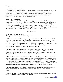Mortgagee, forever.

#### **U.C.C. SECURITY AGREEMENT**

It is agreed that if any of the property herein mortgaged is of a nature so that a security interest therein can be perfected under the Uniform Commercial Code, this instrument shall constitute a Security Agreement and Mortgagor agrees to join with the Mortgagee in the execution of any financing statements and to execute any and all other instruments that may be required for the perfection or renewal of such security interest under the Uniform Commercial Code.

#### **EQUITY OF REDEMPTION**

Conditioned, however, that if Mortgagor shall promptly pay or cause to be paid to Mortgagee, at its address listed in the Note, or at such other place which may hereafter be designated by Mortgagee, its or their successors or assigns, with interest, the principal sum of  $DOLLARS$  ( $\$$ ) with final maturity, if not sooner paid, as stated in said Note unless amended or extended according to the terms of the Note executed by Mortgagor and payable to the order of Mortgagee, then these presents shall cease and be void, otherwise these presents shall remain in full force and effect.

### **ARTICLE ONE**

### **COVENANTS OF MORTGAGOR**

Mortgagor covenants and agrees with Mortgagee as follows:

**1.01 Secured Indebtedness.** This Mortgage is given as security for the Note and also as security for any and all other sums, indebtedness, obligations and liabilities of any and every kind arising, under the Note or this Mortgage, as amended or modified or supplemented from time to time, and any and all renewals, modifications or extensions of any or all of the foregoing (all of which are collectively referred to herein as the "Secured Indebtedness"), the entire Secured Indebtedness being equally secured with and having the same priority as any amounts owed at the date hereof.

**1.02 Performance of Note, Mortgage, Etc.** Mortgagor shall perform, observe and comply with all provisions hereof and of the Note and shall promptly pay, in lawful money of the United States of America, to Mortgagee the Secured Indebtedness with interest thereon as provided in the Note, this Mortgage and all other documents constituting the Secured Indebtedness.

**1.03 Extent Of Payment Other Than Principal And Interest.** Mortgagor shall pay, when due and payable, (1) all taxes, assessments, general or special, and other charges levied on, or assessed, placed or made against the Premises, this instrument or the Secured Indebtedness or any interest of the Mortgagee in the Premises or the obligations secured hereby; (2) premiums on policies of fire and other hazard insurance covering the Premises, as required herein; (3) ground rents or other lease rentals; and (4) other sums related to the Premises or the indebtedness secured hereby, if any, payable by Mortgagor.

**1.04 Insurance.** Mortgagor shall, at its sole cost and expense, keep the Premises insured against all hazards as is customary and reasonable for properties of similar type and nature located in County,  $\qquad \qquad$ 

**1.05 Care of Property.** Mortgagor shall maintain the Premises in good condition and repair and shall not commit or suffer any material waste to the Premises.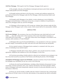**1.06 Prior Mortgage.** With regard to the Prior Mortgage, Mortgagor hereby agrees to:

(i) Pay promptly, when due, all installments of principal and interest and all other sums and charges made payable by the Prior Mortgage;

(ii) Promptly perform and observe all of the terms, covenants and conditions required to be performed and observed by Mortgagor under the Prior Mortgage, within the period provided in said Prior Mortgage;

(iii) Promptly notify Mortgagee of any default, or notice claiming any event of default by Mortgagor in the performance or observance of any term, covenant or condition to be performed or observed by Mortgagor under any such Prior Mortgage.

(iv) Mortgagor will not request nor will it accept any voluntary future advances under the Prior Mortgage without Mortgagee's prior written consent, which consent shall not be unreasonably withheld.

### **ARTICLE TWO**

### **DEFAULTS**

**2.01 Event of Default.** The occurrence of any one of the following events which shall not be cured within days after written notice of the occurrence of the event, if the default is monetary, or which shall not be cured within days after written notice from Mortgagee, if the default is nonmonetary, shall constitute an "Event of Default":

(a) Mortgagor fails to pay the Secured Indebtedness, or any part thereof, or the taxes, insurance and other charges, as hereinbefore provided, when and as the same shall become due and payable;

(b) Any material warranty of Mortgagor herein contained, or contained in the Note, proves untrue or misleading in any material respect;

(c) Mortgagor materially fails to keep, observe, perform, carry out and execute the covenants, agreements, obligations and conditions set out in this Mortgage, or in the Note;

(d) Foreclosure proceedings (whether judicial or otherwise) are instituted on any mortgage or any lien of any kind secured by any portion of the Premises and affecting the priority of this Mortgage.

**2.02 Options Of Mortgagee Upon Event Of Default.** Upon the occurrence of any Event of Default, the Mortgagee may immediately do any one or more of the following:

(a) Declare the total Secured Indebtedness, including without limitation all payments for taxes, assessments, insurance premiums, liens, costs, expenses and attorney's fees herein specified, without notice to Mortgagor (such notice being hereby expressly waived), to be due and collectible at once, by foreclosure or otherwise;

(b) Pursue any and all remedies available under the Uniform Commercial Code; it being hereby agreed that ten (10) days' notice as to the time, date and place of any proposed sale shall be reasonable;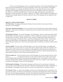(c) In the event that Mortgagee elects to accelerate the maturity of the Secured Indebtedness and declares the Secured Indebtedness to be due and payable in full at once as provided for in Paragraph 2.02(a) hereinabove, or as may be provided for in the Note, or any other provision or term of this Mortgage, then Mortgagee shall have the right to pursue all of Mortgagee's rights and remedies for the collection of such Secured Indebtedness, whether such rights and remedies are granted by this Mortgage, any other agreement, law, equity or otherwise, to include, without limitation, the institution of foreclosure proceedings against the Premises under the terms of this Mortgage and any applicable state or federal law.

### **ARTICLE THREE**

#### **MISCELLANEOUS PROVISIONS**

**3.01 Prior Liens.** Mortgagor shall keep the Premises free from all prior liens (except for those consented to by Mortgagee).

**3.02 Notice, Demand and Request.** Every provision for notice and demand or request shall be deemed fulfilled by written notice and demand or request delivered in accordance with the provisions of the Note relating to notice.

**3.03 Meaning of Words.** The words "Mortgagor" and "Mortgagee" whenever used herein shall include all individuals, corporations (and if a corporation, its officers, employees or agents), trusts and any and all other persons or entities, and the respective heirs, executors, administrators, legal representatives, successors and assigns of the parties hereto, and all those holding under either of them. The pronouns used herein shall include, when appropriate, either gender and both singular and plural. The word "Note" shall also include one or more notes and the grammatical construction of sentences shall conform thereto.

**3.04 Severability.** If any provision of this Mortgage or any other Loan Document or the application thereof shall, for any reason and to any extent, be invalid or unenforceable, neither the remainder of the instrument in which such provision is contained, nor the application of the provision to other persons, entities or circumstances, nor any other instrument referred to hereinabove shall be affected thereby, but instead shall be enforced to the maximum extent permitted by law.

**3.05 Governing Law.** The terms and provisions of this Mortgage are to be governed by the laws of the State of No payment of interest or in the nature of interest for any debt secured in part by this Mortgage shall exceed the maximum amount permitted by law. Any payment in excess of the maximum amount shall be applied or disbursed as provided in the Note in regard to such amounts which are paid by the Mortgagor or received by the Mortgagee.

**3.06 Descriptive Headings.** The descriptive headings used herein are for convenience of reference only, and they are not intended to have any effect whatsoever in determining the rights or obligations of the Mortgagor or Mortgagee and they shall not be used in the interpretation or construction hereof.

**3.07 Attorney's Fees.** As used in this Mortgage, attorneys' fees shall include, but not be limited to, fees incurred in all matters of collection and enforcement, construction and interpretation, before, during and after suit, trial, proceedings and appeals. Attorneys' fees shall also include hourly charges for paralegals, law clerks and other staff members operating under the supervision of an attorney.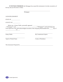**IN WITNESS WHEREOF,** the Mortgagor has caused this instrument to be duly executed as of the day and year first above written.

| Mortgagee                                                                         |                                                                                           |  |
|-----------------------------------------------------------------------------------|-------------------------------------------------------------------------------------------|--|
| <b>ACKNOWLEDGMENT</b>                                                             |                                                                                           |  |
|                                                                                   |                                                                                           |  |
| COUNTY OF                                                                         |                                                                                           |  |
| Before me, a Notary Public, personally appeared _________________________________ | sworn upon his or her oath acknowledged execution of the foregoing Memorandum this day of |  |
| Notary Public                                                                     | My Commission Expires                                                                     |  |
| Typed or Printed Name                                                             | County of Residence                                                                       |  |

This Instrument Prepared by: \_\_\_\_\_\_\_\_\_\_\_\_\_\_\_\_\_\_\_\_\_\_\_\_\_\_\_\_\_\_\_\_\_\_\_\_\_\_\_\_\_\_\_\_\_\_\_\_\_\_\_\_\_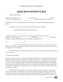**[Version for when you are Landlord/Seller]**

# **LEASE WITH OPTION TO BUY**

#### I. LEASE AGREEMENT

THIS LEASE entered into on \_\_\_\_\_\_\_\_\_\_\_\_\_\_\_\_ by and between \_\_\_\_\_\_\_\_\_\_\_\_\_\_\_\_\_\_\_\_\_ (hereafter referred to as "Landlord") and (hereafter referred to as "Tenant").

WITNESSETH THAT Landlord and Tenant, in consideration of their mutual undertakings, agree as follows:

Landlord hereby leases to Tenant and Tenant hereby leases from Landlord:

A Single Family Residence, commonly known as

 $\mathcal{L}_\mathcal{L}$  , and the set of the set of the set of the set of the set of the set of the set of the set of the set of the set of the set of the set of the set of the set of the set of the set of the set of the set of th

(hereafter referred to as "Leased Premises") and all appurtenances thereto for a term of \_\_\_\_\_\_\_\_ Months () commencing on  $\qquad \qquad$  and ending on  $\qquad \qquad$ , unless sooner terminated. Tenant without demand or notice shall pay a monthly lease of

 $**$ (

(\$\_\_\_\_\_\_\_\_\_\_) payable on or before the first day of each month in advance at the address of Landlord set forth in this Lease, or at such other address as Landlord by notice shall direct, all upon the following covenants, terms and conditions.

1. USE, COMPLIANCE WITH LAWS, SIGNS. The Leased Premises shall be used by Tenant only for the purpose of:

A Single Family Residence

and for no other use or purpose. Tenant shall keep the Leased Premises in a clean and orderly condition and shall conduct its residence wherefrom in a careful and safe manner. Tenant shall not use the Leased Premises or maintain them in any manner constituting a violation of any ordinance, statute, regulation, or order of any governmental authority, including without limitation zoning ordinances, nor shall Tenant maintain, permit or suffer any nuisance to occur or exist on the Leased Premises. Tenant shall not affix to or upon the exterior of the Leased Premises any sign, insignia, or decoration without the prior written consent of the Landlord.

2. SURRENDER AND HOLDOVER. Upon the expiration or sooner termination of this Lease, Tenant shall surrender to Landlord the Leased Premises, together with all other property affixed to the Leased Premises, and in the same clean order and condition in which Tenant received them, the effects or ordinary wear, acts of God, casualty, insurrection, riot or public disorder excepted. Tenant shall, prior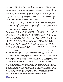to the expiration of the term, remove all of Tenant's personal property from the Leased Premises. In the event Landlord and Tenant fail to affirm, by written agreement signed by both parties hereto, the rental for any holdover period shall be one hundred twenty-five percent (125%) of the lease payment stated herein, payable on the same terms and conditions as specified herein. Any damage to the Leased Premises caused by such removal shall be repaired by Tenant prior to the expiration of the term. At Landlord's option, if Tenant fails to remove such personal property, then the same shall be deemed abandoned and become the property of Landlord. If Tenant shall remain in possession of all or any part of the Leased Premises after the expiration of the term of this Lease, with the consent of the Landlord, then the Tenant shall be a Lessee from month to month at an agreed upon monthly rental and subject to all of the other applicable covenants, terms and conditions hereof.

3. ASSIGNMENT AND SUBLETTING. Tenant shall not assign, mortgage, encumber, or transfer this Lease in whole or in part, or sublet the Leased Premises or any part thereof, nor grant a license or concession in connection therewith without the prior consent of Landlord. This prohibition shall include any act which has the effect of an assignment or transfer and which occurs by operation of law.

4. ALTERATIONS AND MAINTENANCE. Tenant hereby accepts the property in "AS IS" CONDITION AND WAIVES ALL WARRANTIES OF HABITABILITY, EXPRESS OR IMPLIED. IN CONSIDERATION OF THE PURCHASE OPTION AGREEMENT HEREIN LANDLORD SHALL HAVE NO DUTY TO MAKE REPAIRS, IMPROVEMENTS OR OTHERWISE MAINTAIN THE PROERTY IN ANY MANNER. TENANT SHALL MAINTAIN THE PROPERTY IN COMPLIANCE WITH ALL APPLICABLE BUILDING AND HEALTH CODE LAWS AND REGULATIONS AND IF THE TENANT DOES NOT DO SO, LANDLORD MAY CANCEL THIS LEASE AGREEMENT AND RETAKE POSSESSION OF THE PROPERTY. TENANT UNDERSTANDS THAT SUCH CANCELLATION WILL ALSO CANCEL THE PURCHASE OPTION AGREEMENT HEREIN. TENANT IS NOT ENTITLED TO REIMBURSEMENT FOR MONEY SPENT ON REPAIRS TO THE PROPERTY. TENANT HEREBY WAIVES ANY CLAIM FOR COMPENSATION FO REASONABLE VALUE OF ANY IMPROVEMENTS MADE AND/OR FOR SERVICES RENDERED IN MAKING REPAIRS OR IMPROVEMENTS.

5. DESTRUCTION. If the Leased Premises should be damaged or destroyed by fire or other cause to such an extent that the cost of the repair and restoration would exceed twenty percent (20%) of the amount it would cost to replace the Leased Premises in its entirety at the time such damage or destruction took place, then Landlord shall have the right to cancel this Lease by giving Tenant notice of such election within thirty (30) days after the occurrence of such damage or destruction and this Lease shall terminate as of fifteen (15) days after the date of such notice is given. If Landlord fails to exercise this option to terminate, the Landlord may, at its expense, promptly repair and restore the Leased Premises to substantially the same condition they were in prior to the damage or destruction.

In the event the Leased Premises are damaged or destroyed, the lease payments herein provided, or a fair and equitable portion thereof, shall be extended for a period equal to the period during which there has been a complete abatement of lease payment. The opinion of an architect or registered engineer or subject matter expert appointed by the Landlord as to the costs of repair, restoration or replacement shall be controlling upon the parties. Landlord's obligation to restore or repair does not include fixtures or improvements installed or owned by Tenant. The provisions of this Section are not intended to limit, modify or release Tenant from any liability it may have for damage or destruction.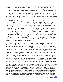6. CONDEMNATION. If the entire Leased Premises, or such portion thereof as will make the remainder unsuitable for the use permitted by this Lease is condemned by any constituted authority, or if a conveyance or other acquisition in lieu of such condemnation is made, then this Lease shall terminate as of the date possession is required by the condemner. If a portion of the Leased premises is condemned but the remainder is still suitable for the use permitted by this Lease, this Lease shall not terminate but a portion of the lease payment for the rest of the term shall be abated in proportion to the amount of the Leased Premises taken. All compensation paid in connection with the condemnation shall belong to and be the sole property of Landlord, except Tenant shall be entitled to any compensation awarded by the condemner for Tenant's moving expenses.

7. INSURANCE. Tenant agrees to procure and maintain fire and extended coverage insurance with a responsible insurer upon all improvements on the Leased Premises, in an amount not less than  $(\text{\$} \qquad)$  or the full extent of Tenant's insurable value, if greater ("Required Insurance"). The Required Insurance shall be issued in the names of Landlord and Tenant, as their respective interests may appears, and shall provide that the insurer may not cancel or materially change coverage without thirty (30) days prior written notice to Landlord. Tenant shall provide Landlord with such proof of insurance coverage within thirty (30) days of the execution of this Lease Agreement and as Landlord from time to time shall reasonably request. Except as otherwise may be agreed in writing, any insurance proceeds received as payment for any loss of or damage to the Leased Premises covered by Required Insurance shall be applied to restoration and repair of the loss or damage in such fashion as Landlord reasonably may require, unless such restoration and repair is not economically feasible or there exists an uncured Event of Default by Tenant under this lease agreement on the date of receipt of such proceeds, in either of which events, the Landlord shall determine what is in Landlord's best interest with respect to use of such proceeds.

8. MECHANIC'S LIENS. Tenant shall not permit any Statement of Intention to Hold a Mechanic's Lien to be filed against the Leased Premises or any part thereof nor against any interest or estate therein by reason of labor, services or materials claimed to have been performed or furnished to or for Tenant. If such Statement of Intention to Hold a Mechanic's Lien shall be filed, Landlord at its option may compel the prosecution of an action for the foreclosure of such Mechanic's Lien by the lien holder. If any such Statement of Intention to Hold a Mechanic's Lien shall be filed and an action commenced to foreclose the lien, Tenant, upon demand by Landlord, shall cause the lien to be released by the filing of a written undertaking with a surety approved by the Court and obtaining an order from the Court releasing the property from such lien. Nothing in this Lease shall be deemed or construed to constitute consent to or request to any party for the performance of any labor or services or the furnishing of any materials for the improvement, alteration or repairing of the Leased Premises; nor as giving Tenant the right or authority to contract for authorize or permit the performance of any labor or services or the furnishings of any material that would permit the attaching of a valid Mechanic's Lien.

9. INDEMNIFICATION AND RELEASE. Regardless of whether or not, separate, several, joint or concurrent liability may be imposed upon Landlord, Tenant shall indemnify and hold harmless Landlord from and against all damages, claims and liability arising from or connected with Tenant's control or use of the Leased Premises, including without limitation, any damage or injury to person or property. Leased Premises include, but not limited to, physical building(s), fencing, trees, shrubs, landscaping, sidewalks, driveways, recreational equipment, swing sets, etc. If Landlord shall without fault, become a party to litigation commenced by or against Tenant, then Tenant shall indemnify and hold Landlord harmless. The indemnification provided by this Section shall include Landlord's legal costs and fees in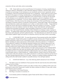connection with any such claim, action or proceeding.

10. USE. Tenant shall not use the Leased Premises for the purposes of storing, manufacturing or selling any explosives, flammables or other inherently dangerous substance, chemical, thing or device, except the use and storage of such substances as are customarily used in Lessee's operations, and are in compliance with all environmental and all other laws or regulations. Tenant shall not use the Leased Premises for the purpose of storing, manufacturing, or selling hazardous substances regulated under any environmental laws or regulations applicable to the Leased Premises, except the use and storage of such substances as are customarily used in Lessee's operations, and are in compliance with all environmental laws or regulations. No use by Tenant, shall be made, or permitted to be made upon the Leased Premises, which may increase the existing rate of insurance of the Leased Premises, or cause cancellation of insurance policies covering the Leased Premises. Tenant shall comply with all municipal, state and federal law, statutes and ordinances now in effect, or which shall be in effect. Tenant shall not conduct any activity that may be considered not legal, either from criminal or civil action. If Tenant breaches any terms and conditions stated by this Section, Tenant shall indemnify and hold harmless Landlord from and against all damages, claims and liability arising from or connect with Tenant's control or use of the Leased Premises, including without limitation, any damage or injury to person or property. If Landlord shall without fault, become a party to litigation commenced by or against Tenant, then Tenant shall indemnify and hold Landlord harmless. The indemnification provided by this Section shall include Landlord's legal costs and fees in connection with any such claim, action or proceeding.

11. LANDLORD'S LIEN. To secure the payment of lease payment and the other liabilities of Tenant hereunder, Tenant hereby grants to Landlord a security interest in all of Tenant's personal property and fixtures which are now or hereinafter located at the Leased Premises and in the proceeds thereof, including tort claims and insurance (all hereinafter collectively referred to as "Collateral"). Tenant authorizes Landlord to file financing statements relating to the Collateral signed only by the Landlord. Upon the occurrence of an Event of Default, Landlord shall have all the remedies now or hereafter located at the Leased Premises and in the secured party available under State of Law. These remedies include, without limitation, the right to take possession of the Collateral and for that purpose Landlord may enter upon any premises upon which the Collateral or any part of it, may be situated and remove it and Tenant shall hold Landlord harmless from any liability sustained thereby, except through wanton or willful misbehavior. Landlord shall give Tenant at least ten (10) days prior written notice of the time and place of any public sale thereof, or of the time at which any private sale or any other intended disposition thereof is to be made. Expenses of retaking, holding, preparing for sale, selling and the like shall include Landlord's reasonable attorneys' fees and legal expenses.

12. EVENTS OF DEFAULT. Any of the following shall be deemed an Event of Default:

A. The failure to pay any installment of lease payment when the same becomes due and the failure continues for five (5) days.

B. Tenant's failure to perform or observe any other covenant, term or condition of this Lease to be performed or observed by Tenant and if curable, the failure continues for fifteen (15) days after written notice thereof is given to Tenant.

C. Abandonment of the Leased Premises.

D. The filing or execution or occurrence of:

(1) An involuntary petition in bankruptcy against Tenant and the failure of Tenant, in good faith,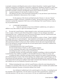to promptly commence and diligently pursue action to dismiss the petition. A petition against Tenant seeking a reorganization, arrangement, composition, readjustment, liquidation, dissolution or other relief of the same or different kind under any provision of the Bankruptcy Act, and the failure of Tenant in good faith to promptly commence and diligently pursue action to dismiss the petition.

(2) A general assignment for the benefit of creditors by Tenant.

(3) The taking by any party of the leased-hold created hereby, or any part thereof, upon foreclosure, levy, execution, attachment or other process of law or equity.

For the purposes of this Section and Sub-Section B of Section 11, the term "Tenant" shall include any assignee, sub-lessee, or guarantor of Tenant. This provision, however, shall not be construed, to permit the assignment of this Lease, nor the subletting of the Leased Premises, except as may be permitted hereby.

## 13. LANDLORD'S REMEDIES.

A. Upon the occurrence of any Event of Default, Landlord may, at its option, in addition to any other remedy or right it has hereunder or by law:

(1) Re-enter the Leased Premises, without demand or notice, and resume possession by an action in law or equity or otherwise and without being liable in trespass or for any damages and without terminating this Lease. Landlord may remove all persons and property from the Leased Premises and such property may be removed and stored at the cost of Tenant.

(2) Terminate this Lease at any time upon the date specified in a notice to Tenant. Tenant's liability for damages shall survive such termination. Upon termination such damages recoverable by Landlord from Tenant (hereinafter ("Indemnity Payments") shall be an amount equal to the lease payment and other payments provided for in this Lease which would have become due and owing hereunder from time to time during the Unexpired Term plus the cost and expenses paid or incurred by Landlord from time to time in connection with:

(a) obtaining possession of the Leased Premises;

(b) removal and storage of Tenant's or other occupant's property;

(c) care, maintenance and repair of the Leased Premises while vacant;

(d) reletting the whole or any part of the Leased Premises;

(e) repairing, altering, renovating, partitioning, enlarging, remodeling or otherwise putting the Leased Premises into condition acceptable to, and reasonable necessary to obtain new lessee; and

(f) making all repairs, alterations and improvements required to be made by Tenant hereunder and of performing all covenants of the Tenant relating to the condition of the Leased Premises, less the lease payment and other payments, if any, actually collected and allocatable to the Leased Premises or to the portion thereof relet by the Landlord. Tenant shall on demand make Indemnity Payments monthly and Landlord can sue for all Indemnity Payments as they accrue.

(3) Without terminating this Lease, relet the Leased Premises without the same being deemed an acceptance of a surrender of this Lease nor a waiver of Landlord's rights or remedies and Landlord shall be entitled to Indemnity Payments, as heretofore defined, from Tenant.

Any reletting by Landlord may be for a period equal to or less than, or extending beyond the remainder of the original term, or for the whole or any part of the Leased Premises, separately or with other premises or for any sum, or to any lessee or for any use Landlord deems appropriate.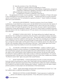B. Upon the occurrence of any of the following:

- (1) The filing of a voluntary petition on bankruptcy by Tenant;
- (2) the filing of a petition or answer by Tenant seeking a reorganization, arrangement, composition, readjustment, liquidation, dissolution or other relief of the same or different kind under any provision of the Bankruptcy Act;
- (3) an adjudication of Tenant as a bankrupt or insolvent; or

(4) the appointment of a trustee, receiver, guardian, conservator or liquidator of Tenant with respect to all or substantially all of its property; this Lease shall terminate ipso facto as of such occurrence and the Leased Premises sha11 be surrendered as required by Section 2. Tenant's liability for damages shall survive such termination.

14. ADVANCES AND INTERESTS. Upon the occurrence of any Event of Default, Landlord may, if such default has not been cured, cure that default for the account and at the expense of Tenant. If Landlord in curing such a default is compelled to pay or elects to pay any sum of money or do any acts which will require the payment of any sum of money, the sum so paid or incurred shall be reimbursed by Tenant upon demand by Landlord. All sums as to which Tenant is in default of payment shall bear interest at the rate of eighteen percent (18%) per annum (or the maximum amount under usury laws) until paid.

15. ATTORNEY'S FEES AND COSTS. The Tenant shall pay the Landlord's legal costs and attorneys' fees, including but not limited to those fees paid to a non-employee attorney incurred in enforcing any covenant, term or condition of this Lease. Tenant further agrees to be liable to Landlord for all expenses incurred by Landlord in enforcing the terms of this lease, including but not limited to, costs of collection, costs of eviction, moving and storage of tenants goods, for which the mover shall have a storage lien and the right to sell the goods if they are not reclaimed, attorney fees, filing fees and all other costs reasonably related to the enforcement of this lease. Tenant further agrees that eviction shall not release Tenant from liability for rent for the remainder of the lease.

16. ACCESS BY LANDLORD TO LEASED PREMISES. Landlord, Landlord's agents and Landlord's prospective lessees, purchasers or mortgagees shall be permitted to inspect and examine the Leased Premises quarterly and at all reasonable times and Landlord shall have the right to make any repairs to the Leased Premises which Landlord may deem necessary, but this provision shall not be construed to require Landlord to make repairs except as is otherwise required hereby. For a period commencing ninety (120) days prior to the expiration of the term of this Lease, Landlord may maintain "For Rent/or Lease/or Sale" signs on any part of the Leased Premises.

17. QUIET ENJOYMENT. If Tenant shall perform all of the covenants and agreements herein provided to be performed on Tenant's part, Tenant shall at all times during the term, have the peaceable and quiet enjoyment of possession of the Leased Premises without any manner of hindrance from Landlord or any parties lawfully claiming under Landlord. Landlord reserves the right to inspect premises quarterly to assure proper care and maintenance of the leased property.

18. "AS IS". Tenant acknowledges and agrees that Leased Premises are leased "as is," and the Landlord makes no additional representation or warranty.

19. PERONS OCCUPYING LEASED PREMISES. Tenant represents to Landlord that persons will ordinarily occupy the premises. If any other person or persons occupy the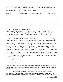premises without written notification and permission from the Landlord, Tenant will be breach of the terms and conditions stated herein. Further, Tenant agrees and acknowledges that at no time shall any persons occupy or visit Leased Premises that are convicted felons or have pending criminal charges against such persons. Tenant discloses that such persons are:

| Resident(s) Full<br>Legal Name | Relationship to<br>Tenant | Date of Birth | SSN#<br>Number | Driver's License # |
|--------------------------------|---------------------------|---------------|----------------|--------------------|
|                                |                           |               |                |                    |
|                                |                           |               |                |                    |
|                                |                           |               |                |                    |
|                                |                           |               |                |                    |
|                                |                           |               |                |                    |

20. TAXES AND ASSESSMENTS. Tenant shall pay the taxes on Leased Premises beginning with the real estate taxes, due and payable hereafter upon the execution of such Lease Agreement and all installments of taxes payable thereafter. Tenant shall pay all assessments for municipal and other improvements becoming a lien hereafter upon the execution of such Lease Agreement.

21. GENERAL AGREEMENT OF PARTIES. This Lease shall extend to and be binding upon the heirs, personal representatives, successors and assigns of the parties. This provision, however, shall not be construed to permit the assignment of this Lease except as may be permitted hereby. When applicable, use of the singular form of any word shall mean or apply to the plural and the neuter form shall mean or apply to the feminine or masculine. The captions and article numbers appearing in this Lease are inserted only as a matter of convenience and are not intended to define, limit, construe or describe the scope or intent of such provisions. No waiver by Landlord of any default by Tenant shall be effective unless in writing, nor shall it operate as a waiver of any other default or of the same default on a future occasion. Landlord's acceptance of lease payment shall not be deemed a waiver as to any preceding default. Any notices to be given hereunder shall be deemed sufficiently given when in writing and (a) actually served on the party to be notified or (b) placed in an envelope directed to the party to be notified at the following addresses and deposited in the United States Postal Service (mail) by certified or registered mail, postage prepaid:

- 1. To Landlord at: \_\_\_\_\_\_\_\_\_\_\_\_\_\_\_\_\_\_\_\_\_\_\_\_\_\_\_\_\_\_\_\_\_\_\_\_\_\_\_\_\_\_\_\_\_\_\_\_\_\_\_
- 2. To Tenant at:

Such addresses may be changed by either party by written advice as to the new address given as above provided. If there is more than one Tenant, their obligation shall be joint and several. This Lease shall not be recorded.

22. ADVERSE POSSESSION. Under no circumstances shall Tenant's construction of improvements on the Leased Premises or occupancy of the Leased Premises during the term of this Lease or any extension hereof be construed as possession of the Leased Premises under color of title or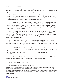adverse to the title of Landlord.

23. MERGER. All agreements, understandings, promises, and undertakings relating to the subject matter of this Agreement are herein merged and this writing constitutes the whole Agreement of the parties with reference to the subject matter of this Agreement.

24. SEVERABILITY. It is further understood and agreed by the parties hereto that if any provision of this agreement or portion thereof, or the application thereof to any person or circumstance is finally determined by a court of competent jurisdiction to be invalid or unenforceable, such invalidity or unenforceability shall not affect the other provisions of this agreement.

25. UTILITIES. Tenant shall pay for and be directly responsible for all utilities utilized by Tenant during the term of this Lease and thereafter. If Tenant fails to pay for any such utilities owed by Tenant with respect to the Leased Premises, Tenant shall be in default with the terms and conditions stated herein. At no time shall Tenant allow or permit a lien, of any type, to be attached to, filed against, or associated with the Leased Premises.

26. LATE PAYMENT PENALTY. Tenant shall pay Twenty Dollars (\$25.00) late fee if lease payment is received by Landlord on the first day of each month and then Five Dollars (\$5.00) a day thereafter until such lease payment is satisfied and pail in full. Any Non-Sufficient Fund check will be assessed an additional Forty-Five Dollars (\$45.00) fee and all subsequent payments must be made by Cashier's Check or Money Order.

27. DAY-TO-DAY MAINTENANCE. Tenant is responsible for repairs and the routine day-to-day care and maintenance of the Leased Premises, including but not limited to: grass cutting, weeding, landscaping, removing leaves, snow and ice removal from driveway and sidewalks, insecticide and rodent prevention, trash removal, etc.

28. GOVERNING LAW. This Agreement has been executed in the City of \_\_\_\_\_\_\_\_\_\_\_\_\_\_\_, State of \_\_\_\_\_\_\_\_\_\_\_, and shall be governed and construed according to the laws of the State of \_\_\_\_\_\_\_\_\_\_\_\_\_. Any actions or proceedings arising under or related to this Agreement must be in a federal court in the State of or in state court in  $\alpha$ County, State of  $\qquad \qquad$ 

29. AMENDMENT. This Agreement may be amended only by the agreement of the parties hereto which shall be reduced to writing and signed by the parties attached hereto.

## II. PURCHASE OPTION AGREEMENT

1. In consideration of a non-refundable option fee of \_\_\_\_\_\_\_\_\_\_\_\_\_\_\_\_\_\_ (\$\_\_\_\_\_\_\_\_), to be paid now, along with the execution of this Agreement, unless otherwise stated herein, Tenant shall have an option to purchase the Leased Premises from Landlord for \$ option must be exercised during the lease term by the Tenant paying the purchase price to the Landlord; however, the Tenant must first be in compliance with all lease terms, including, but not limited to the payment of rent.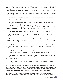2. OPTION FEE NON-REFUNDABLE: Any option fee that is either paid or for which credit is earned as to rental payments made to date by Tenant after exercising such purchase option shall be credited against the purchase price as outlined in the attached Amortization Table, and if, for any reason, the purchase price is not completed, or if this contract is canceled prior to the expiration of the lease term, the option fee shall be retained, by the Landlord as compensation for holding the property off the market and offering same to the Tenant at a fixed price, even though the lease term might be shortened by the cancellation of same.

## 3. THE OPTION TO PURCHASE SHALL BE VOID IN THE EVENT OF ANY OF THE FOLLOWING OCCURENCES:

A. Failure of Tenant to exercise same in a timely fashion, i.e., within the original lease term or any extensions that are mutually agreed upon.

B. Cancellation of the lease for any default declared thereunder.

C. Abandonment of the property by the Tenant, which is defined as the failure of Tenant to reside in the property and/or failure to make rental payments as called for in the lease agreement.

4. This option is not assignable by Tenant unless Landlord agrees separately and in writing.

5. If Tenant elects to exercise this option, the sale shall take place according to the terms of a Purchase Agreement between the parties.

6. Notice of election to Purchase shall be given by Tenant to Landlord in writing and by certified or registered mail to Landlord at:  $\Box$  , or at an address provided by Landlord.

7. TENANT agrees to accept subject property in current "AS IS" condition. Should Landlord be required to make repairs of any kind whatsoever to the property, the cost of such repairs shall be added directly to the purchase price stated in the Purchase Agreement.

8. TENANT agrees to pay for any and all additional assessments incurred during Occupancy and prior to ownership, including but not limited to water, sewer, sidewalks, road paving, etc.)

9. This option to purchase will be terminated and all option consideration forfeited, if payment required on option agreement or any payment required on lease agreement is late for more than five (5) days past the due date.

10. Tenant agrees that they will not record anything against the title, of said property, prior to closing and owning this property.

11. This Option to Purchase is not, and shall not be construed as, or interpreted as any form of EQUITABLE MORTGAGE. It is hereby declared that it is not the intent of the parties to create a loan of any nature or to create a mortgage of any kind. In the event that the Tenant hereunder should ever raise such an issue in a court of law or otherwise, this Option shall terminate immediately.

12. The filing of any voluntary or involuntary petition in bankruptcy by Tenant shall constitute prima facia evidence of the Tenant's inability to exercise the purchase option and the option shall be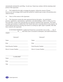automatically terminated by such filing. In such case, Tenant may continue with the remaining rental portion of this Agreement.

13. The Landlord has the right to mortgage the property, without the consent of Tenant; however, any such mortgage shall be paid and satisfied by Landlord upon receipt of the purchase price called for herein.

14. Time is of the essence in this Agreement.

15. This Agreement contains the entire agreement between the parties. Any and all prior promises, negotiations, representations, expectations, and understandings, verbal or written, are of no force and effect, except to the extent that they are expressly contained in this Agreement. The Tenant covenants and warrants to Landlord that if the Tenants had a prior ownership interest in the property, the Tenant shall be barred from asserting such interest as creating any rights, legal or equitable, other than those created by this Agreement.

IN WITNESS WHEREOF, Landlord and Tenant have executed this Lease on this \_\_\_\_ day of 20 and if this Lease is executed in counterparts, each shall be deemed an original.

| "TENANT"                                                                                                                       | "TENANT"                 |
|--------------------------------------------------------------------------------------------------------------------------------|--------------------------|
| Name:                                                                                                                          | Name:                    |
| Print:<br><u> Alexandria de la contentación de la contentación de la contentación de la contentación de la contentación de</u> |                          |
| Social Security Number:                                                                                                        | Social Security Number:  |
| Driver's License Number:                                                                                                       | Driver's License Number: |
|                                                                                                                                |                          |
| <u> 1989 - Johann John Stone, markin f</u>                                                                                     |                          |
| "LANDLORD"<br>Name:                                                                                                            |                          |

Print: \_\_\_\_\_\_\_\_\_\_\_\_\_\_\_\_\_\_\_\_\_\_\_\_\_\_\_\_\_\_

Title: \_\_\_\_\_\_\_\_\_\_\_\_\_\_\_\_\_\_\_\_\_\_\_\_\_\_\_\_\_\_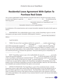# **Residential Lease Agreement With Option To Purchase Real Estate**

| This LEASE AGREEMENT WITH OPTION TO PURCHASE REAL ESTATE (hereinafter referred |            |                                                |
|--------------------------------------------------------------------------------|------------|------------------------------------------------|
| to as the Lease/Option) is made this                                           | day of     | $, 20$ , by and between the                    |
| following parties:                                                             |            | located at                                     |
|                                                                                |            | (hereinafter referred to as Tenant/Buyer); and |
|                                                                                | located at |                                                |

\_\_\_\_\_\_\_\_\_\_\_\_\_\_\_\_\_\_\_\_\_\_ (hereinafter referred to as the Landlord/Seller).

In consideration of the mutual promises and covenants hereinafter stipulated, the parties hereby agree as follows:

1. DESCRIPTION: The Landlord/Seller agrees to lease, and the Tenant/Buyer agrees to rent the real property and improvements, hereinafter called property, located at:

and more fully described as

follows:

Legal description:

2. TERM: The term of this Lease/Option shall be for a period of \_\_\_\_\_ months commencing on  $\frac{1}{20}$ , 20 and ending on \_\_\_\_\_\_\_\_\_\_\_\_\_\_\_\_\_\_, 20 \_\_\_\_. The term will be automatically extended for experiods of extendios, unless the Tenant/Buyer gives notice to the Landlord/Seller of its intent to terminate this Lease/Option, by mailing a written notice to the last provided address of the Landlord/Seller. Liability for continued or future payment will not extend beyond notice to terminate this agreement. Possession shall be given to Tenant/Buyer on  $\cdot$  20  $\cdot$ 

3. RENT: Tenant/Buyer agrees to pay to the Landlord/Seller the sum of \$ per month, with the first payment beginning  $\qquad \qquad$ , 20  $\qquad$  as rent for the property, for the term of this Lease/Option, and during any extensions thereof. All rental payments shall be due and payable in advance of the 14th day of each and every month. An amount equal to \$ for each month in which rent was paid, shall be credited to the Tenant/Buyer and applied to the purchase price of the property in the event that the Tenant/Buyer exercises its option hereunder; otherwise, this credit shall be non-refundable and considered forfeited if the option is not exercised.

4. OPTION TO PURCHASE: The Tenant/Buyer, as part of the consideration herein, is hereby granted the exclusive right, option and privilege of purchasing property at any time during the term of this Lease/Option agreement or any extension thereof. The Tenant/Buyer shall notify the Landlord/ Seller in writing of the exercise of this option at least ten (10) days prior to the expiration of the initial term of this Lease/Option or the expiration of any extension thereof, by mail to the last-provided address of Landlord/Seller.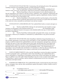5. COVENANTS OF TENANT/BUYER: Commencing with and during the term of this agreement, including extensions, the Tenant/Buyer hereby covenants and agrees as follows:

(a) That the Tenant/Buyer will pay all utility charges and bills, including but not limited to water, sewer, gas, oil and electric, which may be assessed or charged against the property.

(b) That the Tenant/Buyer will not use the property for any unlawful purpose; and that the Tenant/Buyer will conform to and obey all laws, ordinances, rules, regulations, requirements and orders of all Federal, State, and Local government authorities, agencies, departments, bureaus, boards or officials, respecting the use of the property; and

(c) That the Tenant/Buyer will surrender and deliver up the property, at the end of the term or any extensions thereof, should the option herein not be exercised, in as good order and condition as the same now exists, reasonable use and natural wear and tear excepted.

6. COVENANTS OF LANDLORD/SELLER: The Landlord/Seller hereby covenants and agrees as follows:

(a) That the Landlord/Seller shall pay for and maintain fire and extended coverage insurance on said property in the minimum amount of \$\_\_\_\_\_\_\_\_\_\_\_\_\_\_. The Tenant/Buyer shall be named as an additional insured or loss-payee on the insurance policy and copy of which shall be provided to Tenant/Buyer.

(b) That the Tenant/Buyer shall peaceably and quietly hold, occupy, use and enjoy the property, without any let, hindrance or molestation by Landlord/Seller or any person associated therewith.

7. BREACH BY TENANT/BUYER: If the Tenant/Buyer shall fail to keep and perform any of the covenants, agreements, or provisions of the Lease/Option, or if the Tenant/Buyer shall abandon the property, it shall be lawful for the Landlord/Seller to enter into said property and again have, repossess, and enjoy the same as if this Lease/Option had not been made, and thereupon this Lease/Option and everything herein contained on the part of the Landlord/Seller to be done and performed shall cease, determine and be utterly void, except as set forth in paragraph 8 below. The commencement of a proceeding or suit in forceable entry and detainer or in ejectment, or otherwise after any default by the Tenant/Buyer, shall be equivalent in every respect to actual entry by the Landlord/Seller.

8. COSTS OF IMPROVEMENTS: In the event the Tenant/Buyer exercises the option to purchase set forth in paragraph 4 above, and through no fault of the Tenant/Buyer, the Landlord/Seller fail to convey said property to Tenant/Buyer in accordance with the terms of this Lease/Option, the Tenant/ Buyer, in addition to any other rights which Tenant/Buyer may have in law or equity for the enforcement of Tenant/Buyer's option to purchase, shall be entitled to reimbursement for the cost of all repairs, maintenance and improvements.

9. FURTHER ENCUMBRANCES: The Landlord/Seller hereby warrants that the total of the leases, options, mortgages, liens, and any other encumbrances against the property, whether of public record or not, are as follows:

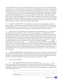The Landlord/Seller agrees not lease to another third party, nor to assign, sell, option, transfer, pledge, or otherwise convey any or all rights or interests had by Landlord/Seller in the property or in this Lease/ Option agreement, nor to further encumber the property nor allows the same to occur. All third parties are hereby put on notice that any leases, assignments by the Landlord/Seller, liens, options, mortgages, or any other conveyances or transfers occurring subsequent to the date of this Lease/Option are hereby declared by the Landlord/Seller to be null and void and of no force and effect. The Landlord/Seller further agrees to keep all mortgages, liens, taxes, or other encumbrances on the property, current and in good standing. Tenant/Buyer shall have the right to make payments on same in the event that Landlord/ Seller becomes non-current or otherwise defaults thereon and said payments will be deducted from any equity due seller or recovered from future rent due Landlord/Seller.

10. RIGHT OF ASSIGNMENT: The Tenant/Buyer shall have the unqualified right to sublet the property, and/or to assign, sell, transfer, pledge or otherwise convey any or all rights or interests which the Tenant/Buyer may have in the property or in this Lease/Option Agreement. Any such assignments will release original Tenant/Buyer from liability and substitute assignee in his/her or its place.

11. MAINTENANCE AND REPAIRS: The Tenant/Buyer accepts the property "as is" on the date of execution of this Lease/Option except for items listed in paragraph 13. The Tenant/Buyer shall henceforth be responsible for all maintenance and repair upon said property, both interior and exterior. The Tenant/Buyer shall have the right to make such repairs, maintenance, and improvements as Tenant/ Buyer shall deem necessary, proper or desirable. The Tenant/Buyer shall be solely liable for payment for said improvements and shall hold the Landlord/Seller harmless therefrom, except that any electric, plumbing, heating or cooling system that is out of order or any repairs exceeding \$\_\_\_\_\_\_\_\_ at the commencement of this lease or within days thereafter will be repaired by the Landlord/Seller at his/her expense. If the Landlord/Seller cannot or will not make the repairs necessary the Tenant/Buyer will have the option of either voiding this agreement by written notice to the Landlord/Seller or making such repairs and a) receiving a reimbursement from the next monthly payment or payments due the Landlord/Seller or b) receiving a credit against the purchase price plus interest at 10% per annum from date of payment.

12. BINDING AGREEMENTS: The parties hereto agree that this Lease/Option comprises the entire agreement of the parties and that no other representation or agreements have been made or relied upon, and that this Lease/Option agreement shall inure to the benefit of and shall be binding upon the parties, their heirs, executors, administrators, personal representatives, successors or assigns.

### 13. SPECIAL PROVISIONS:

(a) The Landlord/Seller will complete the following items by  $\qquad \qquad$ , 20 or this Lease/Option will become null and void and all monies disbursed by Tenant/Buyer will be immediately refunded by Landlord/Seller or, at Tenant/Buyer's option, these items will be completed by Tenant/Buyer and the cost of same will be recovered as provided for in paragraph 11 in which case this lease will continue in force.

> $\_$  ,  $\_$  ,  $\_$  ,  $\_$  ,  $\_$  ,  $\_$  ,  $\_$  ,  $\_$  ,  $\_$  ,  $\_$  ,  $\_$  ,  $\_$  ,  $\_$  ,  $\_$  ,  $\_$  ,  $\_$  ,  $\_$  ,  $\_$  ,  $\_$  ,  $\_$  ,  $\_$  ,  $\_$  ,  $\_$  ,  $\_$  ,  $\_$  ,  $\_$  ,  $\_$  ,  $\_$  ,  $\_$  ,  $\_$  ,  $\_$  ,  $\_$  ,  $\_$  ,  $\_$  ,  $\_$  ,  $\_$  ,  $\_$  ,  $\_$  ,  $\_$  ,  $\_$  ,  $\_$  ,  $\_$  ,  $\_$  ,  $\_$  ,  $\_$  ,  $\_$  ,  $\_$  ,  $\_$  ,  $\_$  ,  $\_$  ,  $\_$  ,  $\_$  ,  $\_$  ,  $\_$  ,  $\_$  ,  $\_$  ,  $\_$  ,  $\_$  ,  $\_$  ,  $\_$  ,  $\_$  ,  $\_$  ,  $\_$  ,  $\_$  ,  $\_$  ,  $\_$  ,  $\_$  ,  $\_$  ,  $\_$  ,  $\_$  ,  $\_$  ,  $\_$  ,  $\_$  ,  $\_$  ,  $\_$  ,  $\_$  ,  $\_$  ,  $\_$  ,  $\_$  ,  $\_$  ,  $\_$  ,  $\_$  ,  $\_$  ,  $\_$  ,  $\_$  ,  $\_$  ,  $\_$  ,  $\_$  ,  $\_$  ,  $\_$  ,  $\_$  ,  $\_$  ,  $\_$  ,  $\_$  ,  $\_$  ,  $\_$  ,  $\_$  ,  $\_$  ,  $\_$  ,  $\_$  ,  $\_$  ,  $\_$  ,  $\_$  ,  $\_$  ,  $\_$  ,  $\_$  ,  $\_$  ,  $\_$  ,  $\_$  ,  $\_$  ,  $\_$  ,

other provisions: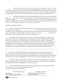$\_$  ,  $\_$  ,  $\_$  ,  $\_$  ,  $\_$  ,  $\_$  ,  $\_$  ,  $\_$  ,  $\_$  ,  $\_$  ,  $\_$  ,  $\_$  ,  $\_$  ,  $\_$  ,  $\_$  ,  $\_$  ,  $\_$  ,  $\_$  ,  $\_$  ,  $\_$  ,  $\_$  ,  $\_$  ,  $\_$  ,  $\_$  ,  $\_$  ,  $\_$  ,  $\_$  ,  $\_$  ,  $\_$  ,  $\_$  ,  $\_$  ,  $\_$  ,  $\_$  ,  $\_$  ,  $\_$  ,  $\_$  ,  $\_$  , (b) A TITLE SEARCH will be ordered immediately by the Tenant/Buyer. This cost will be borne by the Tenant/Buyer unless it is discovered that Landlord/Seller has unmarketable title in which case the Landlord/Seller will reimburse Tenant/Buyer the cost of the search. If the title is unmarketable the Tenant/Buyer will then have the option to void this agreement or proceed as agreed herewith.

 $\_$  ,  $\_$  ,  $\_$  ,  $\_$  ,  $\_$  ,  $\_$  ,  $\_$  ,  $\_$  ,  $\_$  ,  $\_$  ,  $\_$  ,  $\_$  ,  $\_$  ,  $\_$  ,  $\_$  ,  $\_$  ,  $\_$  ,  $\_$  ,  $\_$  ,  $\_$  ,  $\_$  ,  $\_$  ,  $\_$  ,  $\_$  ,  $\_$  ,  $\_$  ,  $\_$  ,  $\_$  ,  $\_$  ,  $\_$  ,  $\_$  ,  $\_$  ,  $\_$  ,  $\_$  ,  $\_$  ,  $\_$  ,  $\_$  ,

(c) A WOOD DESTROYING ORGANISM REPORT will be ordered by the Tenant/Buyer within days after execution of this agreement. If live wood destroying organisms or rotten wood damage exceeding \$  $\frac{1}{2}$  is found Landlord/Seller agrees to repair and have treated at his/her expense. If Landlord/Seller cannot or will not pay for the repairs and treatment, Tenant/Buyer may elect to do so or void this agreement and receive a rebate for cost incurred.

## OPTION PURCHASE TERMS

14. PRICE AND TERMS: The Tenant/Buyer agrees to pay for said property the lesser of the current loan balances or the sum of \$  $\qquad \qquad$  less any sums for which the Tenant/Buyer is entitled to claim reimbursement or offset in accordance with this agreement; the net sum to be paid in cash, certified check, or cashiers check at closing. Total not to exceed \$ . Any liens over that amount will be deducted from any money due Landlord/Seller.

15. INCLUDED IN THE PURCHASE: The property shall also include all land, together with all improvements thereon, all appurtenant rights, privileges, easements, buildings, fixtures, heating, electrical, plumbing and air conditioning fixtures and facilities, window shades, venetian blinds, awnings, curtain rods, screens, storm windows and doors, affixed mirrors, wall to wall carpeting, stair carpeting, built in kitchen appliances, bathroom fixtures, radio and television aerials, landscaping and shrubbery, water softeners, garage door openers and operating devices, and all utility or storage buildings or sheds, range and refrigerator. The property shall also include the following items:

 $\_$  ,  $\_$  ,  $\_$  ,  $\_$  ,  $\_$  ,  $\_$  ,  $\_$  ,  $\_$  ,  $\_$  ,  $\_$  ,  $\_$  ,  $\_$  ,  $\_$  ,  $\_$  ,  $\_$  ,  $\_$  ,  $\_$  ,  $\_$  ,  $\_$  ,  $\_$  ,  $\_$  ,  $\_$  ,  $\_$  ,  $\_$  ,  $\_$  ,  $\_$  ,  $\_$  ,  $\_$  ,  $\_$  ,  $\_$  ,  $\_$  ,  $\_$  ,  $\_$  ,  $\_$  ,  $\_$  ,  $\_$  ,  $\_$  ,  $\_$  ,  $\_$  ,  $\_$  ,  $\_$  ,  $\_$  ,  $\_$  ,  $\_$  ,  $\_$  ,  $\_$  ,  $\_$  ,  $\_$  ,  $\_$  ,  $\_$  ,  $\_$  ,  $\_$  ,  $\_$  ,  $\_$  ,  $\_$  ,  $\_$  ,  $\_$  ,  $\_$  ,  $\_$  ,  $\_$  ,  $\_$  ,  $\_$  ,  $\_$  ,  $\_$  ,  $\_$  ,  $\_$  ,  $\_$  ,  $\_$  ,  $\_$  ,  $\_$  ,  $\_$  ,  $\_$  ,  $\_$  ,  $\_$  ,

16. TITLE: The Landlord/Seller shall convey marketable title to the property with the above described inclusions, by good and sufficient General Warranty Deed in fee simple absolute, on or before closing; said title to be free, clear and unencumbered except existing mortgages restrictions and easements of record shown in paragraph 9. This to be conveyed to the Tenant/Buyer and/or assigns.

17. CLOSING: The deed shall be delivered and the purchase money shall be paid at the lending institution's or other office, of Tenant/Buyer's choice, no later than sixty (60) days after notification to the Landlord/Seller of the Tenant/Buyer's exercise of the option.

18. COSTS AND PRORATIONS: There shall be prorated between the Landlord/Seller and the Tenant/Buyer, as of date of closing, the following items: (a) All real estate taxes and assessments;

| Landlord/Seller will pay:            |  | Tenant/Buyer will pay:          |  |
|--------------------------------------|--|---------------------------------|--|
| Transfer tax                         |  | Wood destroying organism survey |  |
| <b>Owners Title Insurance Policy</b> |  | Updated title search            |  |

74 Sample Agreements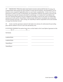$\_$  ,  $\_$  ,  $\_$  ,  $\_$  ,  $\_$  ,  $\_$  ,  $\_$  ,  $\_$  ,  $\_$  ,  $\_$  ,  $\_$  ,  $\_$  ,  $\_$  ,  $\_$  ,  $\_$  ,  $\_$  ,  $\_$  ,  $\_$  ,  $\_$ 19. INSURANCE: While this option shall remain executory and up until the time of closing, the Landlord/Seller shall maintain fire and extended coverage upon the property, and immediately convert from the owner occupied (if applicable) policy to a non owner occupied policy. In the event of loss or destruction in whole or in part of said property, the Tenant/Buyer shall have the option to proceed with the closing and accept the insurance proceeds for said damage, or to declare this Lease/Option null and void, releasing both parties from any obligations hereunder, except for the return of reimbursable expenses previously paid by Tenant/Buyer which amounts shall become immediately due and payable from the insurance proceeds. Upon closing, the Tenant/Buyer shall be responsible for fire and extended coverage from that date forward.

 $\_$  ,  $\_$  ,  $\_$  ,  $\_$  ,  $\_$  ,  $\_$  ,  $\_$  ,  $\_$  ,  $\_$  ,  $\_$  ,  $\_$  ,  $\_$  ,  $\_$  ,  $\_$  ,  $\_$  ,  $\_$  ,  $\_$  ,  $\_$  ,  $\_$  ,  $\_$ 

20. In the event this agreement is placed in the hands of an attorney for enforcement the prevailing party shall be entitled to recover Court costs and attorney fees.

IN WITNESS WHEREOF the parties hereto have set their hands to this Lease/Option Agreement on this \_\_\_\_\_\_\_\_ day of \_\_\_\_\_\_\_\_\_\_\_\_\_\_\_\_\_\_, 20\_\_\_\_.

 $\_$  ,  $\_$  ,  $\_$  ,  $\_$  ,  $\_$  ,  $\_$  ,  $\_$  ,  $\_$  ,  $\_$  ,  $\_$  ,  $\_$  ,  $\_$  ,  $\_$  ,  $\_$  ,  $\_$  ,  $\_$  ,  $\_$  ,  $\_$  ,  $\_$  ,  $\_$ 

 $\_$  ,  $\_$  ,  $\_$  ,  $\_$  ,  $\_$  ,  $\_$  ,  $\_$  ,  $\_$  ,  $\_$  ,  $\_$  ,  $\_$  ,  $\_$  ,  $\_$  ,  $\_$  ,  $\_$  ,  $\_$  ,  $\_$  ,  $\_$  ,  $\_$  ,  $\_$ 

 $\_$  ,  $\_$  ,  $\_$  ,  $\_$  ,  $\_$  ,  $\_$  ,  $\_$  ,  $\_$  ,  $\_$  ,  $\_$  ,  $\_$  ,  $\_$  ,  $\_$  ,  $\_$  ,  $\_$  ,  $\_$  ,  $\_$  ,  $\_$  ,  $\_$  ,  $\_$ 

 $\_$  ,  $\_$  ,  $\_$  ,  $\_$  ,  $\_$  ,  $\_$  ,  $\_$  ,  $\_$  ,  $\_$  ,  $\_$  ,  $\_$  ,  $\_$  ,  $\_$  ,  $\_$  ,  $\_$  ,  $\_$  ,  $\_$  ,  $\_$  ,  $\_$  ,  $\_$ 

WITNESS:

Landlord/Seller

Landlord/Seller

Tenant/Buyer

Tenant/Buyer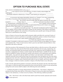# **OPTION TO PURCHASE REAL ESTATE**

| FOR AND IN CONSIDERATION of the sum of                                                                 | Dollars        |
|--------------------------------------------------------------------------------------------------------|----------------|
| (\$), the receipt (in escrow) and sufficiency of which is hereby acknowledged, the                     |                |
| undersigned,                                                                                           |                |
| (hereinafter referred to collectively as "Owner"), does hereby give and grant to                       |                |
|                                                                                                        |                |
| _, its successors and assigns (hereinafter referred to as "Grantee"), for a term commencing            |                |
| on the date of execution of this instrument by Owner, and expiring at P.M. on                          |                |
| 200 the exclusive and irrevocable right and option to purchase the real estate                         |                |
|                                                                                                        |                |
| "A" attached hereto, containing not less than acres, together with all easements,                      |                |
| rights and appurtenances attached thereto and all improvements thereon (all of which is herein-after   |                |
| referred to as the "Real Estate"), for a purchase Price of                                             | <b>Dollars</b> |
| (\$), payable as hereinafter provided. The aforesaid consideration paid by Grantee for this            |                |
| option, together with any further sums paid by Grantee for the extension of this option as hereinafter |                |
| provided, shall be applied to the cash portion of the purchase price payable upon closing and Grantee  |                |
| shall receive credit therefor at the closing.                                                          |                |

Notice of Intent to Exercise this option shall be deemed validly and effectively exercised if notice of intent to exercise is given in such form as reasonably calculated by grantee to inform Owner/Grantor of such intent to exercise and is either mailed certified mail to Owner at

on or before the expiration date of such option (as extended, if extended), or delivered in person to Owner or left for Owner at such address on or before such expiration date. Notice of such exercise which is given by mail shall be deemed effective when deposited in the mail as aforesaid.

After the execution of this instrument by Owner and either before or after the exercise of this option by Grantee, Grantee may enter upon the Real Estate and do and perform all surveying, engineering, soil borings, environmental audits and assessments and other tests, inspections and investigations deemed necessary or appropriate by Grantee to satisfy Grantee that the Real Estate is suitable for the uses and purposes intended by Grantee and otherwise satisfies and conforms to the requirements and conditions of this option. Any such tests and acts shall be at Grantee's cost and expense, and Grantee shall indemnify and hold Owner and the Real Estate free and harmless from and against any liens and claims arising out of any such work. During the option period and prior to closing, Owner shall not use or alter the Real Estate in a manner which would adversely affect its use by Grantee, and Owner shall not sell, lease, mortgage or otherwise transfer, encumber or dispose of the Real Estate to any other party.

In the event the option herein granted is exercised as aforesaid, the purchase and sale of the Real Estate with respect to which the option herein granted has been exercised and the contract of sale and purchase arising from such exercise shall be subject to the following terms and conditions:

1. Conditions Precedent to Closing; Representations and Warranties. The Grantee's obligation to purchase the Real Estate after delivery of the notice of intent to exercise the option herein granted is subject to the satisfaction, or written waiver by Grantee, of the following conditions precedent:

76 Sample Agreements 1.1 Title. That Owner's title to the Real Estate shall be (and Owner hereby represents and warrants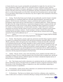to Grantee that the same is) good, merchantable and marketable fee simple title, free and clear of any liens, encumbrances, highways, rights-of-way, easements, licenses, restrictions, leases, tenancies, mineral leases, reservations or severances, agreements, covenants, conditions and limitations, except for the lien of the then current taxes which are not delinquent, and other encumbrances that will be cleared prior to or at the closing (usually out of the Seller's proceeds from the purchase price), and street rightof-way and utilities which Grantee in its discretion, may elect to approve after examination of the title as hereinafter provided.

1.2 Zoning. That the Real Estate must be finally and unconditionally zoned for Grantee's intended uses and purposes as a residential subdivision with other adjacent properties, and related uses and purposes, with all necessary classifications, variances, permissions and exceptions required for development, improvement and use of the Real Estate as a residential subdivision. Grantee shall have the right to have the zoning classification or requirements changed at Grantee's expense and take such action (either before or after exercise of this option), including the filing of petitions for rezoning or for variance of zoning requirements, as Grantee deems necessary. Owner shall execute whatever instruments are necessary and take whatever action is necessary and fully cooperate to assist Grantee in obtaining such rezoning or variances. If such rezoning or variance is denied, this option shall terminate and all sums paid by Grantee to Owner for this option and any extension hereof shall be returned by Owner, but the additional sum of  $\Box$ (\$) paid to  $\qquad \qquad$  Title Insurance Company shall be refunded to Grantee, unless Grantee waives such zoning requirements in writing.

1.3 Permits. That all permits, consents, approvals, permissions and other things required or desired by Grantee to be obtained from all federal, state and local governmental, municipal, public and other officials, authorities, bodies and agencies have been obtained, or Grantee has been able to determine to its satisfaction that the same are readily obtainable in order to permit Grantee's intended use and development of the Real Estate. The parties shall cooperate with each other and furnish each other with all necessary information needed to obtain all such permits, consents and approvals. Upon request of Grantee, Owner shall execute any and all applications for all such permits and any subdivision plat and similar or related documents which Grantee deems necessary to file with any governmental authority in connection with the proposed development of the Real Estate.

1.4 Utilities. That gas, electric, water, storm and sanitary sewers, telephone and other utilities are available for Grantee's use at or within the property lines of the Real Estate at standard rates, and that all such utilities are adequate and have sufficient capacity for Grantee's intended development and use of the Real Estate as a residential subdivision.

1.5 Soil. That Grantee must be able to determine to its satisfaction that the soil conditions, qualities, density and bearing capacity of the Real Estate are suitable for Grantee's proposed construction without the necessity of any extraordinary filling or compaction or any other extraordinary engineering or construction measures or expenditures.

1.6 Environmental. Grantee must be able to determine to its satisfaction that the Real Estate is not in any way contaminated with any hazardous substance.

1.7 No Restrictions. That there are no federal, state or local laws, ordinances, rules, regulations, codes or orders and no covenants or restrictions affecting or running with the Real Estate which would,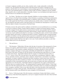in Grantee's judgment, prohibit, prevent, delay, interfere with, or make undesirable or infeasible, Grantee's use, development and improvement of the Real Estate for Grantee's intended uses and purposes; and that there are no proceedings or actions pending against Owner or the Real Estate before any court or governmental agency or authority which would, in Grantee's judgment, prevent, prohibit, delay, interfere with, or make undesirable or infeasible, Grantee's use, development and improvement of the Real Estate for its intended uses and purposes.

1.8 No Claims. That there are no claims, demands, liabilities or actions pending or threatened against Owner or the Real Estate (including, without limitation, no pending or threatened condemnation proceedings by any public or governmental agency or authority) which constitute or might ripen into a lien or claim against the Real Estate or which could prevent, prohibit, delay or interfere with Grantee's use, development and improvement of the Real Estate for its intended uses and purposes or which could otherwise deprive Grantee of any portion of the Real Estate.

If Grantee exercises this option and the conditions set forth above are not satisfied prior to or at closing, or waived in writing by Grantee, Grantee shall be entitled to a refund of all monies paid by Grantee to the title company for this option and any extension hereof and the same promptly shall be returned to Grantee, and Grantee's obligations hereunder shall terminate. Grantee shall not be deemed to have waived any of said conditions precedent by exercising or extending this option, and all of said conditions precedent shall be and remain as conditions precedent to Grantee's obligations upon closing hereunder, regardless of whether or not this option has been exercised or extended by Grantee; provided, however, that it is understood and agreed that all of said conditions precedent are for the exclusive benefit of Grantee and that Grantee shall have the right to waive any of said conditions precedent, as and when Grantee shall see fit in its sole discretion.

### 2. Title and Survey.

2.1 Title Insurance. Within thirty (30) days after the date of execution of this instrument by Owner, Owner, at its expense, shall furnish Grantee a commitment for an Owner's policy of title insurance (binder) issued by a title insurance company satisfactory to Grantee, pursuant to which such title insurance company shall agree to insure good, marketable and indefeasible fee simple title to the Real Estate in the name of Grantee for the full amount of the purchase price upon delivery of a deed to Grantee from Owner. Such binder shall provide for issuance of a final title insurance policy in A.L.T.A. Owner's Form 1992, free and clear of any and all liens, encumbrances, highways, rightsof-way, easements, licenses, restrictions, leases, tenancies, mineral leases, reservations or severances, agreements, covenants, conditions, limitations and other exceptions, except current taxes which are not delinquent and such other exceptions as Grantee, in its sole discretion, may elect to approve after examination of title as hereinafter provided, and on such terms as Grantee may deem reasonable and appropriate in its sole discretion. Said binder shall be accompanied by true copies of all documents which are shown as exceptions therein. The standard general exceptions shall be deleted. Owner shall satisfy all of the title requirements shown in the binder so that there will be no exception for delinquent taxes, occupancy, mechanic's liens or any other title defect in the final title policy, and extended and comprehensive coverage will be provided. If the Real Estate is comprised of two (2) or more parcels, the title insurance policy must affirmatively insure contiguity of all such parcels.

2.2 Survey. Following receipt of the title insurance commitment, Grantee shall obtain a current staked survey of the Real Estate prepared by a surveyor or engineer licensed in the state where the Real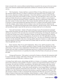Estate is located with a current certificate attached thereto executed by the surveyor in the most current form of the minimum standard detail requirements certificate for American Land Title Association surveys.

2.3 Title Examination. Grantee shall have a period of fifteen (15) days following receipt of said title insurance binder and survey in which to examine the same and notify Owner in writing of any title or survey objections or further requirements. Owner then shall have a period of thirty (30) days after receipt of such notice from Grantee in which to correct any such objections to title or survey and satisfy any further title and survey requirements of Grantee. If Owner is unable to correct Grantee's title and survey objections and satisfy Grantee's further title and survey requirements within thirty (30) days after receipt of written notice thereof, then Grantee thereafter shall have the right at any time, at its election, to cancel and terminate this agreement and receive a refund of all monies paid by Grantee to the title company, unless Grantee elects in writing to waive such title and survey objections and requirements. It is understood and agreed that Grantee shall have, and does hereby reserve, the absolute and unconditional right to reject the title and survey as Grantee shall see fit, in its discretion.

3. Taxes and Assessments. Grantee will assume and agree to pay all assessments for municipal improvements becoming a lien after the date of the closing of the purchase and sale of the Real Estate and the pro rata portion of the real estate taxes assessed for and becoming a lien during the calendar year in which such closing occurs which is allocable to Grantee on and after closing and Owner shall pay the balance of such taxes using, for closing purposes, the present tax rate if the applicable tax rate has not been set but providing for adjustment when such rate is set. Any taxes not assumed by Grantee and which are not due and payable at the time of closing shall be allowed to Grantee as a credit on the cash payment required on closing, and Owner shall not be further liable for such taxes, except for adjustment when the applicable rate is set.

4. Rents, Insurance, Risk of Loss and Condemnation. Rents, if any, shall be prorated as of the date of closing. Insurance, if any, shall be cancelled as of date of closing. Owner shall bear risk of loss until closing. In the event of any condemnation of the Real Estate or any part thereof prior to closing, Grantee may elect either to terminate this agreement and receive a refund of all sums paid for this option and any extension hereof, or to purchase the residue of the Real Estate at the price per acre herein provided.

5. Closing and Possession. If this option is exercised by Grantee as aforesaid, this transaction shall be closed at the title company within thirty (30) days after such exercise or the satisfaction of all of the conditions precedent set forth above, whichever is later.

At closing Owner shall execute, acknowledge and deliver to Grantee, or its nominee, a general warranty deed in form satisfactory and acceptable to Grantee's counsel conveying the Real Estate to Grantee, or its nominee, free and clear of all liens, encumbrances, title defects and exceptions other than current taxes, and any other matters which may have been approved by Grantee in writing after examination of title as hereinabove provided. Owner shall execute and deliver a non-foreign affidavit to Grantee at closing in the form required by Internal Revenue Code §1445. Owner also shall execute, acknowledge and deliver any other instruments, documents and assurances required or requested by Grantee or the title insurance company in order to consummate this transaction and effect the conveyance of the Real Estate to Grantee as herein provided, including, without limitation, a vendor's affidavit, and Disclosure of Sales Information. Possession of the Real Estate shall be delivered to Grantee, or its nominee, at the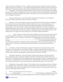closing, in the same condition as it now is, ordinary wear and tear only excepted, free and clear of the rights or claims of any other party. All warranties and representations of Owner, and any covenants and obligations of the parties hereunder which remain unperformed upon closing, shall survive the closing. 6. Assignment. Grantee may assign this option at closing. Upon any such assignment the assignee shall have all the rights and obligations of Grantee hereunder and Grantee shall thereupon, automatically and without the execution of further instruments or documents, be relieved and released of and from all of such obligations hereunder.

7. Successors and Assigns. This option shall be binding upon and shall inure to the benefit of Owner and Grantee and their respective successors and assigns.

8. Remedies. In the event Grantee exercises this option and Owner fails to perform its obligations hereunder upon closing, Grantee shall be entitled to enforce the same by specific performance. In the event that Grantee exercises this option and all conditions precedent to closing hereunder have been satisfied or waived by Grantee in writing, and Grantee thereafter fails or refuses to perform its obligations hereunder upon closing, Owner shall be entitled to retain all monies paid by Grantee for this option including the payment to the title company as liquidated damages, which shall be Owner's sole remedy at law or in equity, and Owner hereby waives the right to specific performance.

9. Notices. Notice of exercise of this option shall be given in the form and manner set forth on the first page of this instrument. All other notices required to be given by either party to the other hereunder shall be given in writing by certified mail, and if addressed to Owner such notice shall be sent to \_\_\_\_\_\_\_\_\_\_\_\_\_\_\_\_\_\_\_\_\_\_\_\_\_\_\_\_\_\_\_\_\_\_\_\_\_\_\_\_, and if addressed to Grantee such notice shall be sent to **we are all the sent to we sent to we** sent to **we** see the sent to **we** see the sent to **we** see the sense furnished by either party to the other in writing at any time and from time to time for such notice purposes. Any notice served by either party on the other shall be deemed effective when deposited in the mail as aforesaid.

10. Non-Waiver. No delay, forbearance or neglect by Grantee in the enforcement of any of the conditions of this agreement or any of Grantee's rights or remedies hereunder shall constitute or be construed as a waiver thereof. No waiver of any of the conditions of this agreement by Grantee shall be effective unless expressly and affirmatively made and given by Grantee in writing.

11. Brokerage Commission. Owner and Grantee represent and warrant to each other that there are no commissions due in connection with this transaction or the Real Estate, and that Owner and Grantee have not employed and is not obligated to any real estate agent or broker in connection with this transaction or the Real Estate, and Owner and Grantee shall indemnify each other from and against any and all claims and liability for any such commissions, which indemnity shall survive the closing.

12. Memoranda. If requested by Grantee, Owner shall execute, acknowledge and deliver to Grantee a memorandum of this option and a subsequent memorandum of the extension and/or exercise hereof, all in recordable form, which memoranda may be recorded by Grantee in the proper public office in the county where the Real Estate is located.

13. Escrow. The initial payment in the amount of \_\_\_\_\_\_\_\_\_\_\_\_\_\_\_\_\_\_\_\_\_\_\_\_\_\_\_\_\_\_\_\_ Dollars  $(\$$   $\qquad)$  shall be paid to  $\qquad \qquad$  Escrow Agent, as evidenced by the receipt of Escrow Agent endorsed hereon, and any additional sums which may hereafter be paid by Grantee

80 Sample Agreements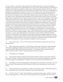for any extension or extensions of this option likewise shall be paid to Escrow Agent as hereinabove provided. All such option money shall be held in escrow by Escrow Agent until closing or termination or expiration of this option in accordance with the terms of this agreement, whichever first occurs. Upon closing, Escrow Agent shall disburse all of the option and extension money to Owner to be applied to the purchase price as hereinabove provided. In the event of any failure of any of the aforesaid conditions precedent, either before the exercise of this option so as to result in the termination of the option, or after exercise of this option so as to result in the termination of the contract arising out of the exercise of this option, Escrow Agent shall refund and disburse all of said option and extension money to Grantee upon receipt of written notice from Grantee of such termination. In the event of expiration of this option without exercise thereof by Grantee, after satisfaction or waiver of all of said conditions precedent, all of said option and extension money shall be paid and disbursed by Escrow Agent to Owner. If Grantee exercises this option and then fails or refuses to perform its obligations hereunder upon closing, all of said option and extension money shall be paid and disbursed by Escrow Agent to Owner as liquidated damages. Escrow Agent shall be entitled to rely upon written notices and sworn statements received from the party requesting disbursement in disbursing the escrowed funds, and Escrow Agent shall have no liability hereunder except in the case of a negligent or willful breach of its duties hereunder or fraudulent or dishonest conduct on its part. Escrow Agent shall be entitled to receive a reasonable fee for its services as Escrow Agent hereunder, which escrow fee shall be borne and paid equally by Owner and Grantee. Escrow Agent shall hold the escrowed funds in interest bearing certificates of deposit issued by a national bank or other federally insured financial institution mutually satisfactory to Owner and Grantee, or in short-term United States Treasury bills, and the interest shall be disbursed to the party who ultimately becomes entitled to receive the escrowed funds. Such interest will not be part of down payment if this transaction is closed, but shall be in addition to the down payment.

14. Time of the Essence. Time is of the essence for the performance of each and every covenant contained herein.

15. Entire Agreement; Amendment. This instrument contains and constitutes the entire agreement of the parties regarding the subject matter hereof, and there are no other agreements, written or oral, between the parties affecting the subject matter hereof. No amendment of this agreement shall be effective unless the same is made in writing and signed by the parties hereto.

16. Governing Law; Construction.

(a) This agreement shall be interpreted and enforced according to the laws of the State where the Real Estate is located. The parties expressly agree that any law or statute requiring that any ambiguity be construed against the drafting party is expressly waived to the full extent as permitted by law.

(b) All headings of sections and paragraphs of this agreement are inserted for convenience only, and do not form part of this agreement or limit, expand or otherwise alter the meaning of any provisions hereof.

(c) This agreement may be executed in any number of counterparts, each of which shall be deemed to be an original and all of which shall constitute one and the same agreement.

(d) The terms "hereof", "herein" and "hereunder", and words of similar import, shall be construed to refer to this agreement as a whole, and not to any particular section, paragraph or provision, unless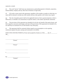expressly so stated.

(e) The word "person" shall mean any natural person, partnership (general or limited), corporation, limited liability company and any other form of business or legal entity.

(f) All words or terms used in this agreement, regardless of the number or gender in which they are used, shall be deemed to include any other number and any other gender as the context may require.

(g) The rule of ejusdem generis shall not be applicable herein to limit a general statement, which is followed by or referable to an enumeration of specific matters, to the matters specifically mentioned.

(h) The provisions of this agreement are intended to be for the sole benefit of the parties hereto, and their respective successors and assigns, and none of the provisions of this agreement are intended to be, nor shall they be construed to be, for the benefit of any third party.

(i) This agreement shall be construed without regard to any presumption or rule requiring construction against the party causing such instrument to be drafted.

EXECUTED AND DELIVERED by Owner and accepted by Grantee as of this \_\_\_\_ day of \_\_\_\_\_\_\_, 200\_\_.

 $\mathcal{L}_\mathcal{L}$  , and the set of the set of the set of the set of the set of the set of the set of the set of the set of the set of the set of the set of the set of the set of the set of the set of the set of the set of th "Owner"

 $\mathcal{L}_\mathcal{L}$  , and the set of the set of the set of the set of the set of the set of the set of the set of the set of the set of the set of the set of the set of the set of the set of the set of the set of the set of th "Owner"

\_\_\_\_\_\_\_\_\_\_\_\_\_\_\_\_\_\_\_\_\_\_\_\_\_\_\_\_\_\_\_\_\_\_\_\_

 $a \fbox{1}$ 

By: \_\_\_\_\_\_\_\_\_\_\_\_\_\_\_\_\_\_\_\_\_\_\_\_\_\_\_\_\_\_\_\_\_\_\_\_

"Grantee"

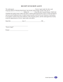# **RECEIPT OF ESCROW AGENT**

| The undersigned,                                                                        |               | , Escrow Agent under the above and                                                                     |  |  |
|-----------------------------------------------------------------------------------------|---------------|--------------------------------------------------------------------------------------------------------|--|--|
| foregoing Option to Purchase Real Estate, does hereby acknowledge receipt of the sum of |               |                                                                                                        |  |  |
|                                                                                         | Dollars $(\$$ | from the above named Grantee, which sum                                                                |  |  |
|                                                                                         |               | constitutes the option money under said option, and the undersigned hereby agrees to hold and disburse |  |  |
|                                                                                         |               | said sum and all additional sums of option money hereafter received for any extension of said option,  |  |  |
|                                                                                         |               | in accordance with the terms and conditions of the foregoing option, and the undersigned does hereby   |  |  |
| accept the appointment as Escrow Agent under said option.                               |               |                                                                                                        |  |  |

| Dated this | day of |  | 200 |  |
|------------|--------|--|-----|--|
|            |        |  |     |  |

"Escrow Agent"

| Printed: |
|----------|
|----------|

 $\mathcal{L}_\text{max}$  , and the set of the set of the set of the set of the set of the set of the set of the set of the set of the set of the set of the set of the set of the set of the set of the set of the set of the set of the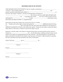# **MEMORANDUM OF OPTION**

|                                                                           |           | THIS MEMORANDUM WITNESSETH, that for valuable consideration, ___________________                                                                                                                                                                |  |
|---------------------------------------------------------------------------|-----------|-------------------------------------------------------------------------------------------------------------------------------------------------------------------------------------------------------------------------------------------------|--|
|                                                                           |           |                                                                                                                                                                                                                                                 |  |
|                                                                           |           |                                                                                                                                                                                                                                                 |  |
|                                                                           |           |                                                                                                                                                                                                                                                 |  |
|                                                                           |           |                                                                                                                                                                                                                                                 |  |
|                                                                           |           |                                                                                                                                                                                                                                                 |  |
|                                                                           |           |                                                                                                                                                                                                                                                 |  |
|                                                                           |           | $\frac{1}{20}$ , to purchase that certain $\frac{1}{20}$ acre tract of land over and located in $\frac{20}{20}$ , to purchase that certain $\frac{1}{20}$ acre tract of land owned by Owner particularly described in Exhibit "A" attached here |  |
|                                                                           |           |                                                                                                                                                                                                                                                 |  |
|                                                                           |           |                                                                                                                                                                                                                                                 |  |
|                                                                           |           |                                                                                                                                                                                                                                                 |  |
|                                                                           |           | additional consideration to Owner as provided in the option. Grantee has the right to assign said option                                                                                                                                        |  |
| either before or after notice of intent to exercise this option is given. |           |                                                                                                                                                                                                                                                 |  |
|                                                                           |           |                                                                                                                                                                                                                                                 |  |
|                                                                           |           | Reference is hereby made to the Option to Purchase Real Estate executed and delivered by Owner to                                                                                                                                               |  |
|                                                                           |           |                                                                                                                                                                                                                                                 |  |
|                                                                           |           | option, all of which are incorporated herein by this reference. This Memorandum is executed by the                                                                                                                                              |  |
|                                                                           |           | parties and shall be recorded for the purpose of giving notice of Grantee's right and option to purchase                                                                                                                                        |  |
| the above described real estate pursuant to the terms of said option.     |           |                                                                                                                                                                                                                                                 |  |
|                                                                           |           |                                                                                                                                                                                                                                                 |  |
|                                                                           |           |                                                                                                                                                                                                                                                 |  |
| "Owner"                                                                   |           |                                                                                                                                                                                                                                                 |  |
|                                                                           |           |                                                                                                                                                                                                                                                 |  |
| Printed:                                                                  |           |                                                                                                                                                                                                                                                 |  |
|                                                                           |           |                                                                                                                                                                                                                                                 |  |
|                                                                           |           |                                                                                                                                                                                                                                                 |  |
|                                                                           | "Grantee" |                                                                                                                                                                                                                                                 |  |
| Printed:                                                                  |           |                                                                                                                                                                                                                                                 |  |
|                                                                           |           |                                                                                                                                                                                                                                                 |  |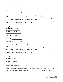## **[Acknowledgement for Owner]**

| <b>ACKHOWIEUgeIHEIH TOT OWHER</b>                                                                                                                                                |
|----------------------------------------------------------------------------------------------------------------------------------------------------------------------------------|
| $\begin{tabular}{c} \bf STATE OF \end{tabular}$                                                                                                                                  |
| $)$ SS:                                                                                                                                                                          |
|                                                                                                                                                                                  |
| Before me, a Notary Public in and for said County and State, personally appeared                                                                                                 |
|                                                                                                                                                                                  |
|                                                                                                                                                                                  |
|                                                                                                                                                                                  |
|                                                                                                                                                                                  |
| Notary Public                                                                                                                                                                    |
| My Commission expires:                                                                                                                                                           |
| My County of residence                                                                                                                                                           |
| <u> 1989 - Johann Barbara, martxa alemaniar a</u>                                                                                                                                |
| [Acknowledgement for Grantee]                                                                                                                                                    |
| $\begin{tabular}{c} \bf STATE OF \end{tabular}$                                                                                                                                  |
| $)$ SS:                                                                                                                                                                          |
|                                                                                                                                                                                  |
| Before me, a Notary Public in and for said County and State, personally appeared                                                                                                 |
|                                                                                                                                                                                  |
| and<br>execution of the foregoing instrument for and on behalf of said<br>execution of the foregoing instrument for and on behalf of said<br>execution.                          |
|                                                                                                                                                                                  |
|                                                                                                                                                                                  |
|                                                                                                                                                                                  |
| Notary Public                                                                                                                                                                    |
| My Commission expires:                                                                                                                                                           |
| My County of residence                                                                                                                                                           |
| This instrument prepared by:                                                                                                                                                     |
| I affirm, under penalties of perjury, that I have taken reasonable care to redact each Social Security<br>Number in this document, unless required by law.<br>(Name of Preparer) |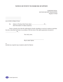# **NOTICE OF INTENT TO EXERCISE OF OPTION**

CERTIFIED MAIL: RETURN RECEIPT REQUESTED: Regular US Mail

(as set forth in Option Form)

 $\overline{\mathcal{L}}$  , which is a set of the set of the set of the set of the set of the set of the set of the set of the set of the set of the set of the set of the set of the set of the set of the set of the set of the set of th  $\overline{\mathcal{L}}$  , which is a set of the set of the set of the set of the set of the set of the set of the set of the set of the set of the set of the set of the set of the set of the set of the set of the set of the set of th  $\mathcal{L}_\text{max}$  , which is a set of the set of the set of the set of the set of the set of the set of the set of the set of the set of the set of the set of the set of the set of the set of the set of the set of the set of

> Re: Option to Purchase Real Estate dated \_\_\_\_\_\_\_\_\_\_\_\_\_\_\_\_\_\_\_, 20\_\_ [brief description of subject property]

Notice is hereby given that the undersigned is hereby intending to exercise its option to purchase the above described real estate in accordance with the terms of the option agreement executed on  $\frac{1}{20}$ , 20\_.

 $\mathcal{L}_\text{max}$  , which is a set of the set of the set of the set of the set of the set of the set of the set of the set of the set of the set of the set of the set of the set of the set of the set of the set of the set of

Very truly yours,

Buyer under Option

cc:

[include any required copy recipients under the Option]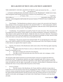# **DECLARATION OF TRUST AND LAND TRUST AGREEMENT**

THIS AGREEMENT AND DECLARATION OF TRUST Is made and entered into this \_\_\_\_\_ day of  $\Box$ , 20  $\Box$ , by and between,  $\Box$ 

as Grantors and Beneficiaries, (hereinafter referred to as the "Beneficiaries", whether one or more, which designation shall include all successors in interest of any Beneficiary), and

\_\_\_\_\_\_\_\_\_\_\_\_\_\_\_\_\_\_\_\_\_\_\_ as Trustee, of the \_\_\_\_\_\_\_\_\_\_\_\_\_\_\_\_\_\_\_\_\_\_\_\_\_\_\_\_\_\_\_\_\_\_ Land Trust whose address is  $\blacksquare$ "Trustee", which designation shall include all successor trustees). IT IS MUTUALLY AGREED AS FOLLOWS:

1. Trust Property. The Beneficiaries are about to convey or cause to be conveyed to the Trustee by deed, absolute in form, the property described in the attached Exhibit "A", which said property shall be held by the Trustee, in trust, for the following uses and purposes, under the terms of this Agreement and shall be hereinafter referred to as the "Trust Property".

2. Consideration. No consideration was paid by Trustee for such conveyance. The conveyance will be accepted and will be held by Trustee subject to all existing encumbrances, easements, restrictions or other clouds or claims against the title thereto, whether the same are of record or otherwise. The property will be held on the trusts, terms and conditions and for the purposes hereinafter set forth, until the whole of the trust estate is conveyed, free of this trust, as hereinafter provided.

3. Beneficiaries. The persons named in the attached Exhibit "B" are the Beneficiaries of this Trust, and as such, shall be entitled to all of the earnings, avails and proceeds of the Trust Property according to their interests set opposite their respective names.

4. Interests. The interests of the Beneficiaries shall consist solely of the following rights respecting the Trust Property:

a. The right to direct the Trustee to convey or otherwise deal with the title to the Trust Property as hereinafter set out.

b. The right to manage and control the Trust Property.

c. The right to receive the proceeds and avails from the rental, sale, mortgage, or other disposition of the Trust Property.

The foregoing rights shall be deemed to be personal property and may be assigned and otherwise transferred as such. No Beneficiary shall have any legal or equitable right, title or interest, as realty, in or to any real estate held in trust under this Agreement, or the right to require partition of that real estate, but shall have only the rights, as personally, set out above, and the death of a Beneficiary shall not terminate this Trust or in any manner affect the powers of the Trustee.

5. Powers of Trustee.

a. With the consent of the Beneficiary, the Trustee shall have authority to issue notes or bonds and to secure the payment of the same by mortgaging the whole or any part of the Trust Property; to borrow money, giving notes therefore signed by him in his capacity as Trustee; to invest such part of the capital and the profits therefrom and the proceeds of the sale of bonds and notes in such real estate, equities in real estate, and mortgages in real estate in the United States of America, as he may deem advisable.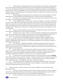b. With the consent of the Beneficiary, the Trustee shall have the authority to hold the legal title to all of the Trust Property, and shall have the exclusive management and control of the property as if he were the absolute owner thereof, and the Trustee is hereby given full power to do all things and perform all acts which in his judgment are necessary and proper for the protection of the Trust Property and for the interest of the Beneficiaries in the property of the Trust, subject to the restrictions, terms, and conditions herein set forth.

c. Without prejudice to the general powers conferred on the Trustee hereunder, it is hereby declared that the Trustee shall have the following powers, with the consent of the Beneficiaries:

(1) To purchase any real property for the Trust at such times and on such terms as may seem advisable; to assume mortgages upon the property.

(2) To sell at public auction or private sale, to barter, to exchange, or to dispose of otherwise, any part, or the whole of the Trust Property which may, from time to time form part of the Trust estate, subject to such restrictions and for such consideration for cash and for credit, and generally upon such terms and conditions as may seem judicious, to secure payment upon any loan or loans of the Trust, by mortgage with or without power of sale, and to include such provisions, terms, and conditions as may seem desirable.

(3) To rent or lease the whole or any part of the Trust Property for long or short terms, but not for terms exceeding the term of the Trust then remaining.

(4) To repair, alter, tear down, add to, or erect any building or buildings upon land belonging to the Trust; to fill, grade, drain, improve, and otherwise develop any land belonging to the Trust; to carry on, operate, or manage any building, apartment house, or hotel belonging to the Trust.

(5) To make, execute, acknowledge, and deliver all deeds, releases, mortgages, leases, contracts, agreements, instruments, and other obligations of whatsoever nature relating to the Trust Property, and generally to have full power to do all things and perform all acts necessary to make the instruments proper and legal.

(6) To collect notes, obligations, dividends, and all other payments that may be due and payable to the Trust; to deposit the proceeds thereof, as well as any other moneys from whatsoever source they may be derived, in any suitable bank or depository, and to draw the same from time to time for the purposes herein provided.

(7) To pay all lawful taxes and assessments and the necessary expenses of the Trust; to employ such officers, brokers, engineers, architects, carpenters, contractors, agents, counsel, and such other persons as may seem expedient, to designate their duties and fix their compensation; to fix a reasonable compensation for their own services to the Trust, as organizers thereof.

(8) To represent the Trust and the Beneficiaries in all suits and legal proceedings **relating**  to the Trust Property in any court of law of equity, or before any other bodies or tribunals; to begin suits and to prosecute them to final judgment or decree; to compromise claims or suits, and to submit the same to arbitration when, in his judgment, such course is necessary or proper.

(9) To arrange and pay for and keep in force in the name and for the benefit of the Trustee, such insurance as the Trustee may deem advisable, in such companies, in such amounts, and against such risks as determined necessary by the Trustee.

6. Duties of Trustee. It shall be the duty of the Trustee in addition to the other duties herein imposed upon him:

a. To keep a careful and complete record of all the beneficial interests in the Trust Property with the name and residence of the person or persons owning such beneficial interest, and such other items as he may deem of importance or as may be required by the Beneficiaries.

b. To keep careful and accurate books showing the receipts and disbursements of the

88 Sample Agreements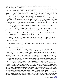Trust and also of the Trust Property, and such other items as he may deem of importance or as the Beneficiaries hereunder may require.

c. To keep books of the Trust open to the inspection of the Beneficiaries at such reasonable times at the main office of the Trust as they may appoint.

d. To furnish the Beneficiaries at special meetings at which the same shall be requested a careful, accurate, written report of his transactions as Trustee hereunder, of the financial standing of the Trust, and of such other information concerning the affairs of the Trust as they shall request.

e. To sell the Trust Property and distribute the proceeds therefrom:

(1) If any property shall remain in trust under this Agreement for a term which exceeds that allowed under applicable state law, the Trustee forthwith shall sell same at public sale after a reasonable public advertisement and reasonable notice to the Beneficiaries and, after deducting his reasonable fees and expenses, he shall divide the proceeds of the sale among the Beneficiaries as their interests may then appear, without any direction or consent whatsoever, or

(2) To transfer, set over, convey and deliver to all the then Beneficiaries of this Trust their respective undivided interests in any non-divisible assets, or

(3) To transfer, set over and deliver all of the assets of the Trust to its Beneficiaries, in their respective proportionate shares, at any time when the assets of the Trust consist solely of cash.

7. Compensation of Trustee. The Beneficiaries jointly and severally agree that the Trustee shall receive the sum of \$ per month for his services as Trustee hereunder.

8. Liability of Trustee. The Trustee and his successor as Trustee shall not be required to give a bond, and each Trustee shall be liable only for his own acts and then only as a result of his own gross negligence or bad faith.

9. Removal of Trustee. The Beneficiaries shall have the power to remove a Trustee from his office or appoint a successor to succeed him.

10. Resignation and Successor.

a. Any Trustee may resign his office with \_\_\_\_\_\_\_\_\_\_\_\_ (\_\_) days written notice to Beneficiaries and Beneficiaries shall proceed to elect a new Trustee to take the place of the Trustee who had resigned, but the resignation shall not take effect until a certificate thereof, signed, sealed, and acknowledged by the Trustee, and a certificate of the election of the new Trustee, signed and sworn to by the Beneficiaries and containing an acceptance of the office, signed and acknowledged by the new Trustee, shall have been procured in a form which is acceptable for recording in the registries of deeds of all the counties in which properties held under this instrument are situated. If the Beneficiaries shall fail to elect a new Trustee within  $\qquad \qquad$  ) days after the resignation, then the Trustee may petition any appropriate court in this state to accept his resignation and appoint a new Trustee.

b. Any vacancy in the office of Trustee, whether arising from death or from any other cause not herein provided for, shall be filled within  $\qquad \qquad$  ) days from the date of the vacancy and the Beneficiaries shall proceed to elect a new Trustee to fill the vacancy, and immediately thereafter shall cause to be prepared a certificate of the election containing an acceptance of the office, signed, sealed, and acknowledged by the new Trustee, which shall be in a form acceptable for recording in the registries of deeds of all the counties in which properties held under this instrument are situated.

c. Whenever a new Trustee shall have been elected or appointed to the office of Trustee and shall have assumed the duties of office, he shall succeed to the title of all the properties of the Trust and shall have all the powers and be subject to all the restrictions granted to or imposed upon the Trustee by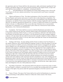this agreement, and every Trustee shall have the same powers, rights, and interests regarding the Trust Property, and shall be subject to the same restrictions and duties as the original Trustee, except as the same shall have been modified by amendment, as herein provided for.

d. Notwithstanding any such resignation, the Trustee shall continue to have a lien on the Trust Property for all costs, expenses and attorney's fees incurred and for said Trustee's reasonable compensation.

11. Objects and Purposes of Trust. The objects and purposes of this Trust shall be to hold title to the Trust Property and to protect and conserve it until its sale or other disposition or liquidation. The Trustee shall not undertake any activity not strictly necessary to the attainment of the foregoing objects and purposes, nor shall the Trustee transact business within the meaning of applicable state law, or any other law, nor shall this Agreement be deemed to be, or create or evidence the existence of a corporation, de facto or de jure, or a Massachusetts Trust, or any other type of business trust, or an association in the nature of a corporation, or a co-partnership or joint venture by or between the Trustee and the Beneficiaries, or by or between the Beneficiaries.

12. Exculpation. The Trustee shall have no power to bind the Beneficiaries personally and, in every written contract he may enter into, reference shall be made to this declaration; and any person or corporation contracting with the Trustee, as well as any beneficiary, shall look to the funds and the Trust Property for payment under such contract, or for the payment of any debt, mortgage, judgment, or decree, or for any money that may otherwise become due or payable, whether by reason or failure of the Trustee to perform the contract, or for any other reason, and neither the Trustee nor the Beneficiaries shall be liable personally therefore.

13. Dealings with Trustee. No party dealing with the Trustee in relation to the Trust Property in any manner whatsoever, and, without limiting the foregoing, no party to whom the property or any part of it or any interest in it shall be conveyed, contracted to be sold, leased or mortgaged by the Trustee, shall be obliged to see to the application of any purchase money, rent or money borrowed or otherwise advanced on the property; to see that the terms of this Trust Agreement have been complied with; to inquire into the authority, necessity or expediency of any act of the Trustee; or be privileged to inquire into any of the terms of this Trust Agreement. Every deed, mortgage, lease or other instrument executed by the Trustee in relation to the Trust Property shall be conclusive evidence in favor of every person claiming any right, title or interest under the Trust that at the time of its delivery the Trust created under this Agreement was in full force and effect; and that instrument was executed in accordance with the terms and conditions of this Agreement and all its amendments, if any, and is binding upon all Beneficiaries under it; that the Trustee was duly authorized and empowered to execute and deliver every such instrument; if a conveyance has been made to a successor or successors in trust, that the successor or successors have been appointed properly and are vested fully with all the title, estate, rights, powers, duties and obligations of its, his or their predecessor in Trust.

14. Recording of Agreement. This Agreement shall not be placed on record in the county in which the Trust Property is situated, or elsewhere, but if it is so recorded, that recording shall not be considered as notice of the rights of any person under this Agreement derogatory to the title or powers of the Trustee.

15. Name of Trustee. The name of the Trustee shall not be used by the Beneficiaries in connection with any advertising or other publicity whatsoever without the written consent of the Trustee.

90 Sample Agreements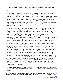16. Income Tax Returns. The Trustee shall be obligated to file any income tax returns with respect to the Trust, as required by law, and the Beneficiaries individually shall report and pay their share of income taxes on the earnings and avails of the Trust Property or growing out of their interest under this Trust.

17. Assignment. The interest of a Beneficiary, or any part of that interest, may be transferred only by a written assignment, executed in duplicate and delivered to the Trustee. The Trustee shall note its acceptance on the original and duplicate original of the assignment, retaining the original and delivering the duplicate original to the assignee as and for his or her evidence of ownership of a beneficial interest under this Agreement. No assignment of any interest under this Agreement, other than by operation of law, that is not so executed, delivered and accepted shall be valid without the written approval of all of the other Beneficiaries who possess the power of direction. No person who is vested with the power of direction, but who is not a Beneficiary under this Agreement, shall assign that power without the written consent of all the Beneficiaries.

18. Individual Liability of Trustee. The Trustee shall not be required, in dealing with the Trust Property or in otherwise acting under this Agreement, to enter into any individual contract or other individual obligation whatsoever; nor to make himself individually liable to pay or incur the payment of any damages, attorney's fees, fines, and penalties, forfeitures, costs, charges or other sums of money whatsoever. The Trustee shall have no individual liability or obligation whatsoever arising from his ownership, as Trustee, of the legal title to the Trust Property, or with respect to any act done or contract entered into or indebtedness incurred by him in dealing with the Trust Property or in otherwise acting under this Agreement, except only as far as the Trust Property and any trust funds in the actual possession of the Trustee shall be applicable to the payment and discharge of that liability or obligation.

19. Reimbursement and Indemnification of Trustee. If the Trustee shall pay or incur any liability to pay any money on account of this Trust, or incur any liability to pay any money on account of being made a party to any litigation as a result of holding title to Trust Property or otherwise in connection with this Trust, whether because of breach of contract, injury to person or property, fines or penalties under any law, or otherwise, the Beneficiaries, jointly and severally agree that on demand they will pay to the Trustee, with interest at the rate of  $\%$  per annum, all such payments made or liabilities incurred by the Trustee, together with his expenses, including reasonable attorney's fees, and that they will indemnify and hold the Trustee harmless of and from any and all payments made or liabilities incurred by him for any reason whatsoever as a result of this Agreement; and all amounts so paid by the Trustee, as well as his compensation under this Agreement, shall constitute a lien on the Trust Property. The Trustee shall not be required to convey or otherwise deal with the Trust property as long as any money is due to the Trustee under this Agreement; nor shall the Trustee be required to advance or pay out any money on account of this Trust or to prosecute or defend any legal proceedings involving this Trust or any property or interest under this Agreement unless he shall be furnished with sufficient funds or be indemnified to his satisfaction.

20. Entire Agreement. This Agreement contains the entire understanding between the parties and may be amended, revoked, or terminated only by written agreement signed by the Trustee and all of the Beneficiaries.

21. Governing Law. This agreement, and all transactions contemplated hereby, shall be governed by, construed and enforced in accordance with the laws of the State of The parties herein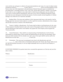waive trial by jury and agree to submit to the personal jurisdiction and venue of a court of subject matter jurisdiction located in County, State of Terminal County, State of Terminal State in the event that litigation results from or arises out of this Agreement or the performance thereof, the parties agree to reimburse the prevailing party's reasonable attorney's fees, court costs, and all other expenses, whether or not taxable by the court as costs, in addition to any other relief to which the prevailing party may be entitled. In such event, no action shall be entertained by said court or any court of competent jurisdiction if filed more than one year subsequent to the date the cause(s) of action actually accrued regardless of whether damages were otherwise as of said time calculable.

22. Binding Effect. The terms and conditions of this Agreement shall inure to the benefit of and be binding upon any successor trustee under it, as well as upon the executors, administrators, heirs, assigns and all other successors in interest of the Beneficiaries.

23. Trustee's Liability to Beneficiaries. The Trustee shall be liable to the Beneficiaries for the value of their respective beneficial interests only to the extent of the property held in Trust by him hereunder and the Beneficiaries shall enforce such liability only against the Trust Property and not against the Trustee personally.

24. Annual Statements. There shall be no annual meeting of the Beneficiaries, but the Trustee shall prepare an annual report of their receipts and disbursements for the fiscal year preceding, which fiscal year shall coincide with the calendar year, and a copy of the report shall be sent by mail to the Beneficiaries not later than of each year.

25. Termination. This trust may be terminated at any time by the Beneficiaries and with \_\_\_\_\_\_\_\_\_\_\_\_ (\_\_) days written notice of termination delivered to the Trustee, the Trustee shall execute any and all documents necessary to vest fee simple marketable title to any and all Trust Property in Beneficiaries.

IN WITNESS WHEREOF, the parties hereto have executed this agreement as of the day and year first above written.

| Witness: | Beneficiaries: |  |
|----------|----------------|--|
|          |                |  |
|          |                |  |
|          |                |  |
|          | Trustee:       |  |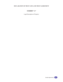## **DECLARATION OF TRUST AND LAND TRUST AGREEMENT**

# **EXHIBIT "A"**

Legal Description of Property: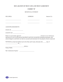## **DECLARATION OF TRUST AND LAND TRUST AGREEMENT**

#### **EXHIBIT "B"**

### BENEFICIAL INTEREST

| SELLER(S)                                                                                                                                                                                                                                                                                                                                                                                                                                                                                                                      | <b>ADDRESS</b>                                             | Interest $(\% )$ |
|--------------------------------------------------------------------------------------------------------------------------------------------------------------------------------------------------------------------------------------------------------------------------------------------------------------------------------------------------------------------------------------------------------------------------------------------------------------------------------------------------------------------------------|------------------------------------------------------------|------------------|
|                                                                                                                                                                                                                                                                                                                                                                                                                                                                                                                                |                                                            |                  |
| <u> 1980 - Johann John Stone, markin fizikar (</u>                                                                                                                                                                                                                                                                                                                                                                                                                                                                             | <u> 1989 - Johann John Stoff, fransk politik (d. 1989)</u> |                  |
|                                                                                                                                                                                                                                                                                                                                                                                                                                                                                                                                |                                                            |                  |
| <b>ACKNOWLEDGEMENTS</b>                                                                                                                                                                                                                                                                                                                                                                                                                                                                                                        |                                                            |                  |
| $\begin{tabular}{c} \bf STATE OF \end{tabular} \begin{tabular}{c} \textbf{ \textcolor{red}{\bf{}} \textcolor{red}{\bf{}} \textcolor{red}{\bf{}} \textcolor{red}{\bf{}} \textcolor{red}{\bf{}} \textcolor{red}{\bf{}} \textcolor{red}{\bf{}} \textcolor{red}{\bf{}} \textcolor{red}{\bf{}} \textcolor{red}{\bf{}} \textcolor{red}{\bf{}} \textcolor{red}{\bf{}} \textcolor{red}{\bf{}} \textcolor{red}{\bf{}} \textcolor{red}{\bf{}} \textcolor{red}{\bf{}} \textcolor{red}{\bf{}} \textcolor{red}{\bf{}} \textcolor{red}{\bf{$ |                                                            |                  |
| COUNTY OF                                                                                                                                                                                                                                                                                                                                                                                                                                                                                                                      |                                                            |                  |
|                                                                                                                                                                                                                                                                                                                                                                                                                                                                                                                                |                                                            |                  |
| and known to me to be the person described in and who executed the foregoing instrument, and<br>acknowledged to and before me that he executed said instrument for the purposes therein expressed.                                                                                                                                                                                                                                                                                                                             |                                                            |                  |
| WITNESS my hand and official seal in the State and County aforesaid, this ______ day of<br>$\sim$ 20 $\sim$                                                                                                                                                                                                                                                                                                                                                                                                                    |                                                            |                  |
|                                                                                                                                                                                                                                                                                                                                                                                                                                                                                                                                | (SEAL)                                                     |                  |
| Notary Public                                                                                                                                                                                                                                                                                                                                                                                                                                                                                                                  |                                                            |                  |

My Commission Expires: \_\_\_\_\_\_\_\_\_\_\_\_\_\_\_\_\_\_\_\_\_\_\_\_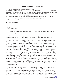# **WARRANTY DEED TO TRUSTEE**

| , for and in                                                                                                                                                                                                                                                                                                                                                                                                                                              |
|-----------------------------------------------------------------------------------------------------------------------------------------------------------------------------------------------------------------------------------------------------------------------------------------------------------------------------------------------------------------------------------------------------------------------------------------------------------|
|                                                                                                                                                                                                                                                                                                                                                                                                                                                           |
|                                                                                                                                                                                                                                                                                                                                                                                                                                                           |
|                                                                                                                                                                                                                                                                                                                                                                                                                                                           |
| day of                                                                                                                                                                                                                                                                                                                                                                                                                                                    |
|                                                                                                                                                                                                                                                                                                                                                                                                                                                           |
|                                                                                                                                                                                                                                                                                                                                                                                                                                                           |
|                                                                                                                                                                                                                                                                                                                                                                                                                                                           |
|                                                                                                                                                                                                                                                                                                                                                                                                                                                           |
| KNOW ALL MEN BY THESE PRESENTS, that<br>the Grantor(s), of the County of $\qquad$ and the State of<br>consideration of Ten and 00/100 (\$10.00), and other good and valuable considerations in hand paid, does<br>convey, grant, bargain, sell, convey, alien, remise, release, confirm and warrant unto<br>Land Trust and not personally under the provisions of a Trust Agreement dated the<br>20, the following described real estate in the County of |

Together with all the tenements, hereditaments and appurtenances thereto, belonging or in anywise appertaining.

To have and to hold the said premises in fee simple forever, with the appurtenances attached thereto upon the Trust and for the uses and purposes herein and in said Trust Agreement set for.

Full power and authority granted to said Trustee, with respect to the said premises or any part of it, and at any time or times, to subdivide said premises or any part thereof, to dedicate parks, streets, highways or alleys and to vacate any subdivision or part thereof, and to resubdivide said property as often as desired, to contract to sell, to grant options to purchase, to sell on any terms, to convey either with or without consideration, to donate, to mortgage, pledge or otherwise encumber said property, or any part thereof, to lease said property or any part thereof, from time to time, in possession or reversion by leases to commence now or later, and upon any terms and for any period or periods of time and to renew or extend leases upon any terms and for any period or periods of time and to amend, change, or modify leases and the terms and provisions thereof at any time hereafter, to contract, to make leases, to grant options to lease and options to renew leases and options to purchase the whole or any part of the reversion and to contract respecting the manner of fixing the amount of present or future renters, to partition or to exchange said property or any part thereof for other real or personal property, to grant easements or changes of any kind, to release, convey or assign any right, title or interest in or about or easement appurtenant to said premises or any part thereof, and to deal with said property and every part thereof in all other ways and for such other considerations as it would be lawful for any person owning the same to deal with the same, whether similar to or different from the ways above specified, at any time or times hereafter.

In No Case shall any party dealing with the said Trustee in relation to said premises, to whom said premises or any part thereof shall be conveyed, contracted to be sold, leased or mortgaged by said Trustee, be obliged to see to the application of any purchase money, rent, or money borrowed or advanced on said premises, or be obliged to see that the terms of this Trust have been complied with, or privileged to inquire into any of the terms of said Trust Agreement; and every deed, mortgage, lease or other instrument executed by said Trustee in relation to said real estate shall be conclusive evidence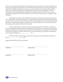in favor of every person relying upon or claiming under such conveyance, lease or other instrument, (a) that at the time of delivery thereof, the Trust created by this Indenture and by said Trust Agreement was in full force and effect, (b) that such conveyance or other instrument was executed in full accordance of the Trust's conditions and limitations contained herein and in said Trust Agreement or in some amendment thereof and binding upon all beneficiaries thereunder and (c) that said Trustee was duly authorized and empowered to execute and deliver every such deed, Trust deed, lease, mortgage or other instrument.

The Interest of each and every beneficiary hereunder and of all persons claiming under them or any of them shall be only in the earnings, avails, and proceeds arising from the sale for other disposition of said real estate, and such interest is hereby declared to be personal property. No beneficiary hereunder shall have any title or interest legal or equitable, in or to said real estate as such, but only an interest in the earnings, avails and proceeds thereof as aforesaid.

And the grantor hereby covenants with said grantee that the grantor is lawfully seized of said land in fee simple; that the grantor has good right and lawful authority to sell and convey said land; that the grantor hereby fully warrants the title to said land and will defend the same against the lawful claims of all persons whomsoever; and that said land is free of all encumbrances, except those of record and taxes accruing subsequent to \_\_\_\_\_\_\_\_\_\_\_\_\_\_\_\_, 20\_\_.

In Witness whereof, the said grantor(s) has (have) hereunto set his (their) hands and seals this day of,  $20$ , A.D.

Signed Sealed and Delivered in our Presence

WITNESS SIGNATURE

 $\_$  ,  $\_$  ,  $\_$  ,  $\_$  ,  $\_$  ,  $\_$  ,  $\_$  ,  $\_$  ,  $\_$  ,  $\_$  ,  $\_$  ,  $\_$  ,  $\_$  ,  $\_$  ,  $\_$  ,  $\_$  ,  $\_$  ,  $\_$  ,  $\_$ 

 $\_$  ,  $\_$  ,  $\_$  ,  $\_$  ,  $\_$  ,  $\_$  ,  $\_$  ,  $\_$  ,  $\_$  ,  $\_$  ,  $\_$  ,  $\_$  ,  $\_$  ,  $\_$  ,  $\_$  ,  $\_$  ,  $\_$  ,  $\_$  ,  $\_$ 

WITNESS SIGNATURE